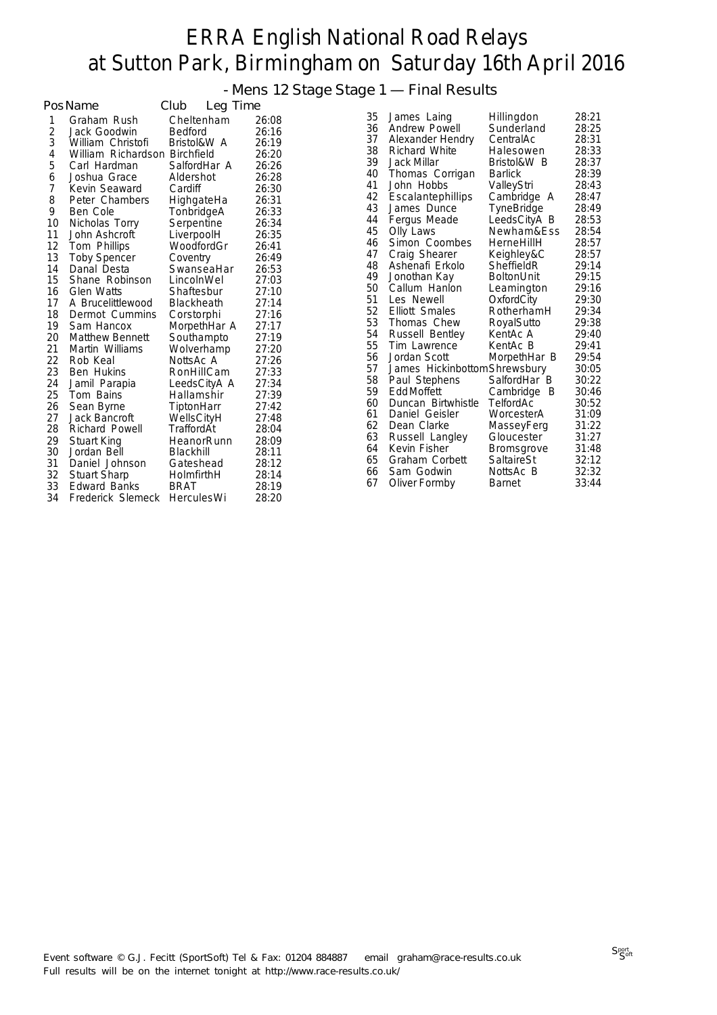- Mens 12 Stage Stage 1 — Final Results

|    | PosName                | Club<br>Leg Time  |       |    |                               |                   |       |
|----|------------------------|-------------------|-------|----|-------------------------------|-------------------|-------|
| 1  | Graham Rush            | Cheltenham        | 26:08 | 35 | James Laing                   | Hillingdon        | 28:21 |
| 2  | Jack Goodwin           | <b>Bedford</b>    | 26:16 | 36 | Andrew Powell                 | Sunderland        | 28:25 |
| 3  | William Christofi      | Bristol&W A       | 26:19 | 37 | Alexander Hendry              | CentralAc         | 28:31 |
| 4  | William Richardson     | <b>Birchfield</b> | 26:20 | 38 | Richard White                 | Halesowen         | 28:33 |
| 5  | Carl Hardman           | SalfordHar A      | 26:26 | 39 | Jack Millar                   | Bristol&W B       | 28:37 |
| 6  | Joshua Grace           | Aldershot         | 26:28 | 40 | Thomas Corrigan               | <b>Barlick</b>    | 28:39 |
| 7  | Kevin Seaward          | Cardiff           | 26:30 | 41 | John Hobbs                    | ValleyStri        | 28:43 |
| 8  | Peter Chambers         | HighgateHa        | 26:31 | 42 | Escalantephillips             | Cambridge A       | 28:47 |
| 9  | Ben Cole               | TonbridgeA        | 26:33 | 43 | James Dunce                   | TyneBridge        | 28:49 |
| 10 | Nicholas Torry         | Serpentine        | 26:34 | 44 | Fergus Meade                  | LeedsCityA B      | 28:53 |
| 11 | John Ashcroft          | LiverpoolH        | 26:35 | 45 | Olly Laws                     | Newham&Ess        | 28:54 |
| 12 | Tom Phillips           | WoodfordGr        | 26:41 | 46 | Simon Coombes                 | HerneHillH        | 28:57 |
| 13 | <b>Toby Spencer</b>    | Coventry          | 26:49 | 47 | Craig Shearer                 | Keighley&C        | 28:57 |
| 14 | Danal Desta            | SwanseaHar        | 26:53 | 48 | Ashenafi Erkolo               | SheffieldR        | 29:14 |
| 15 | Shane Robinson         | LincolnWel        | 27:03 | 49 | Jonothan Kay                  | <b>BoltonUnit</b> | 29:15 |
| 16 | <b>Glen Watts</b>      | Shaftesbur        | 27:10 | 50 | Callum Hanlon                 | Leamington        | 29:16 |
| 17 | A Brucelittlewood      | <b>Blackheath</b> | 27:14 | 51 | Les Newell                    | OxfordCity        | 29:30 |
| 18 | Dermot Cummins         | Corstorphi        | 27:16 | 52 | <b>Elliott Smales</b>         | RotherhamH        | 29:34 |
| 19 | Sam Hancox             | MorpethHar A      | 27:17 | 53 | Thomas Chew                   | RoyalSutto        | 29:38 |
| 20 | <b>Matthew Bennett</b> | Southampto        | 27:19 | 54 | Russell Bentley               | KentAc A          | 29:40 |
| 21 | Martin Williams        | Wolverhamp        | 27:20 | 55 | Tim Lawrence                  | KentAc B          | 29:41 |
| 22 | Rob Keal               | NottsAc A         | 27:26 | 56 | Jordan Scott                  | MorpethHar B      | 29:54 |
| 23 | <b>Ben Hukins</b>      | RonHillCam        | 27:33 | 57 | James Hickinbottom Shrewsbury |                   | 30:05 |
| 24 | Jamil Parapia          | LeedsCityA A      | 27:34 | 58 | Paul Stephens                 | SalfordHar B      | 30:22 |
| 25 | Tom Bains              | Hallamshir        | 27:39 | 59 | Edd Moffett                   | Cambridge B       | 30:46 |
| 26 | Sean Byrne             | TiptonHarr        | 27:42 | 60 | Duncan Birtwhistle            | <b>TelfordAc</b>  | 30:52 |
| 27 | Jack Bancroft          | WellsCityH        | 27:48 | 61 | Daniel Geisler                | WorcesterA        | 31:09 |
| 28 | Richard Powell         | TraffordAt        | 28:04 | 62 | Dean Clarke                   | MasseyFerg        | 31:22 |
| 29 | <b>Stuart King</b>     | HeanorRunn        | 28:09 | 63 | Russell Langley               | Gloucester        | 31:27 |
| 30 | Jordan Bell            | Blackhill         | 28:11 | 64 | Kevin Fisher                  | <b>Bromsgrove</b> | 31:48 |
| 31 | Daniel Johnson         | Gateshead         | 28:12 | 65 | Graham Corbett                | SaltaireSt        | 32:12 |
| 32 | <b>Stuart Sharp</b>    | HolmfirthH        | 28:14 | 66 | Sam Godwin                    | NottsAc B         | 32:32 |
| 33 | <b>Edward Banks</b>    | <b>BRAT</b>       | 28:19 | 67 | Oliver Formby                 | Barnet            | 33:44 |
| 34 | Frederick Slemeck      | <b>HerculesWi</b> | 28:20 |    |                               |                   |       |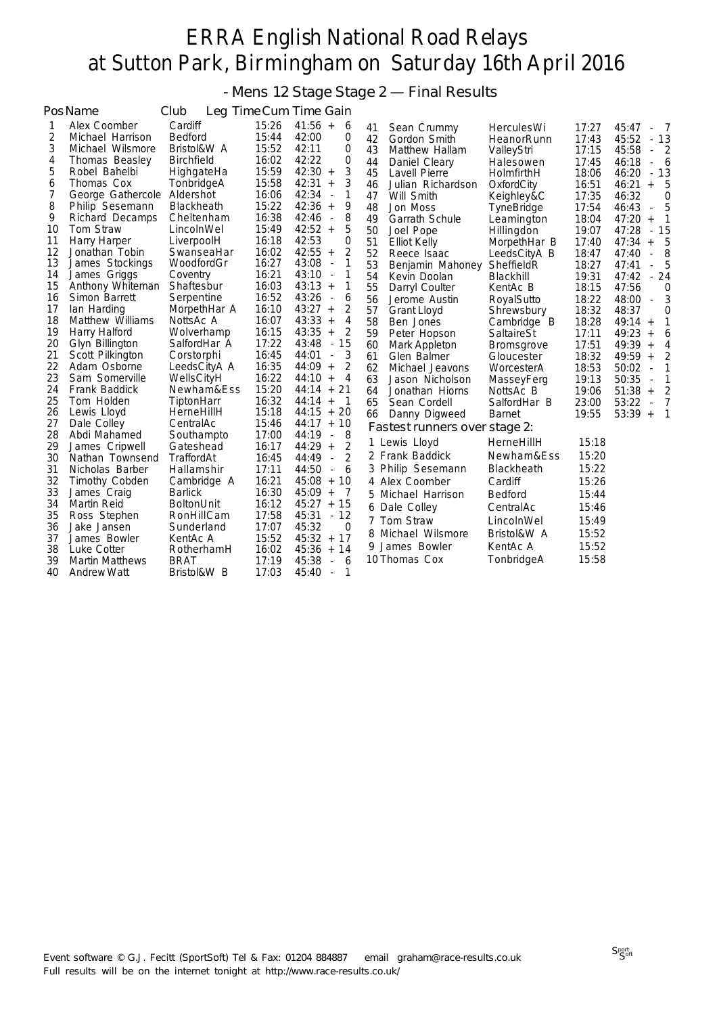- Mens 12 Stage Stage 2 — Final Results

|    | PosName                | Club              |       | Leg Time Cum Time Gain                        |    |                               |                   |       |                                           |
|----|------------------------|-------------------|-------|-----------------------------------------------|----|-------------------------------|-------------------|-------|-------------------------------------------|
| 1  | Alex Coomber           | Cardiff           | 15:26 | $41:56 +$<br>6                                | 41 | Sean Crummy                   | <b>HerculesWi</b> | 17:27 | 45:47<br>$\overline{7}$<br>$\blacksquare$ |
| 2  | Michael Harrison       | Bedford           | 15:44 | 42:00<br>0                                    | 42 | Gordon Smith                  | HeanorRunn        | 17:43 | 45:52<br>$-13$                            |
| 3  | Michael Wilsmore       | Bristol&W A       | 15:52 | 42:11<br>0                                    | 43 | Matthew Hallam                | ValleyStri        | 17:15 | 45:58<br>$\overline{2}$<br>$\blacksquare$ |
| 4  | Thomas Beasley         | <b>Birchfield</b> | 16:02 | 0<br>42:22                                    | 44 | Daniel Cleary                 | Halesowen         | 17:45 | 46:18<br>- 6<br>÷.                        |
| 5  | Robel Bahelbi          | HighgateHa        | 15:59 | 3<br>$42:30 +$                                | 45 | Lavell Pierre                 | HolmfirthH        | 18:06 | $-13$<br>46:20                            |
| 6  | Thomas Cox             | TonbridgeA        | 15:58 | 3<br>42:31<br>$\qquad \qquad +$               | 46 | Julian Richardson             | OxfordCity        | 16:51 | 46:21<br>5<br>$\ddot{}$                   |
| 7  | George Gathercole      | Aldershot         | 16:06 | 42:34<br>1<br>÷,                              | 47 | Will Smith                    | Keighley&C        | 17:35 | 46:32<br>0                                |
| 8  | Philip Sesemann        | <b>Blackheath</b> | 15:22 | 9<br>42:36<br>$+$                             | 48 | Jon Moss                      | TyneBridge        | 17:54 | 5<br>46:43<br>$\overline{\phantom{a}}$    |
| 9  | Richard Decamps        | Cheltenham        | 16:38 | 8<br>42:46<br>$\blacksquare$                  | 49 | Garrath Schule                | Leamington        | 18:04 | 47:20<br>1<br>$^{+}$                      |
| 10 | Tom Straw              | LincolnWel        | 15:49 | $42:52 +$<br>5                                | 50 | Joel Pope                     | Hillingdon        | 19:07 | 47:28<br>$-15$                            |
| 11 | Harry Harper           | LiverpoolH        | 16:18 | 42:53<br>0                                    | 51 | <b>Elliot Kelly</b>           | MorpethHar B      | 17:40 | 47:34<br>5<br>$+$                         |
| 12 | Jonathan Tobin         | SwanseaHar        | 16:02 | 2<br>$42:55 +$                                | 52 | Reece Isaac                   | LeedsCityA B      | 18:47 | 8<br>47:40<br>$\overline{\phantom{a}}$    |
| 13 | James Stockings        | WoodfordGr        | 16:27 | 43:08<br>1<br>$\qquad \qquad \blacksquare$    | 53 | Benjamin Mahoney              | SheffieldR        | 18:27 | 5<br>47:41<br>÷,                          |
| 14 | James Griggs           | Coventry          | 16:21 | 43:10<br>1<br>$\Box$                          | 54 | Kevin Doolan                  | Blackhill         | 19:31 | $-24$<br>47:42                            |
| 15 | Anthony Whiteman       | Shaftesbur        | 16:03 | $43:13 +$<br>1                                | 55 | Darryl Coulter                | KentAc B          | 18:15 | 47:56<br>0                                |
| 16 | Simon Barrett          | Serpentine        | 16:52 | 43:26<br>6<br>$\overline{\phantom{a}}$        | 56 | Jerome Austin                 | RoyalSutto        | 18:22 | 3<br>48:00<br>$\Box$                      |
| 17 | lan Harding            | MorpethHar A      | 16:10 | 2<br>$43:27 +$                                | 57 | <b>Grant Lloyd</b>            | Shrewsbury        | 18:32 | 48:37<br>$\overline{0}$                   |
| 18 | Matthew Williams       | NottsAc A         | 16:07 | 43:33<br>4<br>$+$                             | 58 | Ben Jones                     | Cambridge B       | 18:28 | $49:14 +$<br>1                            |
| 19 | Harry Halford          | Wolverhamp        | 16:15 | 43:35<br>2<br>$\boldsymbol{+}$                | 59 | Peter Hopson                  | SaltaireSt        | 17:11 | 49:23<br>6<br>$+$                         |
| 20 | Glyn Billington        | SalfordHar A      | 17:22 | 43:48<br>15<br>$\omega$                       | 60 | Mark Appleton                 | <b>Bromsgrove</b> | 17:51 | 49:39<br>4<br>$+$                         |
| 21 | Scott Pilkington       | Corstorphi        | 16:45 | 3<br>44:01<br>÷,                              | 61 | Glen Balmer                   | Gloucester        | 18:32 | 2<br>$49:59 +$                            |
| 22 | Adam Osborne           | LeedsCityA A      | 16:35 | 2<br>$44:09 +$                                | 62 | Michael Jeavons               | WorcesterA        | 18:53 | 50:02<br>1<br>÷,                          |
| 23 | Sam Somerville         | WellsCityH        | 16:22 | $44:10 +$<br>4                                | 63 | Jason Nicholson               | MasseyFerg        | 19:13 | 50:35<br>1<br>$\overline{\phantom{a}}$    |
| 24 | Frank Baddick          | Newham&Ess        | 15:20 | 21<br>$44:14 +$                               | 64 | Jonathan Hiorns               | NottsAc B         | 19:06 | 2<br>51:38<br>$\ddot{}$                   |
| 25 | Tom Holden             | TiptonHarr        | 16:32 | $44:14 +$<br>$\overline{1}$                   | 65 | Sean Cordell                  | SalfordHar B      | 23:00 | $\overline{7}$<br>53:22<br>÷,             |
| 26 | Lewis Lloyd            | HerneHillH        | 15:18 | $44:15 + 20$                                  | 66 | Danny Digweed                 | <b>Barnet</b>     | 19:55 | $53:39 +$<br>$\mathbf{1}$                 |
| 27 | Dale Colley            | CentralAc         | 15:46 | $44:17 + 10$                                  |    | Fastest runners over stage 2: |                   |       |                                           |
| 28 | Abdi Mahamed           | Southampto        | 17:00 | 8<br>44:19<br>$\overline{\phantom{a}}$        |    | 1 Lewis Lloyd                 | HerneHillH        | 15:18 |                                           |
| 29 | James Cripwell         | Gateshead         | 16:17 | 2<br>44:29<br>$+$                             |    | 2 Frank Baddick               | Newham&Ess        | 15:20 |                                           |
| 30 | Nathan Townsend        | TraffordAt        | 16:45 | $\overline{2}$<br>44:49<br>$\bar{\mathbf{z}}$ |    |                               |                   |       |                                           |
| 31 | Nicholas Barber        | Hallamshir        | 17:11 | 44:50<br>6<br>$\overline{\phantom{a}}$        |    | 3 Philip Sesemann             | <b>Blackheath</b> | 15:22 |                                           |
| 32 | Timothy Cobden         | Cambridge A       | 16:21 | $45:08 + 10$                                  |    | 4 Alex Coomber                | Cardiff           | 15:26 |                                           |
| 33 | James Craig            | <b>Barlick</b>    | 16:30 | $45:09 +$<br>- 7                              |    | 5 Michael Harrison            | <b>Bedford</b>    | 15:44 |                                           |
| 34 | <b>Martin Reid</b>     | <b>BoltonUnit</b> | 16:12 | 45:27<br>$+15$                                |    | 6 Dale Colley                 | CentralAc         | 15:46 |                                           |
| 35 | Ross Stephen           | RonHillCam        | 17:58 | $-12$<br>45:31                                |    | 7 Tom Straw                   | LincolnWel        | 15:49 |                                           |
| 36 | Jake Jansen            | Sunderland        | 17:07 | 45:32<br>0                                    |    | 8 Michael Wilsmore            | Bristol&W A       | 15:52 |                                           |
| 37 | James Bowler           | KentAc A          | 15:52 | $45:32 + 17$                                  |    | 9 James Bowler                | KentAc A          | 15:52 |                                           |
| 38 | Luke Cotter            | RotherhamH        | 16:02 | $45:36 +$<br>14                               |    |                               |                   | 15:58 |                                           |
| 39 | <b>Martin Matthews</b> | <b>BRAT</b>       | 17:19 | 45:38<br>6<br>÷,                              |    | 10 Thomas Cox                 | TonbridgeA        |       |                                           |
| 40 | <b>Andrew Watt</b>     | Bristol&W B       | 17:03 | 45:40<br>1<br>$\overline{\phantom{a}}$        |    |                               |                   |       |                                           |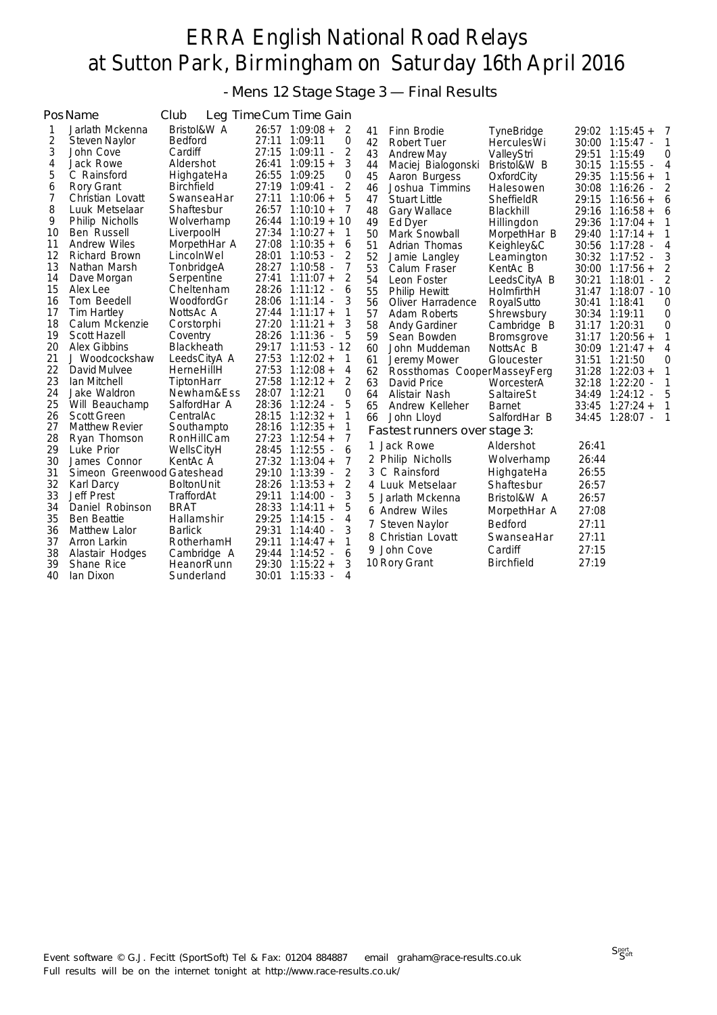- Mens 12 Stage Stage 3 — Final Results

|          | PosName                    | Club              | Leg Time Cum Time Gain                       |        |    |                               |                   |       |                                   |
|----------|----------------------------|-------------------|----------------------------------------------|--------|----|-------------------------------|-------------------|-------|-----------------------------------|
| 1        | Jarlath Mckenna            | Bristol&W A       | $26:57$ 1:09:08 +                            | 2      | 41 | Finn Brodie                   | TyneBridge        |       | $29:02 \quad 1:15:45+$<br>7       |
| 2        | Steven Naylor              | <b>Bedford</b>    | 27:11 1:09:11                                | 0      | 42 | Robert Tuer                   | HerculesWi        |       | $30:00$ 1:15:47 -<br>$\mathbf{1}$ |
| 3        | John Cove                  | Cardiff           | 27:15<br>1:09:11                             | 2      | 43 | <b>Andrew May</b>             | ValleyStri        |       | 29:51 1:15:49<br>0                |
| 4        | Jack Rowe                  | Aldershot         | 26:41<br>$1:09:15 +$                         | 3      | 44 | Maciej Bialogonski            | Bristol&W B       |       | 30:15 1:15:55 -<br>4              |
| 5        | C Rainsford                | HighgateHa        | 26:55 1:09:25                                | 0      | 45 | Aaron Burgess                 | OxfordCity        |       | 29:35 1:15:56 +<br>1              |
| 6        | Rory Grant                 | <b>Birchfield</b> | 27:19 1:09:41 -                              | 2      | 46 | Joshua Timmins                | Halesowen         |       | 30:08 1:16:26 -<br>2              |
| 7        | Christian Lovatt           | SwanseaHar        | 27:11<br>$1:10:06 +$                         | 5      | 47 | <b>Stuart Little</b>          | SheffieldR        | 29:15 | $1:16:56 +$<br>6                  |
| 8        | Luuk Metselaar             | Shaftesbur        | $26:57$ 1:10:10 +                            | 7      | 48 | <b>Gary Wallace</b>           | Blackhill         | 29:16 | $1:16:58 +$<br>6                  |
| 9        | Philip Nicholls            | Wolverhamp        | 26:44<br>$1:10:19 + 10$                      |        | 49 | Ed Dyer                       | Hillingdon        | 29:36 | $1:17:04 +$<br>1                  |
| 10       | Ben Russell                | LiverpoolH        | 27:34<br>$1:10:27 +$                         | 1      | 50 | Mark Snowball                 | MorpethHar B      |       | 29:40 1:17:14 +<br>1              |
| 11       | <b>Andrew Wiles</b>        | MorpethHar A      | 27:08<br>$1:10:35 +$                         | 6      | 51 | Adrian Thomas                 | Keighley&C        |       | 30:56 1:17:28 -<br>4              |
| 12       | Richard Brown              | LincolnWel        | 28:01<br>$1:10:53 -$                         | 2      | 52 | Jamie Langley                 | Leamington        |       | 30:32 1:17:52 -<br>3              |
| 13       | Nathan Marsh               | TonbridgeA        | 28:27 1:10:58 -                              | 7      | 53 | Calum Fraser                  | KentAc B          |       | $30:00$ 1:17:56 +                 |
| 14       | Dave Morgan                | Serpentine        | 27:41<br>$1:11:07+$                          | 2      | 54 | Leon Foster                   | LeedsCityA B      | 30:21 | 1:18:01<br>2                      |
| 15       | Alex Lee                   | Cheltenham        | 28:26 1:11:12 -                              | 6      | 55 | Philip Hewitt                 | HolmfirthH        |       | 31:47 1:18:07 - 10                |
| 16       | Tom Beedell                | WoodfordGr        | 28:06 1:11:14 -                              | 3      | 56 | Oliver Harradence             | RoyalSutto        |       | 30:41 1:18:41<br>0                |
| 17       | <b>Tim Hartley</b>         | NottsAc A         | $27:44$ 1:11:17 +                            | 1      | 57 | Adam Roberts                  | Shrewsbury        |       | 30:34 1:19:11<br>$\overline{0}$   |
| 18       | Calum Mckenzie             | Corstorphi        | $27:20$ 1:11:21 +                            | 3      | 58 | <b>Andy Gardiner</b>          | Cambridge B       |       | 31:17 1:20:31<br>0                |
| 19       | Scott Hazell               | Coventry          | 28:26 1:11:36                                | 5      | 59 | Sean Bowden                   | Bromsgrove        |       | $31:17$ 1:20:56 +<br>1            |
| 20       | <b>Alex Gibbins</b>        | Blackheath        | 29:17 1:11:53 - 12                           |        | 60 | John Muddeman                 | NottsAc B         |       | 4<br>$30:09$ 1:21:47 +            |
| 21       | J Woodcockshaw             | LeedsCityA A      | 27:53<br>$1:12:02 +$                         | 1      | 61 | Jeremy Mower                  | Gloucester        | 31:51 | 1:21:50<br>0                      |
| 22       | David Mulvee               | HerneHillH        | 27:53<br>$1:12:08 +$                         | 4      | 62 | Rossthomas CooperMasseyFerg   |                   | 31:28 | $1:22:03+$<br>1                   |
| 23       | Ian Mitchell               | TiptonHarr        | $27:58$ 1:12:12 +                            | 2      | 63 | David Price                   | WorcesterA        | 32:18 | $1:22:20$ -                       |
| 24       | Jake Waldron               | Newham&Ess        | 28:07 1:12:21                                | 0      | 64 | Alistair Nash                 | SaltaireSt        |       | 34:49 1:24:12 -<br>5              |
| 25       | Will Beauchamp             | SalfordHar A      | 28:36<br>$1:12:24 -$                         | 5      | 65 | Andrew Kelleher               | <b>Barnet</b>     | 33:45 | $1:27:24+$<br>1                   |
| 26       | <b>Scott Green</b>         | CentralAc         | $28:15$ 1:12:32 +                            | 1      | 66 | John Lloyd                    | SalfordHar B      |       | 34:45 1:28:07 -<br>$\mathbf{1}$   |
| 27       | <b>Matthew Revier</b>      | Southampto        | $28:16$ 1:12:35 +                            |        |    | Fastest runners over stage 3: |                   |       |                                   |
| 28       | Ryan Thomson               | RonHillCam        | 27:23<br>$1:12:54 +$                         | 7      |    | 1 Jack Rowe                   | Aldershot         | 26:41 |                                   |
| 29       | Luke Prior                 | WellsCityH        | 28:45 1:12:55 -                              | 6      |    | 2 Philip Nicholls             | Wolverhamp        | 26:44 |                                   |
| 30<br>31 | James Connor               | KentAc A          | 27:32<br>$1:13:04 +$<br>29:10<br>$1:13:39 -$ | 7      |    | 3 C Rainsford                 |                   | 26:55 |                                   |
|          | Simeon Greenwood Gateshead |                   | 28:26<br>$1:13:53 +$                         | 2<br>2 |    |                               | HighgateHa        |       |                                   |
| 32       | Karl Darcy                 | <b>BoltonUnit</b> |                                              |        |    | 4 Luuk Metselaar              | Shaftesbur        | 26:57 |                                   |
| 33       | <b>Jeff Prest</b>          | TraffordAt        | 29:11<br>$1:14:00$ -                         | 3<br>5 | 5. | Jarlath Mckenna               | Bristol&W A       | 26:57 |                                   |
| 34       | Daniel Robinson            | <b>BRAT</b>       | $28:33$ 1:14:11 +                            |        |    | 6 Andrew Wiles                | MorpethHar A      | 27:08 |                                   |
| 35       | <b>Ben Beattie</b>         | Hallamshir        | 29:25<br>$1:14:15$ -                         | 4      |    | 7 Steven Naylor               | Bedford           | 27:11 |                                   |
| 36       | <b>Matthew Lalor</b>       | <b>Barlick</b>    | 29:31<br>$1:14:40 -$                         | 3      |    | 8 Christian Lovatt            | SwanseaHar        | 27:11 |                                   |
| 37       | Arron Larkin               | RotherhamH        | 29:11<br>$1:14:47+$                          |        |    | 9 John Cove                   | Cardiff           | 27:15 |                                   |
| 38       | Alastair Hodges            | Cambridge A       | 29:44<br>$1:14:52 -$                         | 6      |    | 10 Rory Grant                 | <b>Birchfield</b> | 27:19 |                                   |
| 39       | Shane Rice                 | HeanorRunn        | 29:30<br>$1:15:22 +$                         | 3      |    |                               |                   |       |                                   |
| 40       | lan Dixon                  | Sunderland        | 30:01<br>1:15:33<br>$\sim$                   | 4      |    |                               |                   |       |                                   |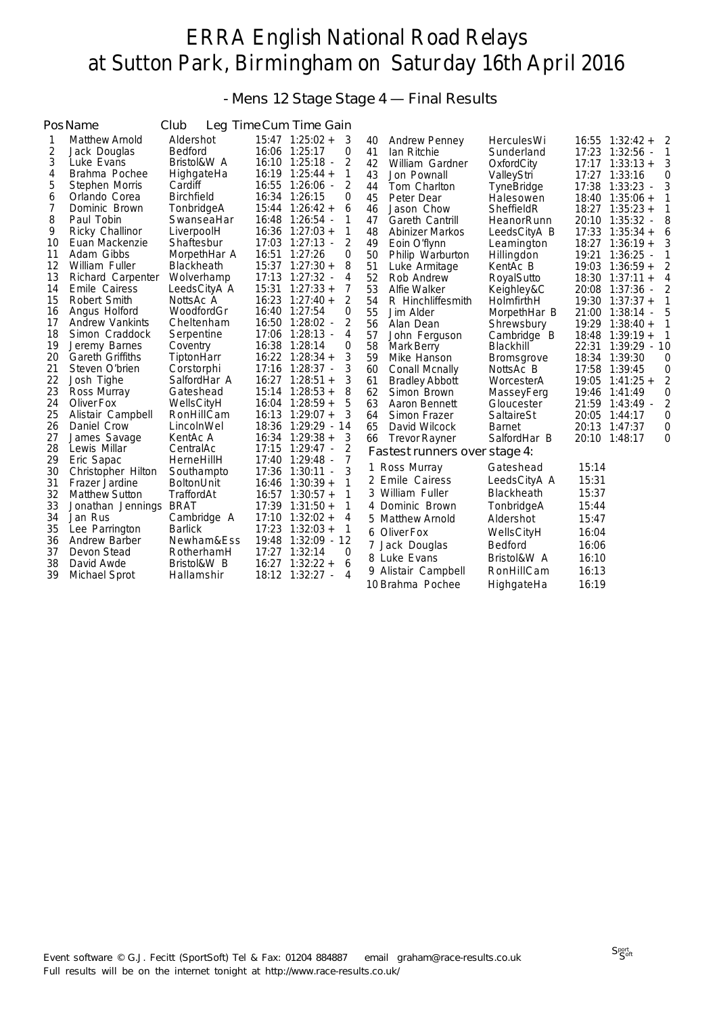- Mens 12 Stage Stage 4 — Final Results

|    | PosName                 | Club              |       | Leg Time Cum Time Gain |          |    |                               |                   |       |                     |   |
|----|-------------------------|-------------------|-------|------------------------|----------|----|-------------------------------|-------------------|-------|---------------------|---|
| 1  | <b>Matthew Arnold</b>   | Aldershot         |       | $15:47$ 1:25:02 +      | 3        | 40 | <b>Andrew Penney</b>          | <b>HerculesWi</b> |       | $16:55$ $1:32:42 +$ | 2 |
| 2  | Jack Douglas            | <b>Bedford</b>    |       | 16:06 1:25:17          | 0        | 41 | Ian Ritchie                   | Sunderland        |       | 17:23 1:32:56 -     | 1 |
| 3  | Luke Evans              | Bristol&W A       |       | 16:10 1:25:18 -        | 2        | 42 | William Gardner               | OxfordCity        |       | $17:17$ $1:33:13 +$ | 3 |
| 4  | Brahma Pochee           | HighgateHa        |       | $16:19$ 1:25:44 +      | 1        | 43 | Jon Pownall                   | ValleyStri        |       | 17:27 1:33:16       | 0 |
| 5  | Stephen Morris          | Cardiff           |       | 16:55 1:26:06 -        | 2        | 44 | Tom Charlton                  | TyneBridge        | 17:38 | $1:33:23$ -         | 3 |
| 6  | Orlando Corea           | <b>Birchfield</b> | 16:34 | 1:26:15                | $\Omega$ | 45 | Peter Dear                    | Halesowen         |       | $18:40$ $1:35:06 +$ | 1 |
| 7  | Dominic Brown           | TonbridgeA        |       | $15:44$ $1:26:42 +$    | 6        | 46 | Jason Chow                    | SheffieldR        |       | $18:27$ $1:35:23 +$ | 1 |
| 8  | Paul Tobin              | SwanseaHar        |       | 16:48 1:26:54 -        | 1        | 47 | Gareth Cantrill               | HeanorRunn        |       | 20:10 1:35:32 -     | 8 |
| 9  | Ricky Challinor         | LiverpoolH        |       | $16:36$ 1:27:03 +      | 1        | 48 | Abinizer Markos               | LeedsCityA B      |       | $17:33$ $1:35:34 +$ | 6 |
| 10 | Euan Mackenzie          | Shaftesbur        |       | 17:03 1:27:13 -        | 2        | 49 | Eoin O'flynn                  | Leamington        |       | $18:27$ 1:36:19 +   | 3 |
| 11 | Adam Gibbs              | MorpethHar A      |       | 16:51 1:27:26          | 0        | 50 | Philip Warburton              | Hillingdon        | 19:21 | $1:36:25$ -         | 1 |
| 12 | William Fuller          | <b>Blackheath</b> |       | $15:37$ $1:27:30+$     | 8        | 51 | Luke Armitage                 | KentAc B          |       | $19:03$ 1:36:59 +   | 2 |
| 13 | Richard Carpenter       | Wolverhamp        |       | 17:13 1:27:32 -        | 4        | 52 | Rob Andrew                    | RoyalSutto        |       | $18:30$ $1:37:11 +$ | 4 |
| 14 | Emile Cairess           | LeedsCityA A      |       | $15:31$ $1:27:33+$     | 7        | 53 | Alfie Walker                  | Keighley&C        |       | 20:08 1:37:36       | 2 |
| 15 | Robert Smith            | NottsAc A         |       | $16:23$ 1:27:40 +      | 2        | 54 | R Hinchliffesmith             | HolmfirthH        |       | $19:30$ $1:37:37 +$ | 1 |
| 16 | Angus Holford           | WoodfordGr        |       | 16:40 1:27:54          | 0        | 55 | Jim Alder                     | MorpethHar B      |       | 21:00 1:38:14       | 5 |
| 17 | <b>Andrew Vankints</b>  | Cheltenham        |       | 16:50 1:28:02 -        | 2        | 56 | Alan Dean                     | Shrewsbury        |       | $19:29$ 1:38:40 +   | 1 |
| 18 | Simon Craddock          | Serpentine        |       | 17:06 1:28:13 -        | 4        | 57 | John Ferguson                 | Cambridge B       |       | $18:48$ $1:39:19+$  | 1 |
| 19 | Jeremy Barnes           | Coventry          |       | 16:38 1:28:14          | 0        | 58 | Mark Berry                    | Blackhill         |       | 22:31 1:39:29 - 10  |   |
| 20 | <b>Gareth Griffiths</b> | TiptonHarr        |       | $16:22$ $1:28:34 +$    | 3        | 59 | Mike Hanson                   | <b>Bromsgrove</b> |       | 18:34 1:39:30       | 0 |
| 21 | Steven O'brien          | Corstorphi        |       | 17:16 1:28:37 -        | 3        | 60 | Conall Mcnally                | NottsAc B         |       | 17:58 1:39:45       | 0 |
| 22 | Josh Tighe              | SalfordHar A      |       | $16:27$ 1:28:51 +      | 3        | 61 | <b>Bradley Abbott</b>         | WorcesterA        |       | $19:05$ 1:41:25 +   | 2 |
| 23 | Ross Murray             | Gateshead         |       | $15:14$ 1:28:53 +      | 8        | 62 | Simon Brown                   | MasseyFerg        |       | 19:46 1:41:49       | 0 |
| 24 | Oliver Fox              | WellsCityH        |       | $16:04$ 1:28:59 +      | 5        | 63 | Aaron Bennett                 | Gloucester        |       | 21:59 1:43:49 -     | 2 |
| 25 | Alistair Campbell       | RonHillCam        |       | $16:13$ $1:29:07 +$    | 3        | 64 | Simon Frazer                  | SaltaireSt        |       | 20:05 1:44:17       | 0 |
| 26 | Daniel Crow             | LincolnWel        |       | 18:36 1:29:29 - 14     |          | 65 | David Wilcock                 | <b>Barnet</b>     | 20:13 | 1:47:37             | 0 |
| 27 | James Savage            | KentAc A          |       | $16:34$ 1:29:38 +      | 3        | 66 | <b>Trevor Rayner</b>          | SalfordHar B      |       | 20:10 1:48:17       | 0 |
| 28 | Lewis Millar            | CentralAc         |       | $17:15$ $1:29:47$ -    | 2        |    | Fastest runners over stage 4: |                   |       |                     |   |
| 29 | Eric Sapac              | HerneHillH        |       | 17:40 1:29:48 -        | 7        |    | 1 Ross Murray                 | Gateshead         | 15:14 |                     |   |
| 30 | Christopher Hilton      | Southampto        | 17:36 | $1:30:11 -$            | 3        |    | 2 Emile Cairess               | LeedsCityA A      | 15:31 |                     |   |
| 31 | Frazer Jardine          | <b>BoltonUnit</b> | 16:46 | $1:30:39 +$            | 1        |    |                               |                   |       |                     |   |
| 32 | <b>Matthew Sutton</b>   | TraffordAt        | 16:57 | $1:30:57 +$            |          |    | 3 William Fuller              | <b>Blackheath</b> | 15:37 |                     |   |
| 33 | Jonathan Jennings       | <b>BRAT</b>       |       | $17:39$ $1:31:50 +$    | 1        |    | 4 Dominic Brown               | TonbridgeA        | 15:44 |                     |   |
| 34 | Jan Rus                 | Cambridge A       |       | $17:10$ $1:32:02 +$    | 4        |    | 5 Matthew Arnold              | Aldershot         | 15:47 |                     |   |
| 35 | Lee Parrington          | <b>Barlick</b>    | 17:23 | $1:32:03 +$            | 1        |    | 6 Oliver Fox                  | WellsCityH        | 16:04 |                     |   |
| 36 | <b>Andrew Barber</b>    | Newham&Ess        | 19:48 | $1:32:09 - 12$         |          |    | 7 Jack Douglas                | Bedford           | 16:06 |                     |   |
| 37 | Devon Stead             | RotherhamH        | 17:27 | 1:32:14                | 0        |    | 8 Luke Evans                  | Bristol&W A       | 16:10 |                     |   |
| 38 | David Awde              | Bristol&W B       | 16:27 | $1:32:22+$             | 6        |    | 9 Alistair Campbell           | RonHillCam        | 16:13 |                     |   |
| 39 | Michael Sprot           | Hallamshir        |       | 18:12 1:32:27          | 4        |    | 10 Brahma Pochee              | HighgateHa        | 16:19 |                     |   |
|    |                         |                   |       |                        |          |    |                               |                   |       |                     |   |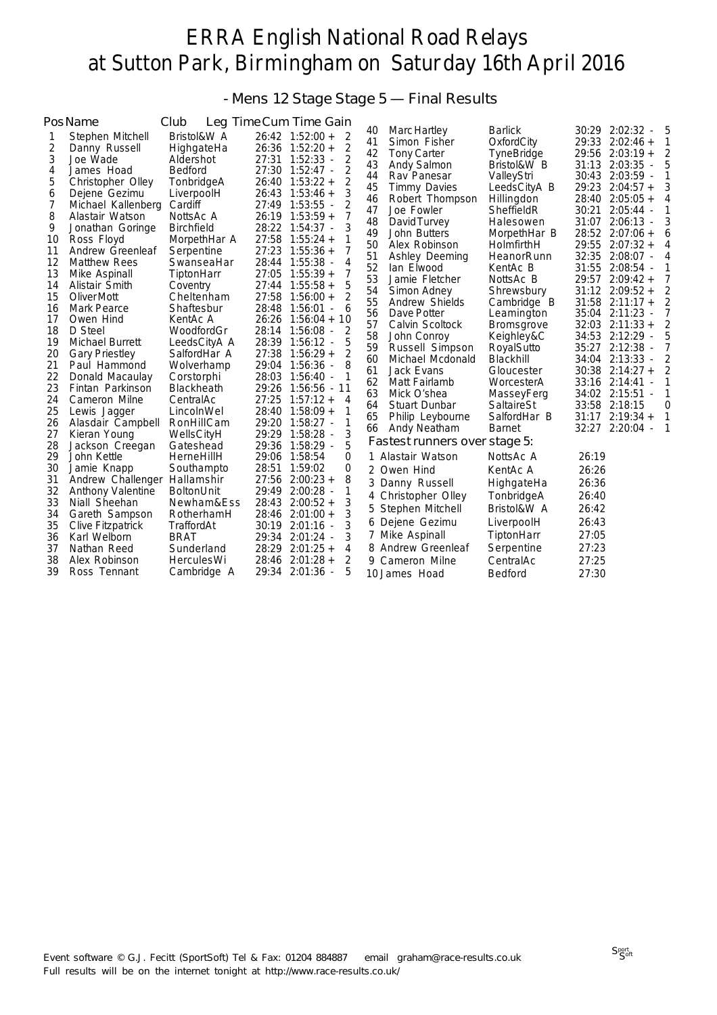### - Mens 12 Stage Stage 5 — Final Results

|          | PosName                         | Club                     |                | Leg Time Cum Time Gain         |                |                               |                                  |       |                                           |              |
|----------|---------------------------------|--------------------------|----------------|--------------------------------|----------------|-------------------------------|----------------------------------|-------|-------------------------------------------|--------------|
| 1        | Stephen Mitchell                | Bristol&W A              |                | $26:42$ 1:52:00 +<br>2         | 40             | Marc Hartley                  | <b>Barlick</b>                   |       | 30:29 2:02:32                             | 5            |
| 2        | Danny Russell                   | HighgateHa               |                | 2<br>$26:36$ 1:52:20 +         | 41             | Simon Fisher                  | OxfordCity                       | 29:33 | $2:02:46+$                                | 1            |
| 3        | Joe Wade                        | Aldershot                | 27:31          | $1:52:33 -$<br>2               | 42<br>43       | <b>Tony Carter</b>            | <b>TyneBridge</b><br>Bristol&W B | 31:13 | 29:56 2:03:19 +<br>2:03:35                | 5            |
| 4        | James Hoad                      | <b>Bedford</b>           | 27:30          | $1:52:47$ -<br>2               | 44             | Andy Salmon<br>Rav Panesar    | ValleyStri                       | 30:43 | $2:03:59$ -                               | 1            |
| 5        | Christopher Olley               | TonbridgeA               | 26:40          | 2<br>$1:53:22+$                | 45             | <b>Timmy Davies</b>           | LeedsCityA B                     | 29:23 | $2:04:57 +$                               | 3            |
| 6        | Dejene Gezimu                   | LiverpoolH               | 26:43          | $1:53:46+$<br>3                | 46             | Robert Thompson               | Hillingdon                       | 28:40 | $2:05:05 +$                               | 4            |
| 7        | Michael Kallenberg              | Cardiff                  | 27:49          | $1:53:55 -$<br>2               | 47             | Joe Fowler                    | SheffieldR                       | 30:21 | $2:05:44 -$                               |              |
| 8        | Alastair Watson                 | NottsAc A                | 26:19          | $1:53:59 +$                    | 48             | David Turvey                  | Halesowen                        | 31:07 | $2:06:13 -$                               |              |
| 9        | Jonathan Goringe                | <b>Birchfield</b>        | 28:22          | 3<br>$1:54:37 -$               | 49             | John Butters                  | MorpethHar B                     | 28:52 | $2:07:06 +$                               | 6            |
| 10       | Ross Floyd                      | MorpethHar A             | 27:58          | $1:55:24 +$<br>1               | 50             | Alex Robinson                 | HolmfirthH                       | 29:55 | $2:07:32 +$                               | 4            |
| 11       | Andrew Greenleaf                | Serpentine               | 27:23          | $1:55:36 +$<br>7               | 51             | Ashley Deeming                | HeanorRunn                       | 32:35 | 2:08:07                                   | 4            |
| 12       | <b>Matthew Rees</b>             | SwanseaHar               | 28:44          | $1:55:38 -$<br>4               | 52             | lan Elwood                    | KentAc B                         | 31:55 | $2:08:54 -$                               | 1            |
| 13       | Mike Aspinall                   | TiptonHarr               | 27:05          | $1:55:39 +$<br>7               | 53             | Jamie Fletcher                | NottsAc B                        |       | 29:57 2:09:42 +                           | 7            |
| 14       | Alistair Smith                  | Coventry                 | 27:44          | 5<br>$1:55:58 +$               | 54             | Simon Adney                   | Shrewsbury                       | 31:12 | $2:09:52 +$                               |              |
| 15       | Oliver Mott                     | Cheltenham               | 27:58          | 2<br>$1:56:00 +$               | 55             | Andrew Shields                | Cambridge B                      |       | $31:58$ $2:11:17+$                        | 2            |
| 16       | Mark Pearce                     | Shaftesbur               | 28:48          | $1:56:01 -$<br>6               | 56             | Dave Potter                   | Leamington                       |       | 35:04 2:11:23                             |              |
| 17       | Owen Hind                       | KentAc A                 | 26:26          | $1:56:04 +$<br>10              | 57             | Calvin Scoltock               | <b>Bromsgrove</b>                | 32:03 | $2:11:33+$                                | 2            |
| 18<br>19 | D Steel                         | WoodfordGr               | 28:14          | $1:56:08 -$<br>2<br>5          | 58             | John Conroy                   | Keighley&C                       | 34:53 | 2:12:29<br>$\overline{\phantom{a}}$       | 5            |
|          | Michael Burrett                 | LeedsCityA A             | 28:39          | $1:56:12 -$                    | 59             | Russell Simpson               | RoyalSutto                       |       | 35:27 2:12:38<br>$\overline{\phantom{a}}$ | 7            |
| 20<br>21 | <b>Gary Priestley</b>           | SalfordHar A             | 27:38<br>29:04 | $1:56:29+$<br>2<br>$1:56:36$ - | 60             | Michael Mcdonald              | Blackhill                        |       | 34:04 2:13:33 -                           |              |
| 22       | Paul Hammond<br>Donald Macaulay | Wolverhamp<br>Corstorphi | 28:03          | $1:56:40 -$                    | 61             | Jack Evans                    | Gloucester                       |       | $30:38$ $2:14:27 +$                       |              |
| 23       | Fintan Parkinson                | <b>Blackheath</b>        | 29:26          | 1:56:56 - 11                   | 62             | Matt Fairlamb                 | WorcesterA                       |       | 33:16 2:14:41                             | 1            |
| 24       | Cameron Milne                   | CentralAc                | 27:25          | $1:57:12+$<br>$\overline{4}$   | 63             | Mick O'shea                   | MasseyFerg                       |       | 34:02 2:15:51                             | 1            |
| 25       | Lewis Jagger                    | LincolnWel               | 28:40          | $1:58:09 +$<br>1               | 64             | Stuart Dunbar                 | SaltaireSt                       | 33:58 | 2:18:15                                   | 0            |
| 26       | Alasdair Campbell               | RonHillCam               | 29:20          | $1:58:27 -$<br>1               | 65             | Philip Leybourne              | SalfordHar B                     | 31:17 | $2:19:34 +$                               | $\mathbf{1}$ |
| 27       | Kieran Young                    | WellsCityH               | 29:29          | 3<br>$1:58:28$ -               | 66             | Andy Neatham                  | <b>Barnet</b>                    |       | 32:27 2:20:04<br>$\sim$                   | 1            |
| 28       | Jackson Creegan                 | Gateshead                | 29:36          | 5<br>$1:58:29$ -               |                | Fastest runners over stage 5: |                                  |       |                                           |              |
| 29       | John Kettle                     | HerneHillH               | 29:06          | 1:58:54<br>0                   |                | 1 Alastair Watson             | NottsAc A                        | 26:19 |                                           |              |
| 30       | Jamie Knapp                     | Southampto               | 28:51          | 1:59:02<br>0                   | $\overline{2}$ | Owen Hind                     | KentAc A                         | 26:26 |                                           |              |
| 31       | Andrew Challenger Hallamshir    |                          | 27:56          | 8<br>$2:00:23 +$               | 3              | Danny Russell                 | HighgateHa                       | 26:36 |                                           |              |
| 32       | <b>Anthony Valentine</b>        | BoltonUnit               | 29:49          | $2:00:28 -$<br>1               | 4              | Christopher Olley             | TonbridgeA                       | 26:40 |                                           |              |
| 33       | Niall Sheehan                   | Newham&Ess               | 28:43          | 3<br>$2:00:52 +$               |                |                               |                                  | 26:42 |                                           |              |
| 34       | Gareth Sampson                  | RotherhamH               | 28:46          | 3<br>$2:01:00 +$               | 5              | Stephen Mitchell              | Bristol&W A                      |       |                                           |              |
| 35       | <b>Clive Fitzpatrick</b>        | TraffordAt               | 30:19          | 3<br>$2:01:16$ -               | 6              | Dejene Gezimu                 | LiverpoolH                       | 26:43 |                                           |              |
| 36       | Karl Welborn                    | <b>BRAT</b>              | 29:34          | $2:01:24 -$<br>3               |                | 7 Mike Aspinall               | TiptonHarr                       | 27:05 |                                           |              |
| 37       | Nathan Reed                     | Sunderland               | 28:29          | $2:01:25+$<br>4                | 8              | <b>Andrew Greenleaf</b>       | Serpentine                       | 27:23 |                                           |              |
| 38       | Alex Robinson                   | <b>Hercules Wi</b>       | 28:46          | $2:01:28 +$<br>2               | 9.             | Cameron Milne                 | CentralAc                        | 27:25 |                                           |              |
| 39       | Ross Tennant                    | Cambridge A              | 29:34          | 2:01:36<br>5                   |                | 10 James Hoad                 | Bedford                          | 27:30 |                                           |              |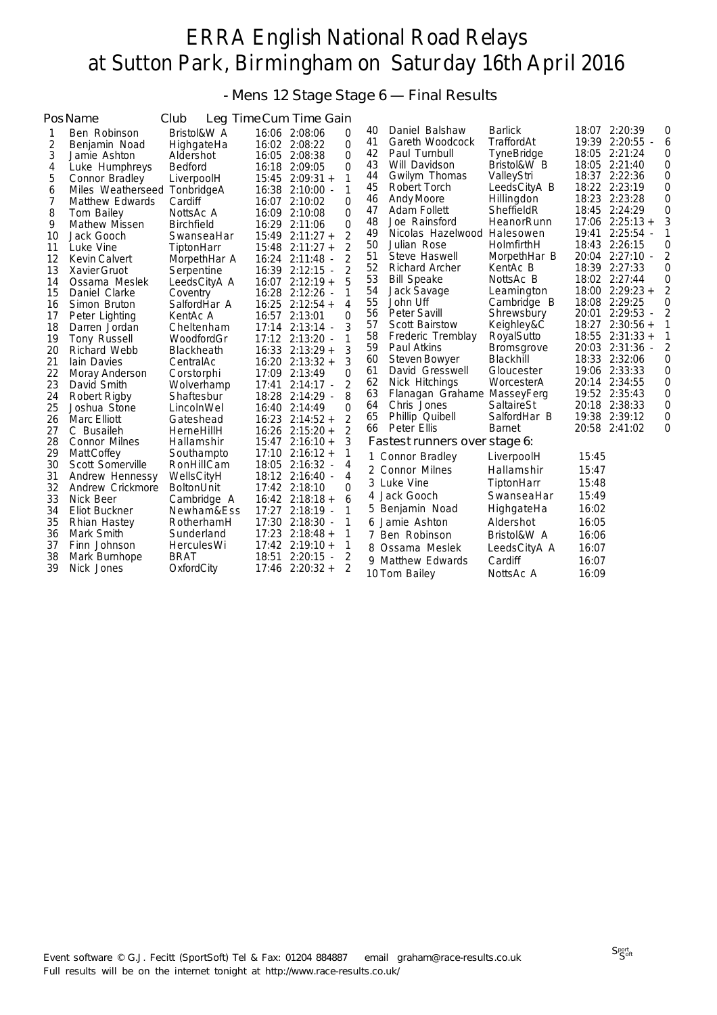- Mens 12 Stage Stage 6 — Final Results

|    | PosName                      | Club              |       | Leg Time Cum Time Gain  |          |    |                               |                   |       |                                           |                |
|----|------------------------------|-------------------|-------|-------------------------|----------|----|-------------------------------|-------------------|-------|-------------------------------------------|----------------|
| 1  | Ben Robinson                 | Bristol&W A       |       | 16:06 2:08:06           | $\Omega$ | 40 | Daniel Balshaw                | <b>Barlick</b>    |       | 18:07 2:20:39                             | 0              |
| 2  | Benjamin Noad                | HighgateHa        |       | 16:02 2:08:22           | $\Omega$ | 41 | Gareth Woodcock               | TraffordAt        |       | 19:39 2:20:55                             | 6              |
| 3  | Jamie Ashton                 | Aldershot         |       | 16:05 2:08:38           | $\Omega$ | 42 | Paul Turnbull                 | <b>TyneBridge</b> |       | 18:05 2:21:24                             | 0              |
| 4  | Luke Humphreys               | <b>Bedford</b>    |       | 16:18 2:09:05           | $\Omega$ | 43 | Will Davidson                 | Bristol&W B       |       | 18:05 2:21:40                             | 0              |
| 5  | Connor Bradley               | LiverpoolH        |       | $15:45$ $2:09:31 +$     | 1        | 44 | Gwilym Thomas                 | ValleyStri        |       | 18:37 2:22:36                             | 0              |
| 6  | Miles Weatherseed TonbridgeA |                   |       | 16:38 2:10:00 -         | 1        | 45 | Robert Torch                  | LeedsCityA B      |       | 18:22 2:23:19                             | 0              |
| 7  | Matthew Edwards              | Cardiff           |       | 16:07 2:10:02           | $\Omega$ | 46 | Andy Moore                    | Hillingdon        |       | 18:23 2:23:28                             | 0              |
| 8  | Tom Bailey                   | NottsAc A         |       | 16:09 2:10:08           | $\Omega$ | 47 | Adam Follett                  | SheffieldR        | 18:45 | 2:24:29                                   | 0              |
| 9  | Mathew Missen                | <b>Birchfield</b> |       | 16:29 2:11:06           | $\Omega$ | 48 | Joe Rainsford                 | HeanorRunn        |       | $17:06$ $2:25:13+$                        | 3              |
| 10 | Jack Gooch                   | SwanseaHar        |       | $15:49$ $2:11:27+$      | 2        | 49 | Nicolas Hazelwood Halesowen   |                   | 19:41 | $2:25:54 -$                               | 1              |
| 11 | Luke Vine                    | TiptonHarr        | 15:48 | $2:11:27+$              | 2        | 50 | Julian Rose                   | HolmfirthH        |       | 18:43 2:26:15                             | 0              |
| 12 | <b>Kevin Calvert</b>         | MorpethHar A      | 16:24 | $2:11:48$ -             | 2        | 51 | Steve Haswell                 | MorpethHar B      |       | 20:04 2:27:10 -                           | 2              |
| 13 | Xavier Gruot                 | Serpentine        | 16:39 | $2:12:15 -$             | 2        | 52 | <b>Richard Archer</b>         | KentAc B          |       | 18:39 2:27:33                             | 0              |
| 14 | Ossama Meslek                | LeedsCityA A      |       | $16:07$ $2:12:19+$      |          | 53 | <b>Bill Speake</b>            | NottsAc B         |       | 18:02 2:27:44                             | 0              |
| 15 | Daniel Clarke                | Coventry          | 16:28 | 2:12:26 -               |          | 54 | Jack Savage                   | Leamington        |       | $18:00$ $2:29:23+$                        | 2              |
| 16 | Simon Bruton                 | SalfordHar A      |       | $16:25$ $2:12:54 +$     | 4        | 55 | John Uff                      | Cambridge B       |       | 18:08 2:29:25                             | 0              |
| 17 | Peter Lighting               | KentAc A          |       | 16:57 2:13:01           | $\Omega$ | 56 | Peter Savill                  | Shrewsbury        |       | 20:01 2:29:53<br>$\overline{\phantom{a}}$ | 2              |
| 18 | Darren Jordan                | Cheltenham        | 17:14 | $2:13:14 -$             | 3        | 57 | <b>Scott Bairstow</b>         | Keighley&C        | 18:27 | $2:30:56 +$                               | 1              |
| 19 | Tony Russell                 | WoodfordGr        |       | 17:12 2:13:20 -         |          | 58 | Frederic Tremblay             | RoyalSutto        |       | $18:55$ $2:31:33 +$                       | 1              |
| 20 | Richard Webb                 | Blackheath        |       | $16:33$ $2:13:29+$      | 3        | 59 | Paul Atkins                   | Bromsgrove        |       | 20:03 2:31:36 -                           | 2              |
| 21 | lain Davies                  | CentralAc         |       | $16:20$ $2:13:32 +$     | 3        | 60 | Steven Bowyer                 | Blackhill         |       | 18:33 2:32:06                             | 0              |
| 22 | Moray Anderson               | Corstorphi        |       | 17:09 2:13:49           | $\Omega$ | 61 | David Gresswell               | Gloucester        |       | 19:06 2:33:33                             | $\overline{0}$ |
| 23 | David Smith                  | Wolverhamp        | 17:41 | $2:14:17 -$             | 2        | 62 | Nick Hitchings                | WorcesterA        |       | 20:14 2:34:55                             | 0              |
| 24 | Robert Rigby                 | Shaftesbur        |       | 18:28 2:14:29 -         | 8        | 63 | Flanagan Grahame MasseyFerg   |                   |       | 19:52 2:35:43                             | 0              |
| 25 | Joshua Stone                 | LincolnWel        |       | 16:40 2:14:49           | $\Omega$ | 64 | Chris Jones                   | SaltaireSt        |       | 20:18 2:38:33                             | 0              |
| 26 | Marc Elliott                 | Gateshead         |       | $16:23$ $2:14:52 +$     | 2        | 65 | Phillip Quibell               | SalfordHar B      |       | 19:38 2:39:12                             | $\mathbf 0$    |
| 27 | C Busaileh                   | HerneHillH        |       | $16:26$ $2:15:20 +$     | 2        | 66 | Peter Ellis                   | <b>Barnet</b>     |       | 20:58 2:41:02                             | 0              |
| 28 | Connor Milnes                | Hallamshir        |       | $15:47$ $2:16:10+$      | 3        |    | Fastest runners over stage 6: |                   |       |                                           |                |
| 29 | Matt Coffey                  | Southampto        |       | $17:10$ $2:16:12 +$     | 1        |    | 1 Connor Bradley              | LiverpoolH        | 15:45 |                                           |                |
| 30 | Scott Somerville             | RonHillCam        |       | 18:05 2:16:32 -         | 4        |    | 2 Connor Milnes               | Hallamshir        | 15:47 |                                           |                |
| 31 | Andrew Hennessy              | WellsCityH        |       | 18:12 2:16:40 -         | 4        |    | 3 Luke Vine                   | TiptonHarr        | 15:48 |                                           |                |
| 32 | Andrew Crickmore             | <b>BoltonUnit</b> |       | 17:42 2:18:10           | 0        | 4  | Jack Gooch                    | SwanseaHar        | 15:49 |                                           |                |
| 33 | Nick Beer                    | Cambridge A       |       | $16:42 \quad 2:18:18 +$ | 6        |    |                               |                   |       |                                           |                |
| 34 | Eliot Buckner                | Newham&Ess        |       | 17:27 2:18:19 -         | 1        | 5  | Benjamin Noad                 | HighgateHa        | 16:02 |                                           |                |
| 35 | Rhian Hastey                 | RotherhamH        |       | 17:30 2:18:30 -         |          | 6  | Jamie Ashton                  | Aldershot         | 16:05 |                                           |                |
| 36 | Mark Smith                   | Sunderland        |       | $17:23$ $2:18:48 +$     | 1        |    | 7 Ben Robinson                | Bristol&W A       | 16:06 |                                           |                |
| 37 | Finn Johnson                 | HerculesWi        |       | $17:42$ $2:19:10+$      | 1        | 8  | Ossama Meslek                 | LeedsCityA A      | 16:07 |                                           |                |
| 38 | Mark Burnhope                | <b>BRAT</b>       | 18:51 | $2:20:15 -$             | 2        |    | 9 Matthew Edwards             | Cardiff           | 16:07 |                                           |                |
| 39 | Nick Jones                   | OxfordCity        |       | $17:46$ $2:20:32 +$     | 2        |    | 10 Tom Bailey                 | NottsAc A         | 16:09 |                                           |                |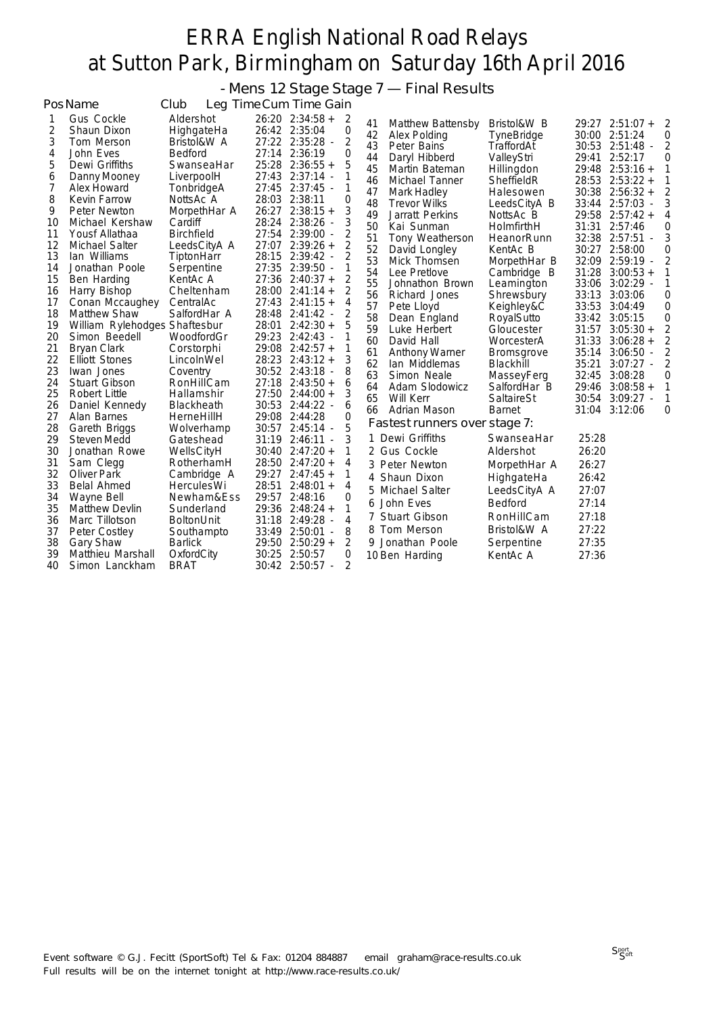- Mens 12 Stage Stage 7 — Final Results

|    | PosName                       | Club              | Leg Time Cum Time Gain |   |    |                               |                   |       |                     |   |
|----|-------------------------------|-------------------|------------------------|---|----|-------------------------------|-------------------|-------|---------------------|---|
| 1  | <b>Gus Cockle</b>             | Aldershot         | $26:20$ $2:34:58 +$    | 2 | 41 | Matthew Battensby             | Bristol&W B       |       | 29:27 2:51:07 +     | 2 |
| 2  | Shaun Dixon                   | HighgateHa        | 26:42 2:35:04          | 0 | 42 | Alex Polding                  | TyneBridge        |       | 30:00 2:51:24       | 0 |
| 3  | Tom Merson                    | Bristol&W A       | 27:22 2:35:28 -        | 2 | 43 | Peter Bains                   | TraffordAt        |       | 30:53 2:51:48 -     | 2 |
| 4  | John Eves                     | Bedford           | 27:14 2:36:19          | 0 | 44 | Daryl Hibberd                 | ValleyStri        | 29:41 | 2:52:17             | 0 |
| 5  | Dewi Griffiths                | SwanseaHar        | $25:28$ $2:36:55 +$    | 5 | 45 | Martin Bateman                | Hillingdon        | 29:48 | $2:53:16+$          | 1 |
| 6  | Danny Mooney                  | LiverpoolH        | 27:43 2:37:14 -        | 1 | 46 | Michael Tanner                | SheffieldR        |       | $28:53$ $2:53:22 +$ | 1 |
| 7  | Alex Howard                   | TonbridgeA        | 27:45 2:37:45 -        | 1 | 47 | Mark Hadley                   | Halesowen         |       | $30:38$ $2:56:32 +$ | 2 |
| 8  | <b>Kevin Farrow</b>           | NottsAc A         | 28:03 2:38:11          | 0 | 48 | <b>Trevor Wilks</b>           | LeedsCityA B      | 33:44 | 2:57:03             | 3 |
| 9  | Peter Newton                  | MorpethHar A      | $26:27$ $2:38:15 +$    | 3 | 49 | Jarratt Perkins               | NottsAc B         |       | 29:58 2:57:42 +     | 4 |
| 10 | Michael Kershaw               | Cardiff           | 28:24<br>$2:38:26$ -   | 3 | 50 | Kai Sunman                    | HolmfirthH        | 31:31 | 2:57:46             | 0 |
| 11 | Yousf Allathaa                | <b>Birchfield</b> | 27:54 2:39:00 -        | 2 | 51 | Tony Weatherson               | HeanorRunn        |       | 32:38 2:57:51 -     | 3 |
| 12 | Michael Salter                | LeedsCityA A      | 27:07 2:39:26 +        | 2 | 52 | David Longley                 | KentAc B          | 30:27 | 2:58:00             | 0 |
| 13 | lan Williams                  | TiptonHarr        | $2:39:42 -$<br>28:15   | 2 | 53 | Mick Thomsen                  | MorpethHar B      | 32:09 | $2:59:19 -$         | 2 |
| 14 | Jonathan Poole                | Serpentine        | 27:35 2:39:50 -        | 1 | 54 | Lee Pretlove                  | Cambridge B       | 31:28 | $3:00:53 +$         | 1 |
| 15 | Ben Harding                   | KentAc A          | 27:36 2:40:37 +        | 2 | 55 | Johnathon Brown               | Leamington        | 33:06 | $3:02:29$ -         | 1 |
| 16 | Harry Bishop                  | Cheltenham        | $28:00$ $2:41:14 +$    | 2 | 56 | Richard Jones                 | Shrewsbury        | 33:13 | 3:03:06             | 0 |
| 17 | Conan Mccaughey               | CentralAc         | $27:43$ $2:41:15+$     | 4 | 57 | Pete Lloyd                    | Keighley&C        |       | 33:53 3:04:49       | 0 |
| 18 | <b>Matthew Shaw</b>           | SalfordHar A      | 28:48 2:41:42 -        | 2 | 58 | Dean England                  | RoyalSutto        |       | 33:42 3:05:15       | 0 |
| 19 | William Rylehodges Shaftesbur |                   | $28:01$ $2:42:30+$     | 5 | 59 | Luke Herbert                  | Gloucester        | 31:57 | $3:05:30 +$         | 2 |
| 20 | Simon Beedell                 | WoodfordGr        | 29:23 2:42:43 -        | 1 | 60 | David Hall                    | WorcesterA        | 31:33 | $3:06:28 +$         | 2 |
| 21 | <b>Bryan Clark</b>            | Corstorphi        | 29:08 2:42:57 +        | 1 | 61 | <b>Anthony Warner</b>         | <b>Bromsgrove</b> | 35:14 | 3:06:50             | 2 |
| 22 | <b>Elliott Stones</b>         | LincolnWel        | $28:23$ $2:43:12 +$    | 3 | 62 | Ian Middlemas                 | Blackhill         | 35:21 | $3:07:27 -$         | 2 |
| 23 | Iwan Jones                    | Coventry          | 30:52 2:43:18 -        | 8 | 63 | Simon Neale                   | MasseyFerg        | 32:45 | 3:08:28             | 0 |
| 24 | Stuart Gibson                 | RonHillCam        | $27:18$ $2:43:50+$     | 6 | 64 | Adam Slodowicz                | SalfordHar B      | 29:46 | $3:08:58 +$         | 1 |
| 25 | Robert Little                 | Hallamshir        | 27:50 2:44:00 +        | 3 | 65 | Will Kerr                     | SaltaireSt        |       | $30:54$ $3:09:27$ - | 1 |
| 26 | Daniel Kennedy                | Blackheath        | 30:53 2:44:22 -        | 6 | 66 | Adrian Mason                  | <b>Barnet</b>     |       | 31:04 3:12:06       | 0 |
| 27 | Alan Barnes                   | HerneHillH        | 29:08 2:44:28          | 0 |    | Fastest runners over stage 7: |                   |       |                     |   |
| 28 | Gareth Briggs                 | Wolverhamp        | 30:57 2:45:14 -        | 5 |    |                               |                   |       |                     |   |
| 29 | Steven Medd                   | Gateshead         | $31:19$ $2:46:11$ -    | 3 |    | 1 Dewi Griffiths              | SwanseaHar        | 25:28 |                     |   |
| 30 | Jonathan Rowe                 | WellsCityH        | $30:40$ $2:47:20 +$    | 1 |    | 2 Gus Cockle                  | Aldershot         | 26:20 |                     |   |
| 31 | Sam Clegg                     | RotherhamH        | 28:50 2:47:20 +        | 4 |    | 3 Peter Newton                | MorpethHar A      | 26:27 |                     |   |
| 32 | <b>Oliver Park</b>            | Cambridge A       | 29:27 2:47:45 +        | 1 |    | 4 Shaun Dixon                 | HighgateHa        | 26:42 |                     |   |
| 33 | Belal Ahmed                   | <b>HerculesWi</b> | 28:51<br>$2:48:01 +$   | 4 |    | 5 Michael Salter              | LeedsCityA A      | 27:07 |                     |   |
| 34 | Wayne Bell                    | Newham&Ess        | 29:57<br>2:48:16       | 0 | 6  | John Eves                     | <b>Bedford</b>    | 27:14 |                     |   |
| 35 | <b>Matthew Devlin</b>         | Sunderland        | 29:36<br>$2:48:24+$    | 1 |    | 7 Stuart Gibson               | RonHillCam        | 27:18 |                     |   |
| 36 | Marc Tillotson                | <b>BoltonUnit</b> | 31:18<br>2:49:28 -     | 4 |    |                               |                   |       |                     |   |
| 37 | Peter Costley                 | Southampto        | 33:49 2:50:01 -        | 8 |    | 8 Tom Merson                  | Bristol&W A       | 27:22 |                     |   |
| 38 | <b>Gary Shaw</b>              | <b>Barlick</b>    | 29:50<br>$2:50:29+$    | 2 |    | 9 Jonathan Poole              | Serpentine        | 27:35 |                     |   |
| 39 | Matthieu Marshall             | OxfordCity        | 30:25<br>2:50:57       | 0 |    | 10 Ben Harding                | KentAc A          | 27:36 |                     |   |
| 40 | Simon Lanckham                | <b>BRAT</b>       | 30:42 2:50:57 -        | 2 |    |                               |                   |       |                     |   |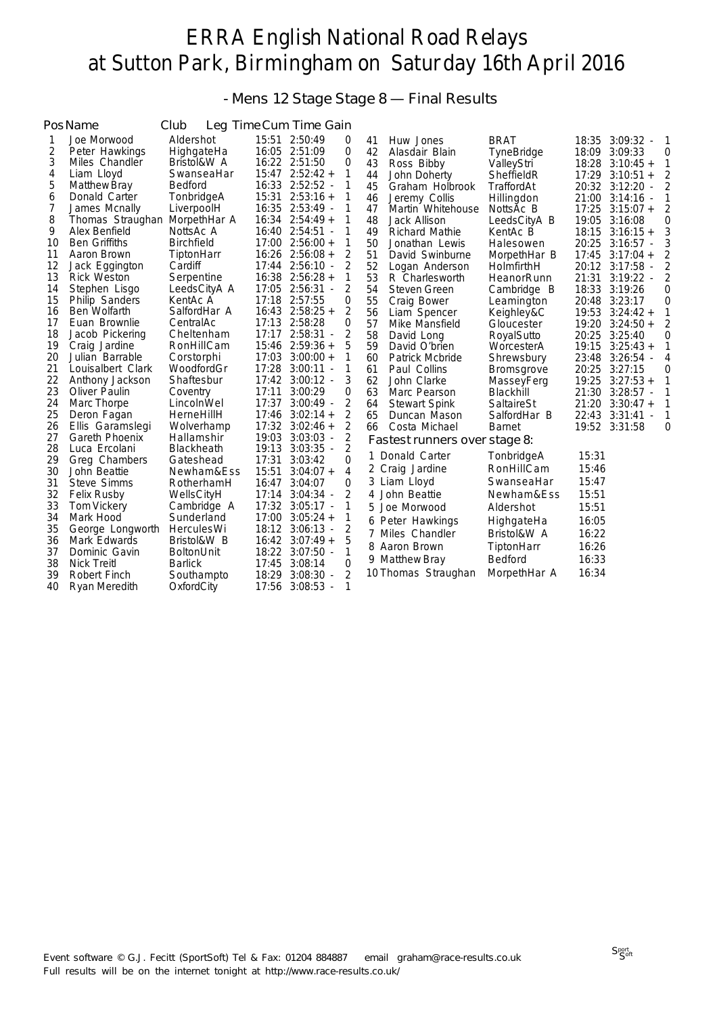- Mens 12 Stage Stage 8 — Final Results

|          | PosName                       | Club              |       | Leg Time Cum Time Gain              |        |    |                               |                   |       |                                           |    |
|----------|-------------------------------|-------------------|-------|-------------------------------------|--------|----|-------------------------------|-------------------|-------|-------------------------------------------|----|
| 1        | Joe Morwood                   | Aldershot         |       | 15:51 2:50:49                       | 0      | 41 | Huw Jones                     | <b>BRAT</b>       |       | 18:35 3:09:32 -                           | -1 |
| 2        | Peter Hawkings                | HighgateHa        |       | 16:05 2:51:09                       | 0      | 42 | Alasdair Blain                | <b>TyneBridge</b> |       | 18:09 3:09:33                             | 0  |
| 3        | Miles Chandler                | Bristol&W A       |       | 16:22 2:51:50                       | 0      | 43 | Ross Bibby                    | ValleyStri        | 18:28 | $3:10:45+$                                | 1  |
| 4        | Liam Lloyd                    | SwanseaHar        |       | $15:47$ $2:52:42 +$                 | 1      | 44 | John Doherty                  | SheffieldR        | 17:29 | $3:10:51 +$                               | 2  |
| 5        | Matthew Bray                  | <b>Bedford</b>    |       | 16:33 2:52:52 -                     | 1      | 45 | Graham Holbrook               | TraffordAt        |       | 20:32 3:12:20                             | 2  |
| 6        | Donald Carter                 | TonbridgeA        | 15:31 | $2:53:16+$                          | 1      | 46 | Jeremy Collis                 | Hillingdon        |       | 21:00 3:14:16<br>$\overline{\phantom{a}}$ | 1  |
| 7        | James Mcnally                 | LiverpoolH        |       | 16:35 2:53:49 -                     |        | 47 | Martin Whitehouse             | NottsAc B         | 17:25 | $3:15:07 +$                               | 2  |
| 8        | Thomas Straughan MorpethHar A |                   |       | $16:34$ $2:54:49+$                  |        | 48 | Jack Allison                  | LeedsCityA B      | 19:05 | 3:16:08                                   | 0  |
| 9        | Alex Benfield                 | NottsAc A         |       | 16:40 2:54:51 -                     | 1      | 49 | <b>Richard Mathie</b>         | KentAc B          | 18:15 | $3:16:15+$                                | 3  |
| 10       | <b>Ben Griffiths</b>          | <b>Birchfield</b> | 17:00 | $2:56:00 +$                         | 1      | 50 | Jonathan Lewis                | Halesowen         | 20:25 | $3:16:57 -$                               | 3  |
| 11       | Aaron Brown                   | TiptonHarr        |       | $16:26$ $2:56:08 +$                 | 2      | 51 | David Swinburne               | MorpethHar B      | 17:45 | $3:17:04 +$                               | 2  |
| 12       | Jack Eggington                | Cardiff           |       | 17:44 2:56:10 -                     | 2      | 52 | Logan Anderson                | HolmfirthH        |       | 20:12 3:17:58 -                           | 2  |
| 13       | <b>Rick Weston</b>            | Serpentine        |       | $16:38$ $2:56:28 +$                 | 1      | 53 | R Charlesworth                | HeanorRunn        | 21:31 | $3:19:22$ -                               | 2  |
| 14       | Stephen Lisgo                 | LeedsCityA A      |       | 17:05 2:56:31 -                     | 2      | 54 | Steven Green                  | Cambridge B       | 18:33 | 3:19:26                                   | 0  |
| 15       | <b>Philip Sanders</b>         | KentAc A          |       | 17:18 2:57:55                       | 0      | 55 | Craig Bower                   | Leamington        | 20:48 | 3:23:17                                   | 0  |
| 16       | Ben Wolfarth                  | SalfordHar A      |       | $16:43$ $2:58:25+$                  | 2      | 56 | Liam Spencer                  | Keighley&C        | 19:53 | $3:24:42 +$                               | 1  |
| 17       | Euan Brownlie                 | CentralAc         |       | 17:13 2:58:28                       | 0      | 57 | Mike Mansfield                | Gloucester        | 19:20 | $3:24:50+$                                | 2  |
| 18       | Jacob Pickering               | Cheltenham        | 17:17 | $2:58:31 -$                         | 2      | 58 | David Long                    | RoyalSutto        | 20:25 | 3:25:40                                   | 0  |
| 19       | Craig Jardine                 | RonHillCam        | 15:46 | $2:59:36+$                          | 5      | 59 | David O'brien                 | WorcesterA        | 19:15 | $3:25:43+$                                | 1  |
| 20       | Julian Barrable               | Corstorphi        | 17:03 | $3:00:00 +$                         | 1      | 60 | Patrick Mcbride               | Shrewsbury        | 23:48 | 3:26:54                                   | 4  |
| 21       | Louisalbert Clark             | WoodfordGr        | 17:28 | $3:00:11 -$                         | 1      | 61 | Paul Collins                  | <b>Bromsgrove</b> | 20:25 | 3:27:15                                   | 0  |
| 22       | Anthony Jackson               | Shaftesbur        |       | $17:42$ $3:00:12$ -                 | 3      | 62 | John Clarke                   | MasseyFerg        | 19:25 | $3:27:53 +$                               | 1  |
| 23       | Oliver Paulin                 | Coventry          | 17:11 | 3:00:29                             | 0      | 63 | Marc Pearson                  | Blackhill         | 21:30 | $3:28:57 -$                               | 1  |
| 24       | Marc Thorpe                   | LincolnWel        | 17:37 | $3:00:49 -$                         | 2      | 64 | <b>Stewart Spink</b>          | SaltaireSt        | 21:20 | $3:30:47 +$                               | 1  |
| 25       | Deron Fagan                   | HerneHillH        | 17:46 | $3:02:14 +$                         | 2      | 65 | Duncan Mason                  | SalfordHar B      | 22:43 | 3:31:41                                   | 1  |
| 26       | Ellis Garamslegi              | Wolverhamp        |       | $17:32$ $3:02:46 +$                 | 2      | 66 | Costa Michael                 | <b>Barnet</b>     |       | 19:52 3:31:58                             | 0  |
| 27       | Gareth Phoenix                | Hallamshir        | 19:03 | $3:03:03$ -                         | 2      |    | Fastest runners over stage 8: |                   |       |                                           |    |
| 28       | Luca Ercolani                 | Blackheath        | 19:13 | $3:03:35 -$                         | 2      |    | 1 Donald Carter               | TonbridgeA        | 15:31 |                                           |    |
| 29       | Greg Chambers                 | Gateshead         | 17:31 | 3:03:42                             | 0      |    | 2 Craig Jardine               | RonHillCam        | 15:46 |                                           |    |
| 30       | John Beattie                  | Newham&Ess        | 15:51 | $3:04:07 +$                         | 4      |    | 3 Liam Lloyd                  | SwanseaHar        | 15:47 |                                           |    |
| 31       | Steve Simms                   | RotherhamH        | 16:47 | 3:04:07                             | 0      |    |                               |                   |       |                                           |    |
| 32       | <b>Felix Rusby</b>            | WellsCityH        | 17:14 | $3:04:34 -$                         | 2      | 4  | John Beattie                  | Newham&Ess        | 15:51 |                                           |    |
| 33       | Tom Vickery                   | Cambridge A       |       | 17:32 3:05:17 -                     | 1      | 5. | Joe Morwood                   | Aldershot         | 15:51 |                                           |    |
| 34       | Mark Hood                     | Sunderland        | 17:00 | $3:05:24 +$                         | 1      |    | 6 Peter Hawkings              | HighgateHa        | 16:05 |                                           |    |
| 35       | George Longworth              | HerculesWi        |       | 18:12 3:06:13 -                     | 2      |    | 7 Miles Chandler              | Bristol&W A       | 16:22 |                                           |    |
| 36       | Mark Edwards                  | Bristol&W B       |       | $16:42$ $3:07:49+$                  | 5      |    | 8 Aaron Brown                 | TiptonHarr        | 16:26 |                                           |    |
| 37<br>38 | Dominic Gavin                 | <b>BoltonUnit</b> |       | 18:22 3:07:50 -                     | 1      |    | 9 Matthew Bray                | Bedford           | 16:33 |                                           |    |
| 39       | <b>Nick Treitl</b>            | <b>Barlick</b>    | 17:45 | 3:08:14                             | 0<br>2 |    | 10 Thomas Straughan           | MorpethHar A      | 16:34 |                                           |    |
|          | Robert Finch                  | Southampto        | 18:29 | 3:08:30<br>$\overline{\phantom{a}}$ |        |    |                               |                   |       |                                           |    |
| 40       | Ryan Meredith                 | OxfordCity        | 17:56 | $3:08:53 -$                         | 1      |    |                               |                   |       |                                           |    |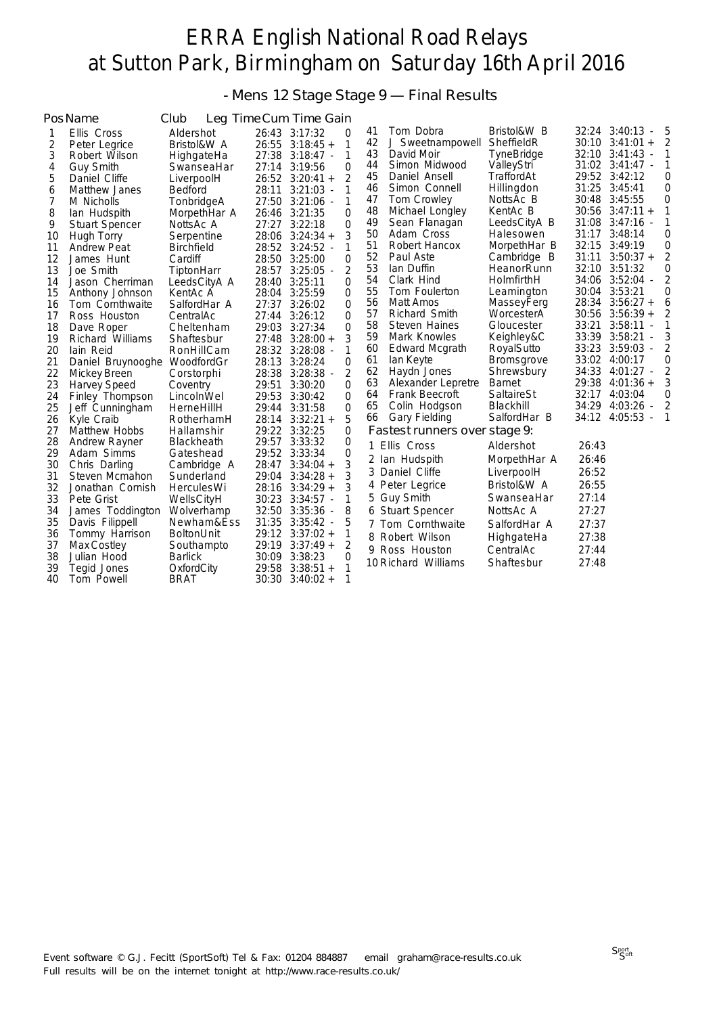- Mens 12 Stage Stage 9 — Final Results

|    | PosName                      | Club              |       | Leg Time Cum Time Gain |                  |    |                               |                   |       |                                           |                |
|----|------------------------------|-------------------|-------|------------------------|------------------|----|-------------------------------|-------------------|-------|-------------------------------------------|----------------|
| 1  | Ellis Cross                  | Aldershot         |       | 26:43 3:17:32          | 0                | 41 | Tom Dobra                     | Bristol&W B       |       | 32:24 3:40:13<br>÷,                       | 5              |
| 2  | Peter Legrice                | Bristol&W A       |       | $26:55$ $3:18:45 +$    | 1                | 42 | J Sweetnampowell              | SheffieldR        |       | $30:10$ $3:41:01 +$                       | 2              |
| 3  | Robert Wilson                | HighgateHa        | 27:38 | 3:18:47 -              | 1                | 43 | David Moir                    | <b>TyneBridge</b> | 32:10 | 3:41:43<br>$\overline{\phantom{a}}$       | 1              |
| 4  | <b>Guy Smith</b>             | SwanseaHar        |       | 27:14 3:19:56          | 0                | 44 | Simon Midwood                 | ValleyStri        |       | 31:02 3:41:47 -                           | 1              |
| 5  | Daniel Cliffe                | LiverpoolH        |       | 26:52 3:20:41 +        | $\overline{2}$   | 45 | Daniel Ansell                 | TraffordAt        |       | 29:52 3:42:12                             | 0              |
| 6  | <b>Matthew Janes</b>         | <b>Bedford</b>    | 28:11 | $3:21:03$ -            | 1                | 46 | Simon Connell                 | Hillingdon        | 31:25 | 3:45:41                                   | 0              |
| 7  | M Nicholls                   | TonbridgeA        | 27:50 | $3:21:06$ -            | 1                | 47 | Tom Crowley                   | NottsAc B         | 30:48 | 3:45:55                                   | 0              |
| 8  | lan Hudspith                 | MorpethHar A      | 26:46 | 3:21:35                | 0                | 48 | Michael Longley               | KentAc B          |       | $30:56$ $3:47:11 +$                       | 1              |
| 9  | <b>Stuart Spencer</b>        | NottsAc A         | 27:27 | 3:22:18                | $\overline{0}$   | 49 | Sean Flanagan                 | LeedsCityA B      | 31:08 | $3:47:16$ -                               | 1              |
| 10 | Hugh Torry                   | Serpentine        | 28:06 | $3:24:34 +$            | 3                | 50 | Adam Cross                    | Halesowen         | 31:17 | 3:48:14                                   | 0              |
| 11 | <b>Andrew Peat</b>           | <b>Birchfield</b> |       | 28:52 3:24:52 -        | 1                | 51 | Robert Hancox                 | MorpethHar B      | 32:15 | 3:49:19                                   | 0              |
| 12 | James Hunt                   | Cardiff           | 28:50 | 3:25:00                | 0                | 52 | Paul Aste                     | Cambridge B       | 31:11 | $3:50:37 +$                               | 2              |
| 13 | Joe Smith                    | TiptonHarr        |       | 28:57 3:25:05 -        | $\overline{2}$   | 53 | lan Duffin                    | HeanorRunn        | 32:10 | 3:51:32                                   | 0              |
| 14 | Jason Cherriman              | LeedsCityA A      | 28:40 | 3:25:11                | 0                | 54 | Clark Hind                    | HolmfirthH        |       | 34:06 3:52:04 -                           | $\overline{2}$ |
| 15 | Anthony Johnson              | KentAc A          |       | 28:04 3:25:59          | $\Omega$         | 55 | Tom Foulerton                 | Leamington        | 30:04 | 3:53:21                                   | 0              |
| 16 | Tom Cornthwaite              | SalfordHar A      |       | 27:37 3:26:02          | $\overline{0}$   | 56 | Matt Amos                     | MasseyFerg        | 28:34 | $3:56:27 +$                               | 6              |
| 17 | Ross Houston                 | CentralAc         | 27:44 | 3:26:12                | 0                | 57 | Richard Smith                 | WorcesterA        | 30:56 | $3:56:39 +$                               | $\overline{2}$ |
| 18 | Dave Roper                   | Cheltenham        | 29:03 | 3:27:34                | 0                | 58 | Steven Haines                 | Gloucester        | 33:21 | 3:58:11<br>$\overline{\phantom{a}}$       | $\mathbf{1}$   |
| 19 | Richard Williams             | Shaftesbur        | 27:48 | $3:28:00 +$            | 3                | 59 | Mark Knowles                  | Keighley&C        |       | 33:39 3:58:21<br>$\overline{\phantom{a}}$ | 3              |
| 20 | lain Reid                    | RonHillCam        |       | 28:32 3:28:08 -        | 1                | 60 | Edward Mcgrath                | RoyalSutto        | 33:23 | 3:59:03<br>$\overline{\phantom{a}}$       | $\overline{2}$ |
| 21 | Daniel Bruynooghe WoodfordGr |                   |       | 28:13 3:28:24          | 0                | 61 | lan Keyte                     | <b>Bromsgrove</b> | 33:02 | 4:00:17                                   | 0              |
| 22 | Mickey Breen                 | Corstorphi        | 28:38 | $3:28:38$ -            | $\overline{2}$   | 62 | Haydn Jones                   | Shrewsbury        | 34:33 | 4:01:27<br>$\overline{\phantom{a}}$       | 2              |
| 23 | Harvey Speed                 | Coventry          |       | 29:51 3:30:20          | 0                | 63 | Alexander Lepretre            | <b>Barnet</b>     | 29:38 | $4:01:36+$                                | 3              |
| 24 | Finley Thompson              | LincolnWel        | 29:53 | 3:30:42                | $\overline{0}$   | 64 | Frank Beecroft                | SaltaireSt        | 32:17 | 4:03:04                                   | 0              |
| 25 | Jeff Cunningham              | HerneHillH        | 29:44 | 3:31:58                | 0                | 65 | Colin Hodgson                 | Blackhill         | 34:29 | 4:03:26<br>$\overline{\phantom{a}}$       | 2              |
| 26 | Kyle Craib                   | RotherhamH        |       | $28:14$ $3:32:21 +$    | 5                | 66 | Gary Fielding                 | SalfordHar B      | 34:12 | 4:05:53                                   | 1              |
| 27 | <b>Matthew Hobbs</b>         | Hallamshir        |       | 29:22 3:32:25          | 0                |    | Fastest runners over stage 9: |                   |       |                                           |                |
| 28 | <b>Andrew Rayner</b>         | <b>Blackheath</b> |       | 29:57 3:33:32          | 0                |    | 1 Ellis Cross                 | Aldershot         | 26:43 |                                           |                |
| 29 | Adam Simms                   | Gateshead         | 29:52 | 3:33:34                | $\boldsymbol{0}$ |    | 2 Ian Hudspith                | MorpethHar A      | 26:46 |                                           |                |
| 30 | Chris Darling                | Cambridge A       | 28:47 | $3:34:04 +$            | 3                |    | 3 Daniel Cliffe               | LiverpoolH        | 26:52 |                                           |                |
| 31 | Steven Mcmahon               | Sunderland        | 29:04 | $3:34:28 +$            | 3                |    |                               | Bristol&W A       | 26:55 |                                           |                |
| 32 | Jonathan Cornish             | <b>HerculesWi</b> |       | $28:16$ $3:34:29 +$    | 3                |    | 4 Peter Legrice               |                   |       |                                           |                |
| 33 | Pete Grist                   | WellsCityH        |       | 30:23 3:34:57 -        | 1                |    | 5 Guy Smith                   | SwanseaHar        | 27:14 |                                           |                |
| 34 | James Toddington             | Wolverhamp        | 32:50 | 3:35:36                | 8                |    | 6 Stuart Spencer              | NottsAc A         | 27:27 |                                           |                |
| 35 | Davis Filippell              | Newham&Ess        |       | 31:35 3:35:42 -        | 5                |    | 7 Tom Cornthwaite             | SalfordHar A      | 27:37 |                                           |                |
| 36 | Tommy Harrison               | <b>BoltonUnit</b> |       | 29:12 3:37:02 +        | 1                |    | 8 Robert Wilson               | HighgateHa        | 27:38 |                                           |                |
| 37 | Max Costley                  | Southampto        | 29:19 | $3:37:49+$             | 2                |    | 9 Ross Houston                | CentralAc         | 27:44 |                                           |                |
| 38 | Julian Hood                  | <b>Barlick</b>    |       | 30:09 3:38:23          | 0                |    | 10 Richard Williams           | Shaftesbur        | 27:48 |                                           |                |
| 39 | Tegid Jones                  | OxfordCity        | 29:58 | $3:38:51 +$            | $\mathbf{1}$     |    |                               |                   |       |                                           |                |
| 40 | Tom Powell                   | <b>BRAT</b>       | 30:30 | $3:40:02 +$            | 1                |    |                               |                   |       |                                           |                |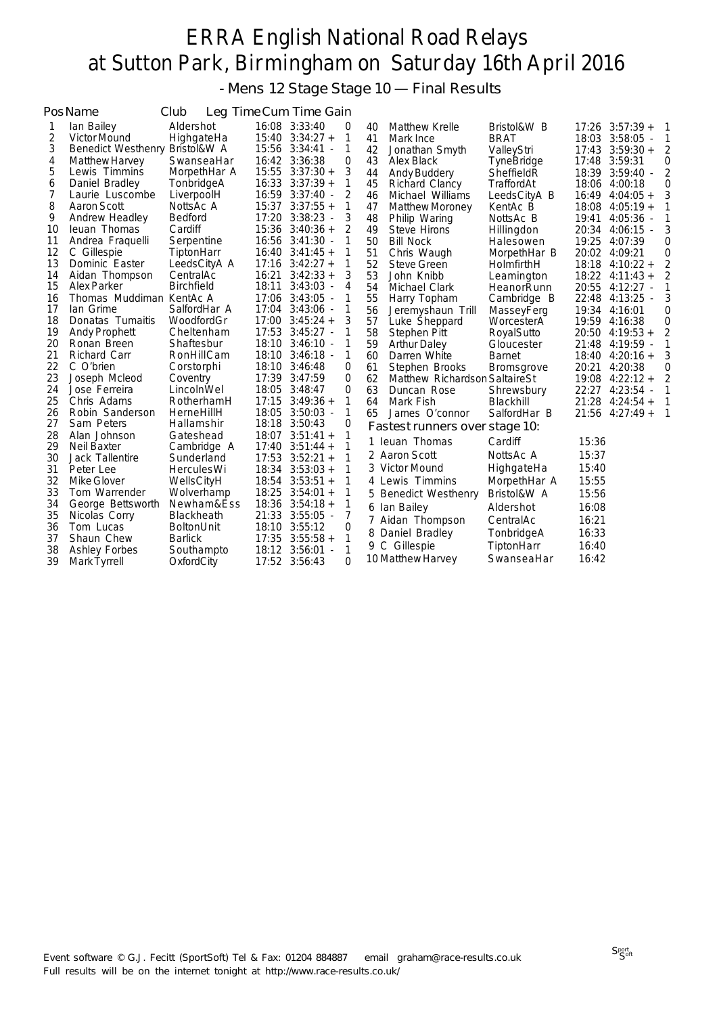- Mens 12 Stage Stage 10 — Final Results

|    | PosName                   | Club              |       | Leg Time Cum Time Gain |   |    |                                |                   |       |                         |   |
|----|---------------------------|-------------------|-------|------------------------|---|----|--------------------------------|-------------------|-------|-------------------------|---|
| 1  | lan Bailey                | Aldershot         |       | 16:08 3:33:40          | 0 | 40 | <b>Matthew Krelle</b>          | Bristol&W B       |       | $17:26$ $3:57:39 +$     | 1 |
| 2  | <b>Victor Mound</b>       | HighgateHa        |       | $15:40$ $3:34:27 +$    | 1 | 41 | Mark Ince                      | <b>BRAT</b>       | 18:03 | $3:58:05 -$             |   |
| 3  | <b>Benedict Westhenry</b> | Bristol&W A       |       | 15:56 3:34:41 -        | 1 | 42 | Jonathan Smyth                 | ValleyStri        |       | $17:43$ $3:59:30 +$     |   |
| 4  | Matthew Harvey            | SwanseaHar        |       | 16:42 3:36:38          | 0 | 43 | Alex Black                     | <b>TyneBridge</b> |       | 17:48 3:59:31           | 0 |
| 5  | Lewis Timmins             | MorpethHar A      |       | $15:55$ $3:37:30 +$    | 3 | 44 | Andy Buddery                   | SheffieldR        | 18:39 | $3:59:40 -$             | 2 |
| 6  | Daniel Bradley            | TonbridgeA        |       | $16:33$ $3:37:39 +$    | 1 | 45 | Richard Clancy                 | TraffordAt        |       | 18:06 4:00:18           | 0 |
| 7  | Laurie Luscombe           | LiverpoolH        |       | 16:59 3:37:40 -        | 2 | 46 | Michael Williams               | LeedsCityA B      | 16:49 | $4:04:05 +$             | 3 |
| 8  | Aaron Scott               | NottsAc A         |       | $15:37$ $3:37:55 +$    | 1 | 47 | Matthew Moroney                | KentAc B          | 18:08 | $4:05:19+$              |   |
| 9  | Andrew Headley            | <b>Bedford</b>    |       | 17:20 3:38:23 -        | 3 | 48 | Philip Waring                  | NottsAc B         | 19:41 | $4:05:36$ -             |   |
| 10 | leuan Thomas              | Cardiff           |       | $15:36$ $3:40:36 +$    | 2 | 49 | Steve Hirons                   | Hillingdon        | 20:34 | $4:06:15 -$             | 3 |
| 11 | Andrea Fraquelli          | Serpentine        |       | 16:56 3:41:30 -        | 1 | 50 | <b>Bill Nock</b>               | Halesowen         | 19:25 | 4:07:39                 | 0 |
| 12 | C Gillespie               | TiptonHarr        |       | $16:40$ $3:41:45 +$    | 1 | 51 | Chris Waugh                    | MorpethHar B      |       | 20:02 4:09:21           | 0 |
| 13 | Dominic Easter            | LeedsCityA A      | 17:16 | $3:42:27+$             | 1 | 52 | <b>Steve Green</b>             | HolmfirthH        |       | $18:18$ 4:10:22 +       |   |
| 14 | Aidan Thompson            | CentralAc         |       | $16:21$ $3:42:33 +$    | 3 | 53 | John Knibb                     | Leamington        |       | $18:22$ 4:11:43 +       | 2 |
| 15 | Alex Parker               | <b>Birchfield</b> | 18:11 | $3:43:03 -$            | 4 | 54 | Michael Clark                  | HeanorRunn        | 20:55 | $4:12:27 -$             |   |
| 16 | Thomas Muddiman KentAc A  |                   |       | 17:06 3:43:05 -        | 1 | 55 | Harry Topham                   | Cambridge B       | 22:48 | $4:13:25$ -             |   |
| 17 | lan Grime                 | SalfordHar A      |       | 17:04 3:43:06 -        | 1 | 56 | Jeremyshaun Trill              | MasseyFerg        | 19:34 | 4:16:01                 | 0 |
| 18 | Donatas Tumaitis          | WoodfordGr        |       | $17:00$ $3:45:24 +$    | 3 | 57 | Luke Sheppard                  | WorcesterA        |       | 19:59 4:16:38           | 0 |
| 19 | <b>Andy Prophett</b>      | Cheltenham        |       | 17:53 3:45:27 -        | 1 | 58 | Stephen Pitt                   | RoyalSutto        |       | $20:50$ 4:19:53 +       | 2 |
| 20 | Ronan Breen               | Shaftesbur        | 18:10 | $3:46:10 -$            | 1 | 59 | <b>Arthur Daley</b>            | Gloucester        | 21:48 | $4:19:59$ -             |   |
| 21 | Richard Carr              | RonHillCam        |       | 18:10 3:46:18 -        | 1 | 60 | Darren White                   | <b>Barnet</b>     |       | $18:40 \quad 4:20:16 +$ | 3 |
| 22 | C O'brien                 | Corstorphi        |       | 18:10 3:46:48          | 0 | 61 | Stephen Brooks                 | <b>Bromsgrove</b> | 20:21 | 4:20:38                 | 0 |
| 23 | Joseph Mcleod             | Coventry          |       | 17:39 3:47:59          | 0 | 62 | Matthew Richardson SaltaireSt  |                   | 19:08 | $4:22:12+$              |   |
| 24 | Jose Ferreira             | LincolnWel        | 18:05 | 3:48:47                | 0 | 63 | Duncan Rose                    | Shrewsbury        | 22:27 | $4:23:54 -$             |   |
| 25 | Chris Adams               | RotherhamH        | 17:15 | $3:49:36+$             | 1 | 64 | Mark Fish                      | Blackhill         | 21:28 | $4:24:54+$              |   |
| 26 | Robin Sanderson           | HerneHillH        | 18:05 | $3:50:03 -$            | 1 | 65 | James O'connor                 | SalfordHar B      | 21:56 | $4:27:49+$              | 1 |
| 27 | Sam Peters                | Hallamshir        |       | 18:18 3:50:43          | 0 |    | Fastest runners over stage 10: |                   |       |                         |   |
| 28 | Alan Johnson              | Gateshead         |       | $18:07$ $3:51:41 +$    | 1 | 1. | leuan Thomas                   | Cardiff           | 15:36 |                         |   |
| 29 | Neil Baxter               | Cambridge A       |       | $17:40$ $3:51:44 +$    |   |    | 2 Aaron Scott                  | NottsAc A         | 15:37 |                         |   |
| 30 | Jack Tallentire           | Sunderland        |       | $17:53$ $3:52:21 +$    | 1 |    |                                |                   |       |                         |   |
| 31 | Peter Lee                 | <b>HerculesWi</b> |       | $18:34$ $3:53:03 +$    | 1 |    | 3 Victor Mound                 | HighgateHa        | 15:40 |                         |   |
| 32 | Mike Glover               | WellsCityH        |       | $18:54$ $3:53:51 +$    | 1 |    | 4 Lewis Timmins                | MorpethHar A      | 15:55 |                         |   |
| 33 | Tom Warrender             | Wolverhamp        |       | $18:25$ $3:54:01 +$    | 1 |    | 5 Benedict Westhenry           | Bristol&W A       | 15:56 |                         |   |
| 34 | George Bettsworth         | Newham&Ess        |       | $18:36$ $3:54:18 +$    | 1 |    | 6 Ian Bailey                   | Aldershot         | 16:08 |                         |   |
| 35 | Nicolas Corry             | <b>Blackheath</b> |       | 21:33 3:55:05 -        | 7 |    | 7 Aidan Thompson               | CentralAc         | 16:21 |                         |   |
| 36 | Tom Lucas                 | <b>BoltonUnit</b> |       | 18:10 3:55:12          | 0 |    | 8 Daniel Bradley               | TonbridgeA        | 16:33 |                         |   |
| 37 | Shaun Chew                | <b>Barlick</b>    |       | $17:35$ $3:55:58 +$    | 1 |    | 9 C Gillespie                  | TiptonHarr        | 16:40 |                         |   |
| 38 | Ashley Forbes             | Southampto        |       | 18:12 3:56:01 -        | 1 |    |                                |                   |       |                         |   |
| 39 | Mark Tyrrell              | OxfordCity        |       | 17:52 3:56:43          | 0 |    | 10 Matthew Harvey              | SwanseaHar        | 16:42 |                         |   |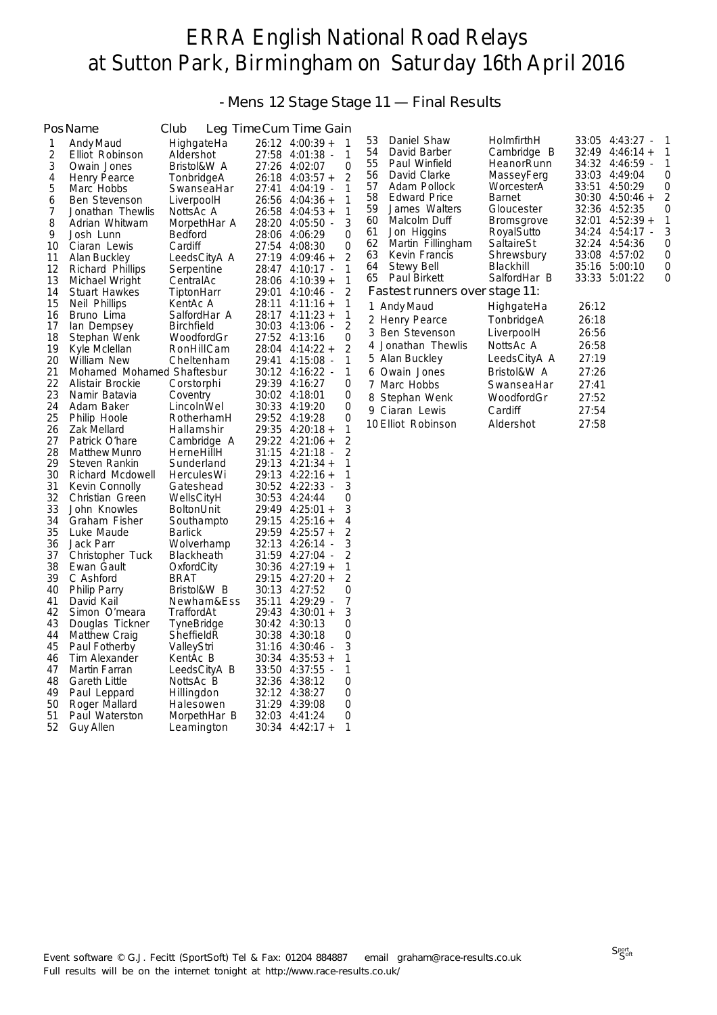- Mens 12 Stage Stage 11 — Final Results

|                | Pos Name                      | Club                      |                | Leg Time Cum Time Gain              |                |
|----------------|-------------------------------|---------------------------|----------------|-------------------------------------|----------------|
| 1              | Andy Maud                     | HighgateHa                | 26:12          | $4:00:39 +$                         | 1              |
| $\overline{c}$ | Elliot Robinson               | Aldershot                 | 27:58          | $4:01:38$ -                         | 1              |
| 3              | Owain Jones                   | Bristol&W A               | 27:26          | 4:02:07                             | 0              |
| 4              | Henry Pearce                  | TonbridgeA                | 26:18          | $4:03:57+$                          | $\overline{2}$ |
| 5              | Marc Hobbs                    | SwanseaHar                | 27:41          | $4:04:19 -$                         | 1              |
| 6              | <b>Ben Stevenson</b>          | LiverpoolH                | 26:56          | $4:04:36 +$                         | 1              |
| 7              | Jonathan Thewlis              | NottsAc A                 | 26:58          | $4:04:53 +$                         | 1              |
| 8              | Adrian Whitwam                | MorpethHar A              | 28:20          | $4:05:50 -$                         | 3              |
| 9              | Josh Lunn                     | <b>Bedford</b>            | 28:06          | 4:06:29                             | 0              |
| 10             | Ciaran Lewis                  | Cardiff                   | 27:54          | 4:08:30                             | 0              |
| 11             | Alan Buckley                  | LeedsCityA A              | 27:19          | $4:09:46 +$                         | $\overline{2}$ |
| 12             | Richard Phillips              | Serpentine                | 28:47          | $4:10:17 -$                         | 1              |
| 13             | Michael Wright                | CentralAc                 | 28:06          | $4:10:39 +$                         | 1              |
| 14             | <b>Stuart Hawkes</b>          | TiptonHarr                | 29:01          | $4:10:46 -$                         | $\overline{2}$ |
| 15             | Neil Phillips                 | KentAc A                  | 28:11          | $4:11:16+$                          | 1              |
| 16             | Bruno Lima                    | SalfordHar A              | 28:17          | $4:11:23+$                          | 1              |
| 17             | lan Dempsey                   | <b>Birchfield</b>         | 30:03          | $4:13:06 -$                         | 2              |
| 18             | Stephan Wenk                  | WoodfordGr                | 27:52          | 4:13:16                             | 0              |
| 19             | Kyle Mclellan                 | RonHillCam                | 28:04          | $4:14:22 +$                         | 2              |
| 20             | William New                   | Cheltenham                | 29:41          | $4:15:08 -$                         | 1              |
| 21             | Mohamed Mohamed Shaftesbur    |                           | 30:12          | 4:16:22<br>$\overline{\phantom{a}}$ | 1              |
| 22             | Alistair Brockie              | Corstorphi                | 29:39          | 4:16:27                             | 0              |
| 23             | Namir Batavia                 | Coventry                  | 30:02          | 4:18:01                             | 0              |
| 24<br>25       | Adam Baker                    | LincolnWel                | 30:33          | 4:19:20                             | 0              |
|                | Philip Hoole                  | RotherhamH                | 29:52          | 4:19:28                             | 0<br>1         |
| 26<br>27       | Zak Mellard<br>Patrick O'hare | Hallamshir                | 29:35<br>29:22 | $4:20:18 +$<br>$4:21:06 +$          | $\overline{c}$ |
| 28             | <b>Matthew Munro</b>          | Cambridge A<br>HerneHillH | 31:15          | $4:21:18$ -                         | $\overline{2}$ |
| 29             | Steven Rankin                 | Sunderland                | 29:13          | $4:21:34 +$                         | 1              |
| 30             | Richard Mcdowell              | HerculesWi                | 29:13          | $4:22:16 +$                         | 1              |
| 31             | Kevin Connolly                | Gateshead                 | 30:52          | 4:22:33<br>$\sim$                   | 3              |
| 32             | Christian Green               | WellsCityH                | 30:53          | 4:24:44                             | 0              |
| 33             | John Knowles                  | <b>BoltonUnit</b>         | 29:49          | $4:25:01 +$                         | 3              |
| 34             | Graham Fisher                 | Southampto                | 29:15          | $4:25:16+$                          | 4              |
| 35             | Luke Maude                    | <b>Barlick</b>            | 29:59          | $4:25:57+$                          | $\overline{2}$ |
| 36             | Jack Parr                     | Wolverhamp                | 32:13          | 4:26:14<br>$\sim$                   | 3              |
| 37             | Christopher Tuck              | Blackheath                | 31:59          | 4:27:04                             | $\overline{2}$ |
| 38             | Ewan Gault                    | OxfordCity                | 30:36          | $4:27:19+$                          | 1              |
| 39             | C Ashford                     | <b>BRAT</b>               | 29:15          | $4:27:20+$                          | $\overline{2}$ |
| 40             | Philip Parry                  | Bristol&W B               | 30:13          | 4:27:52                             | 0              |
| 41             | David Kail                    | Newham&Ess                | 35:11          | $4:29:29$ -                         | 7              |
| 42             | Simon O'meara                 | TraffordAt                | 29:43          | $4:30:01 +$                         | 3              |
| 43             | Douglas Tickner               | TyneBridge                | 30:42          | 4:30:13                             | 0              |
| 44             | Matthew Craig                 | SheffieldR                | 30:38          | 4:30:18                             | 0              |
| 45             | Paul Fotherby                 | ValleyStri                | 31:16          | 4:30:46 -                           | 3              |
| 46             | Tim Alexander                 | KentAc B                  | 30:34          | $4:35:53 +$                         | 1              |
| 47             | Martin Farran                 | LeedsCityA B              | 33:50          | 4:37:55 -                           | 1              |
| 48             | Gareth Little                 | NottsAc B                 | 32:36          | 4:38:12                             | 0              |
| 49             | Paul Leppard                  | Hillingdon                | 32:12          | 4:38:27                             | 0              |
| 50             | Roger Mallard                 | Halesowen                 | 31:29          | 4:39:08                             | 0              |
| 51             | Paul Waterston                | MorpethHar B              | 32:03          | 4:41:24                             | 0              |
| 52             | Guy Allen                     | Leamington                | 30:34          | $4:42:17+$                          | 1              |

| 53<br>Daniel Shaw<br>54<br>David Barber<br>55<br>Paul Winfield<br>56<br>David Clarke<br>57<br>Adam Pollock<br>58<br><b>Edward Price</b><br>59<br>James Walters<br>60<br>Malcolm Duff<br>61<br>Jon Higgins<br>62<br>Martin Fillingham<br>63 Kevin Francis<br>64<br>Stewy Bell<br>65<br>Paul Birkett | HolmfirthH<br>Cambridge B<br>HeanorRunn<br>MasseyFerg<br>WorcesterA<br>Barnet<br>Gloucester<br><b>Bromsgrove</b><br>RoyalSutto<br>SaltaireSt<br>Shrewsbury<br>Blackhill<br>SalfordHar B | 33:05<br>32:49<br>34:32<br>33:03<br>33:51<br>30:30<br>32:36<br>32:01<br>34:24<br>32:24<br>33:08<br>35:16<br>33:33 | $4:43:27 -$<br>$4:46:14 +$<br>$4:46:59$ -<br>4:49:04<br>4:50:29<br>$4:50:46+$<br>4:52:35<br>$4:52:39+$<br>$4:54:17 -$<br>4:54:36<br>4:57:02<br>5:00:10<br>5:01:22 | $\mathbf{1}$<br>1<br>1<br>0<br>0<br>$\overline{2}$<br>$\mathbf 0$<br>1<br>3<br>0<br>0<br>0<br>0 |
|----------------------------------------------------------------------------------------------------------------------------------------------------------------------------------------------------------------------------------------------------------------------------------------------------|-----------------------------------------------------------------------------------------------------------------------------------------------------------------------------------------|-------------------------------------------------------------------------------------------------------------------|-------------------------------------------------------------------------------------------------------------------------------------------------------------------|-------------------------------------------------------------------------------------------------|
| Fastest runners over stage 11:                                                                                                                                                                                                                                                                     |                                                                                                                                                                                         |                                                                                                                   |                                                                                                                                                                   |                                                                                                 |
| 1 Andy Maud<br>2 Henry Pearce<br>3 Ben Stevenson<br>4 Jonathan Thewlis<br>5 Alan Buckley<br>6 Owain Jones<br>7 Marc Hobbs<br>8 Stephan Wenk<br>9 Ciaran Lewis<br>10 Elliot Robinson                                                                                                                | HighgateHa<br>TonbridgeA<br>LiverpoolH<br>NottsAc A<br>LeedsCityA A<br>Bristol&W A<br>SwanseaHar<br>WoodfordGr<br>Cardiff<br>Aldershot                                                  | 26:12<br>26:18<br>26:56<br>26:58<br>27:19<br>27:26<br>27:41<br>27:52<br>27:54<br>27:58                            |                                                                                                                                                                   |                                                                                                 |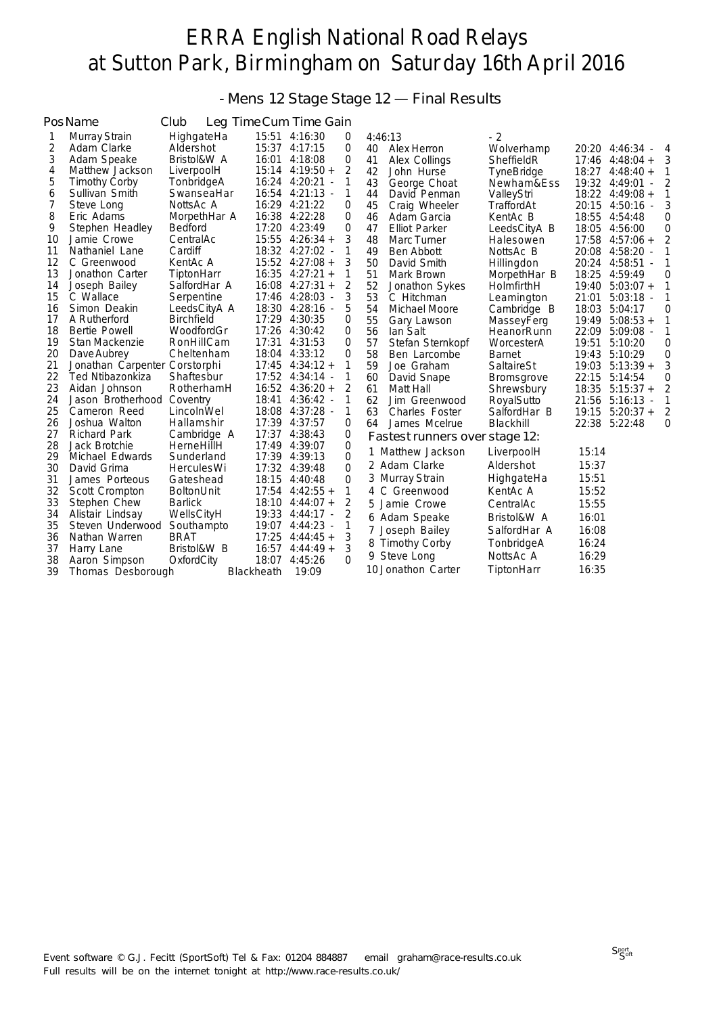### - Mens 12 Stage Stage 12 — Final Results

|    | PosName                       | Club               |            | Leg Time Cum Time Gain |                |         |                                |                   |       |                             |   |
|----|-------------------------------|--------------------|------------|------------------------|----------------|---------|--------------------------------|-------------------|-------|-----------------------------|---|
| 1  | Murray Strain                 | HighgateHa         |            | 15:51 4:16:30          | 0              | 4:46:13 |                                | $-2$              |       |                             |   |
| 2  | Adam Clarke                   | Aldershot          |            | 15:37 4:17:15          | 0              | 40      | Alex Herron                    | Wolverhamp        |       | 20:20 4:46:34<br>$\sim$ $-$ | 4 |
| 3  | Adam Speake                   | Bristol&W A        | 16:01      | 4:18:08                | 0              | 41      | Alex Collings                  | SheffieldR        | 17:46 | $4:48:04 +$                 | 3 |
| 4  | Matthew Jackson               | LiverpoolH         |            | $15:14$ 4:19:50 +      | 2              | 42      | John Hurse                     | <b>TyneBridge</b> | 18:27 | $4:48:40+$                  |   |
| 5  | <b>Timothy Corby</b>          | TonbridgeA         |            | 16:24 4:20:21          | 1              | 43      | George Choat                   | Newham&Ess        | 19:32 | 4:49:01                     | 2 |
| 6  | Sullivan Smith                | SwanseaHar         |            | 16:54 4:21:13 -        | 1              | 44      | David Penman                   | ValleyStri        |       | 18:22 4:49:08 +             | 1 |
| 7  | Steve Long                    | NottsAc A          |            | 16:29 4:21:22          | 0              | 45      | Craig Wheeler                  | TraffordAt        |       | 20:15 4:50:16 -             | 3 |
| 8  | Eric Adams                    | MorpethHar A       | 16:38      | 4:22:28                | 0              | 46      | Adam Garcia                    | KentAc B          | 18:55 | 4:54:48                     | 0 |
| 9  | Stephen Headley               | <b>Bedford</b>     | 17:20      | 4:23:49                | $\overline{0}$ | 47      | <b>Elliot Parker</b>           | LeedsCityA B      | 18:05 | 4:56:00                     | 0 |
| 10 | Jamie Crowe                   | CentralAc          |            | $15:55$ 4:26:34 +      | 3              | 48      | Marc Turner                    | Halesowen         | 17:58 | $4:57:06 +$                 | 2 |
| 11 | Nathaniel Lane                | Cardiff            |            | 18:32 4:27:02 -        | 1              | 49      | Ben Abbott                     | NottsAc B         | 20:08 | $4:58:20$ -                 | 1 |
| 12 | C Greenwood                   | KentAc A           |            | $15:52$ 4:27:08 +      | 3              | 50      | David Smith                    | Hillingdon        | 20:24 | 4:58:51                     |   |
| 13 | Jonathon Carter               | TiptonHarr         |            | $16:35$ 4:27:21 +      | 1              | 51      | Mark Brown                     | MorpethHar B      | 18:25 | 4:59:49                     | 0 |
| 14 | Joseph Bailey                 | SalfordHar A       | 16:08      | $4:27:31+$             | 2              | 52      | Jonathon Sykes                 | HolmfirthH        | 19:40 | $5:03:07 +$                 | 1 |
| 15 | C Wallace                     | Serpentine         |            | 17:46 4:28:03 -        | 3              | 53      | C Hitchman                     | Leamington        | 21:01 | $5:03:18 -$                 | 1 |
| 16 | Simon Deakin                  | LeedsCityA A       |            | 18:30 4:28:16 -        | 5              | 54      | Michael Moore                  | Cambridge B       | 18:03 | 5:04:17                     | 0 |
| 17 | A Rutherford                  | <b>Birchfield</b>  |            | 17:29 4:30:35          | $\Omega$       | 55      | Gary Lawson                    | MasseyFerg        | 19:49 | $5:08:53 +$                 |   |
| 18 | Bertie Powell                 | WoodfordGr         |            | 17:26 4:30:42          | 0              | 56      | lan Salt                       | HeanorRunn        | 22:09 | $5:09:08 -$                 | 1 |
| 19 | Stan Mackenzie                | RonHillCam         | 17:31      | 4:31:53                | 0              | 57      | Stefan Sternkopf               | WorcesterA        | 19:51 | 5:10:20                     | 0 |
| 20 | Dave Aubrey                   | Cheltenham         |            | 18:04 4:33:12          | $\overline{0}$ | 58      | Ben Larcombe                   | <b>Barnet</b>     | 19:43 | 5:10:29                     | 0 |
| 21 | Jonathan Carpenter Corstorphi |                    |            | $17:45$ $4:34:12 +$    | 1              | 59      | Joe Graham                     | SaltaireSt        | 19:03 | $5:13:39+$                  | 3 |
| 22 | Ted Ntibazonkiza              | Shaftesbur         |            | 17:52 4:34:14 -        | 1              | 60      | David Snape                    | <b>Bromsgrove</b> | 22:15 | 5:14:54                     | 0 |
| 23 | Aidan Johnson                 | RotherhamH         |            | $16:52$ 4:36:20 +      | 2              | 61      | Matt Hall                      | Shrewsbury        | 18:35 | $5:15:37+$                  | 2 |
| 24 | Jason Brotherhood             | Coventry           | 18:41      | 4:36:42                | 1              | 62      | Jim Greenwood                  | RoyalSutto        | 21:56 | $5:16:13 -$                 |   |
| 25 | Cameron Reed                  | LincolnWel         | 18:08      | - 4:37:28              | 1              | 63      | <b>Charles Foster</b>          | SalfordHar B      | 19:15 | $5:20:37+$                  | 2 |
| 26 | Joshua Walton                 | Hallamshir         |            | 17:39 4:37:57          | $\overline{0}$ | 64      | James Mcelrue                  | Blackhill         | 22:38 | 5:22:48                     | 0 |
| 27 | <b>Richard Park</b>           | Cambridge A        |            | 17:37 4:38:43          | 0              |         | Fastest runners over stage 12: |                   |       |                             |   |
| 28 | Jack Brotchie                 | HerneHillH         |            | 17:49 4:39:07          | $\overline{0}$ |         | 1 Matthew Jackson              | LiverpoolH        | 15:14 |                             |   |
| 29 | Michael Edwards               | Sunderland         |            | 17:39 4:39:13          | $\overline{0}$ |         |                                |                   |       |                             |   |
| 30 | David Grima                   | <b>Hercules Wi</b> |            | 17:32 4:39:48          | 0              |         | 2 Adam Clarke                  | Aldershot         | 15:37 |                             |   |
| 31 | James Porteous                | Gateshead          | 18:15      | 4:40:48                | 0              |         | 3 Murray Strain                | HighgateHa        | 15:51 |                             |   |
| 32 | Scott Crompton                | <b>BoltonUnit</b>  |            | $17:54$ 4:42:55 +      | $\mathbf{1}$   |         | 4 C Greenwood                  | KentAc A          | 15:52 |                             |   |
| 33 | Stephen Chew                  | <b>Barlick</b>     | 18:10      | $4:44:07 +$            | 2              |         | 5 Jamie Crowe                  | CentralAc         | 15:55 |                             |   |
| 34 | Alistair Lindsay              | WellsCityH         | 19:33      | - 4:44:17              | 2              |         | 6 Adam Speake                  | Bristol&W A       | 16:01 |                             |   |
| 35 | Steven Underwood              | Southampto         |            | 19:07 4:44:23 -        | 1              |         | Joseph Bailey                  | SalfordHar A      | 16:08 |                             |   |
| 36 | Nathan Warren                 | <b>BRAT</b>        | 17:25      | $4:44:45+$             | 3              |         | 8 Timothy Corby                | TonbridgeA        | 16:24 |                             |   |
| 37 | Harry Lane                    | Bristol&W B        | 16:57      | $4:44:49+$             | 3              |         | 9 Steve Long                   | NottsAc A         | 16:29 |                             |   |
| 38 | Aaron Simpson                 | OxfordCity         | 18:07      | 4:45:26                | $\Omega$       |         |                                |                   |       |                             |   |
| 39 | Thomas Desborough             |                    | Blackheath | 19:09                  |                |         | 10 Jonathon Carter             | TiptonHarr        | 16:35 |                             |   |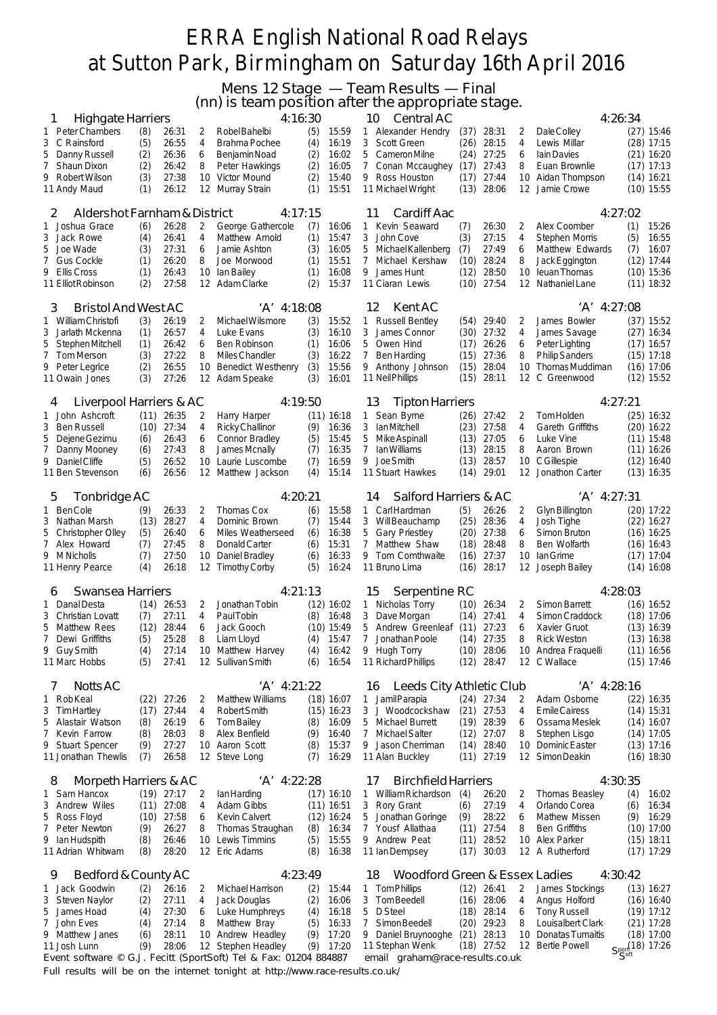Mens 12 Stage — Team Results — Final

(nn) is team position after the appropriate stage.

| <b>Highgate Harriers</b><br>ı                                    |             |                |          | they is team position after the appropriate stage.<br>4:16:30 |            |                       | 10                  | Central AC                                |              |                              |          | 4:26:34                               |     |                              |
|------------------------------------------------------------------|-------------|----------------|----------|---------------------------------------------------------------|------------|-----------------------|---------------------|-------------------------------------------|--------------|------------------------------|----------|---------------------------------------|-----|------------------------------|
| Peter Chambers<br>1                                              | (8)         | 26:31          | 2        | Robel Bahelbi                                                 | (5)        | 15:59                 | $\mathbf{1}$        | Alexander Hendry                          |              | $(37)$ 28:31                 | 2        | Dale Colley                           |     | $(27)$ 15:46                 |
| 3 C Rainsford                                                    | (5)         | 26:55          | 4        | Brahma Pochee                                                 | (4)        | 16:19                 | 3                   | Scott Green                               | (26)         | 28:15                        | 4        | Lewis Millar                          |     | $(28)$ 17:15                 |
| 5<br>Danny Russell                                               | (2)         | 26:36          | 6        | Benjamin Noad                                                 | (2)        | 16:02                 | 5                   | Cameron Milne                             | (24)         | 27:25                        | 6        | <b>lain Davies</b>                    |     | $(21)$ 16:20                 |
| 7<br><b>Shaun Dixon</b>                                          | (2)         | 26:42          | 8        | Peter Hawkings                                                | (2)        | 16:05                 | 7                   | Conan Mccaughey                           | (17)         | 27:43                        | 8        | Euan Brownlie                         |     | $(17)$ 17:13                 |
| 9.<br>Robert Wilson<br>11 Andy Maud                              | (3)<br>(1)  | 27:38<br>26:12 | 10<br>12 | Victor Mound<br>Murray Strain                                 | (2)<br>(1) | 15:40<br>15:51        | 9                   | Ross Houston<br>11 Michael Wright         | (17)<br>(13) | 27:44<br>28:06               | 10<br>12 | Aidan Thompson<br>Jamie Crowe         |     | $(14)$ 16:21<br>$(10)$ 15:55 |
|                                                                  |             |                |          |                                                               |            |                       |                     |                                           |              |                              |          |                                       |     |                              |
| Aldershot Farnham & District<br>2                                |             |                |          | 4:17:15                                                       |            |                       | 11                  | Cardiff Aac                               |              |                              |          | 4:27:02                               |     |                              |
| Joshua Grace<br>1                                                | (6)         | 26:28          | 2        | George Gathercole                                             | (7)        | 16:06                 | $\mathbf{1}$        | Kevin Seaward                             | (7)          | 26:30                        | 2        | Alex Coomber                          | (1) | 15:26                        |
| 3 Jack Rowe                                                      | (4)         | 26:41          | 4        | Matthew Arnold                                                | (1)        | 15:47                 | 3                   | John Cove                                 | (3)          | 27:15                        | 4        | <b>Stephen Morris</b>                 | (5) | 16:55                        |
| Joe Wade<br>5                                                    | (3)         | 27:31          | 6        | Jamie Ashton                                                  | (3)        | 16:05                 | 5                   | Michael Kallenberg                        | (7)          | 27:49                        | 6        | Matthew Edwards                       | (7) | 16:07                        |
| Gus Cockle<br>7<br>9.<br>Ellis Cross                             | (1)<br>(1)  | 26:20<br>26:43 | 8<br>10  | Joe Morwood<br>lan Bailey                                     | (1)<br>(1) | 15:51<br>16:08        | $\overline{7}$<br>9 | Michael Kershaw<br>James Hunt             | (10)<br>(12) | 28:24<br>28:50               | 8<br>10  | Jack Eggington<br><b>leuan Thomas</b> |     | $(12)$ 17:44<br>$(10)$ 15:36 |
| 11 Elliot Robinson                                               | (2)         | 27:58          | 12       | Adam Clarke                                                   | (2)        | 15:37                 |                     | 11 Ciaran Lewis                           | (10)         | 27:54                        | 12       | Nathaniel Lane                        |     | $(11)$ 18:32                 |
|                                                                  |             |                |          |                                                               |            |                       |                     |                                           |              |                              |          |                                       |     |                              |
| Bristol And West AC<br>3                                         |             |                |          | 'A' 4:18:08                                                   |            |                       | 12                  | Kent AC                                   |              |                              |          | 'A' 4:27:08                           |     |                              |
| William Christofi<br>1.                                          | (3)         | 26:19          | 2<br>4   | Michael Wilsmore                                              | (3)        | 15:52                 | 1                   | <b>Russell Bentley</b>                    | (54)         | 29:40                        | 2<br>4   | James Bowler                          |     | $(37)$ 15:52                 |
| 3<br>Jarlath Mckenna<br>5<br>Stephen Mitchell                    | (1)<br>(1)  | 26:57<br>26:42 | 6        | Luke Evans<br><b>Ben Robinson</b>                             | (3)<br>(1) | 16:10<br>16:06        | 3<br>5              | James Connor<br>Owen Hind                 | (30)<br>(17) | 27:32<br>26:26               | 6        | James Savage<br>Peter Lighting        |     | $(27)$ 16:34<br>$(17)$ 16:57 |
| 7<br>Tom Merson                                                  | (3)         | 27:22          | 8        | Miles Chandler                                                | (3)        | 16:22                 | $\overline{7}$      | <b>Ben Harding</b>                        | (15)         | 27:36                        | 8        | <b>Philip Sanders</b>                 |     | $(15)$ 17:18                 |
| 9 Peter Legrice                                                  | (2)         | 26:55          | 10       | Benedict Westhenry                                            | (3)        | 15:56                 |                     | 9 Anthony Johnson                         | (15)         | 28:04                        | 10       | Thomas Muddiman                       |     | $(16)$ 17:06                 |
| 11 Owain Jones                                                   | (3)         | 27:26          | 12       | Adam Speake                                                   | (3)        | 16:01                 |                     | 11 Neil Phillips                          | (15)         | 28:11                        | 12       | C Greenwood                           |     | $(12)$ 15:52                 |
|                                                                  |             |                |          | 4:19:50                                                       |            |                       | 13                  | <b>Tipton Harriers</b>                    |              |                              |          | 4:27:21                               |     |                              |
| Liverpool Harriers & AC<br>4<br>John Ashcroft<br>1               |             | $(11)$ 26:35   | 2        | Harry Harper                                                  |            | $(11)$ 16:18          | $\mathbf{1}$        | Sean Byrne                                | (26)         | 27:42                        | 2        | Tom Holden                            |     | $(25)$ 16:32                 |
| <b>Ben Russell</b><br>3                                          | (10)        | 27:34          | 4        | Ricky Challinor                                               | (9)        | 16:36                 | 3                   | Ian Mitchell                              | (23)         | 27:58                        | 4        | Gareth Griffiths                      |     | $(20)$ 16:22                 |
| 5<br>Dejene Gezimu                                               | (6)         | 26:43          | 6        | Connor Bradley                                                | (5)        | 15:45                 | 5                   | Mike Aspinall                             | (13)         | 27:05                        | 6        | Luke Vine                             |     | $(11)$ 15:48                 |
| 7<br>Danny Mooney                                                | (6)         | 27:43          | 8        | James Mcnally                                                 | (7)        | 16:35                 | $\overline{7}$      | Ian Williams                              | (13)         | 28:15                        | 8        | Aaron Brown                           |     | $(11)$ 16:26                 |
| Daniel Cliffe<br>9                                               | (5)         | 26:52          | 10       | Laurie Luscombe                                               | (7)        | 16:59                 | 9                   | Joe Smith                                 | (13)         | 28:57                        | 10       | C Gillespie                           |     | $(12)$ 16:40                 |
| 11 Ben Stevenson                                                 | (6)         | 26:56          | 12       | Matthew Jackson                                               | (4)        | 15:14                 |                     | 11 Stuart Hawkes                          | (14)         | 29:01                        | 12       | Jonathon Carter                       |     | $(13)$ 16:35                 |
| Tonbridge AC<br>5                                                |             |                |          | 4:20:21                                                       |            |                       | 14                  | Salford Harriers & AC                     |              |                              |          | 'A' 4:27:31                           |     |                              |
| 1 BenCole                                                        | (9)         | 26:33          | 2        | Thomas Cox                                                    | (6)        | 15:58                 | 1                   | CarlHardman                               | (5)          | 26:26                        | 2        | Glyn Billington                       |     | (20) 17:22                   |
| 3<br>Nathan Marsh                                                | (13)        | 28:27          | 4        | Dominic Brown                                                 | (7)        | 15:44                 | 3                   | Will Beauchamp                            | (25)         | 28:36                        | 4        | Josh Tighe                            |     | $(22)$ 16:27                 |
| 5<br>Christopher Olley                                           | (5)         | 26:40          | 6        | Miles Weatherseed                                             | (6)        | 16:38                 | 5                   | <b>Gary Priestley</b>                     | (20)         | 27:38                        | 6        | Simon Bruton                          |     | $(16)$ 16:25                 |
| 7 Alex Howard                                                    | (7)         | 27:45          | 8        | Donald Carter                                                 | (6)        | 15:31                 | $\overline{7}$      | Matthew Shaw                              | (18)         | 28:48                        | 8        | Ben Wolfarth                          |     | $(16)$ 16:43                 |
| 9 M Nicholls<br>11 Henry Pearce                                  | (7)<br>(4)  | 27:50<br>26:18 | 10<br>12 | Daniel Bradley<br><b>Timothy Corby</b>                        | (6)<br>(5) | 16:33<br>16:24        | 9                   | Tom Cornthwaite<br>11 Bruno Lima          | (16)<br>(16) | 27:37<br>28:17               | 10<br>12 | lan Grime<br>Joseph Bailey            |     | $(17)$ 17:04<br>$(14)$ 16:08 |
|                                                                  |             |                |          |                                                               |            |                       |                     |                                           |              |                              |          |                                       |     |                              |
| Swansea Harriers<br>6                                            |             |                |          | 4:21:13                                                       |            |                       | 15                  | Serpentine RC                             |              |                              |          | 4:28:03                               |     |                              |
| Danal Desta<br>1                                                 |             | $(14)$ 26:53   | 2        | Jonathan Tobin                                                |            | $(12)$ 16:02          | 1                   | Nicholas Torry                            | (10)         | 26:34                        | 2        | <b>Simon Barrett</b>                  |     | $(16)$ 16:52                 |
| 3<br>Christian Lovatt<br>5                                       | (7)         | 27:11          | 4        | <b>PaulTobin</b>                                              | (8)        | 16:48                 | 3<br>5              | Dave Morgan<br>Andrew Greenleaf           | (14)<br>(11) | 27:41<br>27:23               | 4<br>6   | Simon Craddock<br>Xavier Gruot        |     | $(18)$ 17:06<br>$(13)$ 16:39 |
| <b>Matthew Rees</b><br>7 Dewi Griffiths                          | (12)<br>(5) | 28:44<br>25:28 | 6<br>8   | Jack Gooch<br>Liam Lloyd                                      | (4)        | $(10)$ 15:49<br>15:47 | $\overline{7}$      | Jonathan Poole                            | (14)         | 27:35                        | 8        | <b>Rick Weston</b>                    |     | $(13)$ 16:38                 |
| 9 Guy Smith                                                      | (4)         | 27:14          |          | 10 Matthew Harvey                                             | (4)        | 16:42                 |                     | 9 Hugh Torry                              |              | $(10)$ 28:06                 |          | 10 Andrea Fraquelli                   |     | (11) 16:56                   |
| 11 Marc Hobbs                                                    | (5)         | 27:41          |          | 12 Sullivan Smith                                             | (6)        | 16:54                 |                     | 11 Richard Phillips                       |              | $(12)$ 28:47                 |          | 12 C Wallace                          |     | $(15)$ 17:46                 |
|                                                                  |             |                |          |                                                               |            |                       |                     |                                           |              |                              |          |                                       |     |                              |
| <b>Notts AC</b><br>$\prime$<br>1 RobKeal                         |             | $(22)$ 27:26   | 2        | 'A' 4:21:22<br><b>Matthew Williams</b>                        |            | $(18)$ 16:07          | 16<br>$\mathbf{1}$  | Leeds City Athletic Club<br>Jamil Parapia |              | $(24)$ 27:34                 | 2        | 'A' 4:28:16<br>Adam Osborne           |     | $(22)$ 16:35                 |
| 3 Tim Hartley                                                    | (17)        | 27:44          | 4        | Robert Smith                                                  |            | $(15)$ 16:23          | 3                   | J Woodcockshaw                            |              | $(21)$ 27:53                 | 4        | <b>EmileCairess</b>                   |     | $(14)$ 15:31                 |
| Alastair Watson<br>5                                             | (8)         | 26:19          | 6        | <b>Tom Bailey</b>                                             | (8)        | 16:09                 |                     | 5 Michael Burrett                         | (19)         | 28:39                        | 6        | Ossama Meslek                         |     | $(14)$ 16:07                 |
| Kevin Farrow<br>7                                                | (8)         | 28:03          | 8        | Alex Benfield                                                 | (9)        | 16:40                 | 7                   | <b>Michael Salter</b>                     | (12)         | 27:07                        | 8        | Stephen Lisgo                         |     | $(14)$ 17:05                 |
| 9 Stuart Spencer                                                 | (9)         | 27:27          | 10       | Aaron Scott                                                   | (8)        | 15:37                 |                     | 9 Jason Cherriman                         |              | $(14)$ 28:40                 |          | 10 Dominic Easter                     |     | $(13)$ 17:16                 |
| 11 Jonathan Thewlis                                              | (7)         | 26:58          | 12       | Steve Long                                                    | (7)        | 16:29                 |                     | 11 Alan Buckley                           |              | $(11)$ 27:19                 |          | 12 SimonDeakin                        |     | $(16)$ 18:30                 |
| Morpeth Harriers & AC<br>8                                       |             |                |          | 'A' 4:22:28                                                   |            |                       | $\frac{1}{2}$       | <b>Birchfield Harriers</b>                |              |                              |          | 4:30:35                               |     |                              |
| 1 Sam Hancox                                                     |             | $(19)$ 27:17   | 2        | lan Harding                                                   |            | $(17)$ 16:10          |                     | 1 William Richardson (4)                  |              | 26:20                        | 2        | <b>Thomas Beasley</b>                 | (4) | 16:02                        |
| 3<br><b>Andrew Wiles</b>                                         |             | $(11)$ 27:08   | 4        | Adam Gibbs                                                    |            | $(11)$ 16:51          |                     | 3 Rory Grant                              | (6)          | 27:19                        | 4        | Orlando Corea                         | (6) | 16:34                        |
| Ross Floyd<br>5                                                  |             | $(10)$ 27:58   | 6        | <b>Kevin Calvert</b>                                          |            | $(12)$ 16:24          |                     | 5 Jonathan Goringe                        | (9)          | 28:22                        | 6        | Mathew Missen                         | (9) | 16:29                        |
| Peter Newton<br>7                                                | (9)         | 26:27          | 8        | Thomas Straughan                                              | (8)        | 16:34                 |                     | 7 Yousf Allathaa                          |              | $(11)$ 27:54                 | 8        | Ben Griffiths                         |     | $(10)$ 17:00                 |
| 9 Ian Hudspith<br>11 Adrian Whitwam                              | (8)<br>(8)  | 26:46<br>28:20 | 10       | Lewis Timmins<br>12 Eric Adams                                | (5)<br>(8) | 15:55<br>16:38        |                     | 9 Andrew Peat<br>11 Ian Dempsey           | (11)<br>(17) | 28:52<br>30:03               | 10       | <b>Alex Parker</b><br>12 A Rutherford |     | $(15)$ 18:11<br>$(17)$ 17:29 |
|                                                                  |             |                |          |                                                               |            |                       |                     |                                           |              |                              |          |                                       |     |                              |
| Bedford & County AC<br>9                                         |             |                |          | 4:23:49                                                       |            |                       | 18                  | Woodford Green & Essex Ladies             |              |                              |          | 4:30:42                               |     |                              |
| 1 Jack Goodwin                                                   | (2)         | 26:16          | 2        | Michael Harrison                                              | (2)        | 15:44                 |                     | 1 Tom Phillips                            |              | $(12)$ 26:41                 | 2        | James Stockings                       |     | $(13)$ 16:27                 |
| Steven Naylor<br>3                                               | (2)         | 27:11          | 4        | Jack Douglas                                                  | (2)        | 16:06                 | 3                   | Tom Beedell                               |              | $(16)$ 28:06                 | 4        | Angus Holford                         |     | (16) 16:40                   |
| James Hoad<br>5.                                                 | (4)         | 27:30          | 6        | Luke Humphreys                                                | (4)        | 16:18                 | 5                   | D Steel                                   |              | $(18)$ 28:14                 | 6        | <b>Tony Russell</b>                   |     | $(19)$ 17:12                 |
| John Eves<br>7<br>9 Matthew Janes                                | (4)<br>(6)  | 27:14<br>28:11 | 8<br>10  | Matthew Bray<br>Andrew Headley                                | (5)<br>(9) | 16:33<br>17:20        | 7                   | Simon Beedell<br>9 Daniel Bruynooghe      |              | $(20)$ 29:23<br>$(21)$ 28:13 | 8<br>10  | Louisalbert Clark<br>Donatas Tumaitis |     | $(21)$ 17:28<br>$(18)$ 17:00 |
| 11 Josh Lunn                                                     | (9)         | 28:06          |          | 12 Stephen Headley                                            | (9)        | 17:20                 |                     | 11 Stephan Wenk                           |              | $(18)$ 27:52                 |          | 12 Bertie Powell                      |     | $SSortport(18) 17:26$        |
| Event software © G.J. Fecitt (SportSoft) Tel & Fax: 01204 884887 |             |                |          |                                                               |            |                       |                     | email graham@race-results.co.uk           |              |                              |          |                                       |     |                              |

Full results will be on the internet tonight at http://www.race-results.co.uk/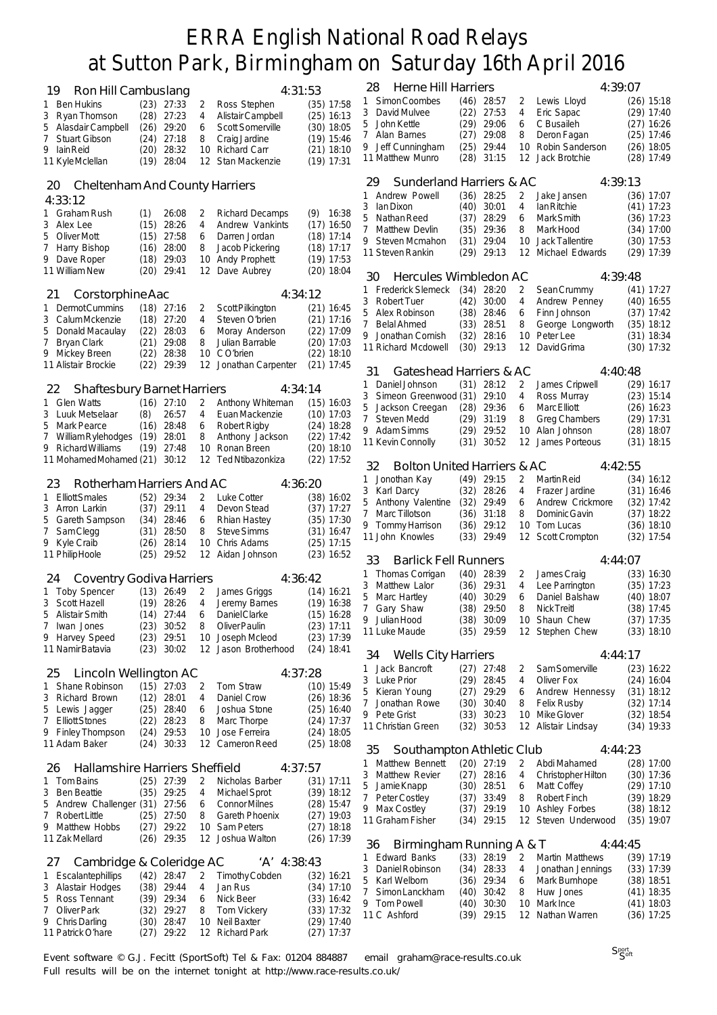|                                             |                               |         |                                |                              | 28     | Herne Hill Harriers                    |      |                              |        | 4:39:07                       |                              |
|---------------------------------------------|-------------------------------|---------|--------------------------------|------------------------------|--------|----------------------------------------|------|------------------------------|--------|-------------------------------|------------------------------|
| 19<br>Ron Hill Cambuslang                   |                               |         | 4:31:53                        |                              | 1      | Simon Coombes                          |      | $(46)$ 28:57                 | 2      | Lewis Lloyd                   | $(26)$ 15:18                 |
| 1 Ben Hukins                                | $(23)$ 27:33                  | 2       | Ross Stephen                   | $(35)$ 17:58                 | 3      | David Mulvee                           | (22) | 27:53                        | 4      | Eric Sapac                    | $(29)$ 17:40                 |
| 3 Ryan Thomson                              | $(28)$ 27:23                  | 4       | Alistair Campbell              | $(25)$ 16:13                 |        | 5 John Kettle                          | (29) | 29:06                        | 6      | C Busaileh                    | $(27)$ 16:26                 |
| Alasdair Campbell<br>5                      | 29:20<br>(26)                 | 6       | Scott Somerville               | $(30)$ 18:05                 |        | 7 Alan Barnes                          | (27) | 29:08                        | 8      | Deron Fagan                   | (25) 17:46                   |
| 7 Stuart Gibson<br>9 Iain Reid              | $(24)$ 27:18<br>(20)<br>28:32 | 8<br>10 | Craig Jardine<br>Richard Carr  | $(19)$ 15:46<br>$(21)$ 18:10 |        | 9 Jeff Cunningham                      | (25) | 29:44                        | 10     | Robin Sanderson               | $(26)$ 18:05                 |
| 11 KyleMclellan                             | (19)<br>28:04                 | 12      | Stan Mackenzie                 | $(19)$ 17:31                 |        | 11 Matthew Munro                       |      | $(28)$ 31:15                 |        | 12 Jack Brotchie              | $(28)$ 17:49                 |
|                                             |                               |         |                                |                              |        |                                        |      |                              |        |                               |                              |
| <b>Cheltenham And County Harriers</b><br>20 |                               |         |                                |                              | 29     | Sunderland Harriers & AC               |      |                              |        | 4:39:13                       |                              |
| 4:33:12                                     |                               |         |                                |                              | 1      | Andrew Powell                          |      | $(36)$ 28:25                 | 2      | Jake Jansen                   | (36) 17:07                   |
| Graham Rush<br>ı.                           | 26:08<br>(1)                  | 2       | <b>Richard Decamps</b>         | $(9)$ 16:38                  | 3      | lan Dixon                              | (40) | 30:01                        | 4      | lan Ritchie                   | $(41)$ 17:23                 |
| 3 Alex Lee                                  | 28:26<br>(15)                 | 4       | Andrew Vankints                | $(17)$ 16:50                 | 5      | Nathan Reed                            | (37) | 28:29                        | 6      | Mark Smith                    | (36) 17:23                   |
| 5<br>Oliver Mott                            | (15)<br>27:58                 | 6       | Darren Jordan                  | $(18)$ 17:14                 |        | 7 Matthew Devlin                       | (35) | 29:36                        | 8      | Mark Hood                     | $(34)$ 17:00                 |
| 7<br>Harry Bishop                           | (16)<br>28:00                 | 8       | Jacob Pickering                | $(18)$ 17:17                 |        | 9 Steven Mcmahon                       | (31) | 29:04                        | 10     | <b>Jack Tallentire</b>        | $(30)$ 17:53                 |
| 9 Dave Roper                                | 29:03<br>(18)                 | 10      | <b>Andy Prophett</b>           | $(19)$ 17:53                 |        | 11 Steven Rankin                       |      | $(29)$ 29:13                 |        | 12 Michael Edwards            | $(29)$ 17:39                 |
| 11 William New                              | (20)<br>29:41                 | 12      | Dave Aubrey                    | $(20)$ 18:04                 | 30     | Hercules Wimbledon AC                  |      |                              |        | 4:39:48                       |                              |
|                                             |                               |         |                                |                              | 1      | <b>Frederick Slemeck</b>               | (34) | 28:20                        | 2      | Sean Crummy                   | $(41)$ 17:27                 |
| Corstorphine Aac<br>21                      |                               |         | 4:34:12                        |                              | 3      | <b>Robert Tuer</b>                     | (42) | 30:00                        | 4      | Andrew Penney                 | $(40)$ 16:55                 |
| Dermot Cummins<br>1                         | $(18)$ 27:16                  | 2       | Scott Pilkington               | $(21)$ 16:45                 | 5      | Alex Robinson                          | (38) | 28:46                        | 6      | Finn Johnson                  | $(37)$ 17:42                 |
| 3<br>Calum Mckenzie                         | (18)<br>27:20                 | 4       | Steven O'brien                 | $(21)$ 17:16                 | 7      | <b>Belal Ahmed</b>                     | (33) | 28:51                        | 8      | George Longworth              | $(35)$ 18:12                 |
| 5<br>Donald Macaulay                        | (22)<br>28:03                 | 6<br>8  | Moray Anderson                 | $(22)$ 17:09                 |        | 9 Jonathan Cornish                     | (32) | 28:16                        | 10     | Peter Lee                     | $(31)$ 18:34                 |
| 7<br><b>Bryan Clark</b><br>9 Mickey Breen   | (21)<br>29:08<br>28:38        |         | Julian Barrable<br>10 CO'brien | $(20)$ 17:03                 |        | 11 Richard Mcdowell                    |      | $(30)$ 29:13                 | 12     | David Grima                   | $(30)$ 17:32                 |
| 11 Alistair Brockie                         | (22)<br>(22)<br>29:39         | 12      | Jonathan Carpenter             | $(22)$ 18:10<br>$(21)$ 17:45 |        |                                        |      |                              |        |                               |                              |
|                                             |                               |         |                                |                              | 31     | Gateshead Harriers & AC                |      |                              |        | 4:40:48                       |                              |
| <b>Shaftesbury Barnet Harriers</b><br>22    |                               |         | 4:34:14                        |                              | 1      | Daniel Johnson                         |      | $(31)$ 28:12                 | 2      | James Cripwell                | $(29)$ 16:17                 |
| 1 Glen Watts                                | $(16)$ 27:10                  | 2       | Anthony Whiteman               | (15) 16:03                   | 3      | Simeon Greenwood (31)                  |      | 29:10                        | 4      | Ross Murray                   | $(23)$ 15:14                 |
| 3<br>Luuk Metselaar                         | 26:57<br>(8)                  | 4       | Euan Mackenzie                 | $(10)$ 17:03                 | 5      | Jackson Creegan                        |      | $(28)$ 29:36                 | 6      | Marc Elliott                  | $(26)$ 16:23                 |
| 5<br>Mark Pearce                            | (16)<br>28:48                 | 6       | Robert Rigby                   | $(24)$ 18:28                 | 7      | Steven Medd                            | (29) | 31:19                        | 8      | <b>Greg Chambers</b>          | $(29)$ 17:31                 |
| 7<br>William Rylehodges                     | (19)<br>28:01                 | 8       | Anthony Jackson                | $(22)$ 17:42                 |        | 9 Adam Simms                           | (29) | 29:52                        | 10     | Alan Johnson                  | $(28)$ 18:07                 |
| 9 Richard Williams                          | (19)<br>27:48                 | 10      | Ronan Breen                    | $(20)$ 18:10                 |        | 11 Kevin Connolly                      | (31) | 30:52                        | 12     | James Porteous                | $(31)$ 18:15                 |
| 11 Mohamed Mohamed (21) 30:12               |                               | 12      | <b>Ted Ntibazonkiza</b>        | $(22)$ 17:52                 | 32     | <b>Bolton United Harriers &amp; AC</b> |      |                              |        | 4:42:55                       |                              |
|                                             |                               |         |                                |                              |        |                                        |      |                              |        |                               |                              |
| Rotherham Harriers And AC<br>23             |                               |         | 4:36:20                        |                              | 1      | Jonothan Kay<br>3 Karl Darcy           |      | $(49)$ 29:15<br>$(32)$ 28:26 | 2<br>4 | Martin Reid<br>Frazer Jardine | $(34)$ 16:12<br>$(31)$ 16:46 |
| 1 Elliott Smales                            | (52)<br>29:34                 | 2       | Luke Cotter                    | $(38)$ 16:02                 |        | 5 Anthony Valentine                    | (32) | 29:49                        | 6      | Andrew Crickmore              | $(32)$ 17:42                 |
| 3<br>Arron Larkin                           | 29:11<br>(37)                 | 4       | Devon Stead                    | $(37)$ 17:27                 |        | 7 Marc Tillotson                       | (36) | 31:18                        | 8      | Dominic Gavin                 | $(37)$ 18:22                 |
| 5<br>Gareth Sampson                         | $(34)$ 28:46                  | 6       | Rhian Hastey                   | $(35)$ 17:30                 |        | 9 Tommy Harrison                       | (36) | 29:12                        | 10     | Tom Lucas                     | (36) 18:10                   |
| 7<br>SamClegg                               | (31)<br>28:50                 | 8       | <b>Steve Simms</b>             | $(31)$ 16:47                 |        | 11 John Knowles                        | (33) | 29:49                        | 12     | <b>Scott Crompton</b>         | (32) 17:54                   |
| 9 Kyle Craib                                | 28:14<br>(26)                 | 10      | Chris Adams                    | $(25)$ 17:15                 |        |                                        |      |                              |        |                               |                              |
| 11 Philip Hoole                             | (25)<br>29:52                 | 12      | Aidan Johnson                  | $(23)$ 16:52                 | 33     | <b>Barlick Fell Runners</b>            |      |                              |        | 4:44:07                       |                              |
| <b>Coventry Godiva Harriers</b><br>24       |                               |         | 4:36:42                        |                              | 1      | Thomas Corrigan                        | (40) | 28:39                        | 2      | James Craig                   | $(33)$ 16:30                 |
| 1 Toby Spencer                              | $(13)$ 26:49                  | 2       | James Griggs                   | $(14)$ 16:21                 |        | 3 Matthew Lalor                        |      | $(36)$ 29:31                 | 4      | Lee Parrington                | $(35)$ 17:23                 |
| Scott Hazell<br>3                           | $(19)$ 28:26                  | 4       | Jeremy Barnes                  | $(19)$ 16:38                 | 5      | Marc Hartley                           | (40) | 30:29                        | 6      | Daniel Balshaw                | $(40)$ 18:07                 |
| 5 Alistair Smith                            | $(14)$ 27:44                  | 6       | Daniel Clarke                  | (15) 16:28                   | 7      | Gary Shaw                              | (38) | 29:50                        | 8      | <b>Nick Treitl</b>            | $(38)$ 17:45                 |
| 7<br>Iwan Jones                             | $(23)$ 30:52                  | 8       | Oliver Paulin                  | $(23)$ 17:11                 |        | 9 Julian Hood                          |      | $(38)$ 30:09                 |        | 10 Shaun Chew                 | $(37)$ 17:35                 |
| 9 Harvey Speed                              | $(23)$ 29:51                  | 10      | Joseph Mcleod                  | $(23)$ 17:39                 |        | 11 Luke Maude                          |      | $(35)$ 29:59                 |        | 12 Stephen Chew               | $(33)$ 18:10                 |
| 11 Namir Batavia                            | $(23)$ 30:02                  |         | 12 Jason Brotherhood           | $(24)$ 18:41                 |        |                                        |      |                              |        |                               |                              |
|                                             |                               |         |                                |                              | 34     | <b>Wells City Harriers</b>             |      |                              |        | 4:44:17                       |                              |
| Lincoln Wellington AC<br>25                 |                               |         | 4:37:28                        |                              | 1      | Jack Bancroft<br>3 Luke Prior          |      | $(27)$ 27:48<br>$(29)$ 28:45 | 2<br>4 | Sam Somerville<br>Oliver Fox  | $(23)$ 16:22<br>$(24)$ 16:04 |
| 1 Shane Robinson                            | $(15)$ 27:03                  | 2       | Tom Straw                      | $(10)$ 15:49                 |        | 5 Kieran Young                         | (27) | 29:29                        | 6      | Andrew Hennessy               | $(31)$ 18:12                 |
| Richard Brown<br>3                          | $(12)$ 28:01                  | 4       | Daniel Crow                    | $(26)$ 18:36                 |        | 7 Jonathan Rowe                        |      | $(30)$ 30:40                 | 8      | <b>Felix Rusby</b>            | $(32)$ 17:14                 |
| 5<br>Lewis Jagger                           | $(25)$ 28:40                  | 6       | Joshua Stone                   | $(25)$ 16:40                 |        | 9 Pete Grist                           | (33) | 30:23                        |        | 10 Mike Glover                | $(32)$ 18:54                 |
| 7 Elliott Stones                            | (22)<br>28:23                 | 8       | Marc Thorpe                    | $(24)$ 17:37                 |        | 11 Christian Green                     |      | $(32)$ 30:53                 |        | 12 Alistair Lindsay           | $(34)$ 19:33                 |
| 9 Finley Thompson                           | $(24)$ 29:53                  | 10      | Jose Ferreira                  | $(24)$ 18:05                 |        |                                        |      |                              |        |                               |                              |
| 11 Adam Baker                               | $(24)$ 30:33                  |         | 12 Cameron Reed                | $(25)$ 18:08                 | 35     | Southampton Athletic Club              |      |                              |        | 4:44:23                       |                              |
| Hallamshire Harriers Sheffield<br>26        |                               |         | 4:37:57                        |                              | 1      | Matthew Bennett                        |      | $(20)$ 27:19                 | 2      | Abdi Mahamed                  | $(28)$ 17:00                 |
| 1 Tom Bains                                 |                               |         | Nicholas Barber                |                              |        | 3 Matthew Revier                       |      | $(27)$ 28:16                 | 4      | Christopher Hilton            | $(30)$ 17:36                 |
| 3<br>Ben Beattie                            | $(25)$ 27:39<br>$(35)$ 29:25  | 2<br>4  | <b>Michael Sprot</b>           | $(31)$ 17:11<br>$(39)$ 18:12 |        | 5 Jamie Knapp                          |      | $(30)$ 28:51                 | 6      | Matt Coffey                   | $(29)$ 17:10                 |
| 5<br>Andrew Challenger (31) 27:56           |                               | 6       | <b>Connor Milnes</b>           | $(28)$ 15:47                 |        | 7 Peter Costley                        |      | $(37)$ 33:49                 | 8      | Robert Finch                  | $(39)$ 18:29                 |
| 7<br>Robert Little                          | $(25)$ 27:50                  | 8       | Gareth Phoenix                 | $(27)$ 19:03                 |        | 9 Max Costley                          |      | $(37)$ 29:19                 | 10     | Ashley Forbes                 | $(38)$ 18:12                 |
| 9 Matthew Hobbs                             | $(27)$ 29:22                  | 10      | Sam Peters                     | $(27)$ 18:18                 |        | 11 Graham Fisher                       |      | $(34)$ 29:15                 |        | 12 Steven Underwood           | $(35)$ 19:07                 |
| 11 Zak Mellard                              | $(26)$ 29:35                  |         | 12 Joshua Walton               | $(26)$ 17:39                 |        |                                        |      |                              |        |                               |                              |
|                                             |                               |         |                                |                              | 36     | Birmingham Running A & T               |      |                              |        | 4:44:45                       |                              |
| Cambridge & Coleridge AC<br>27              |                               |         | 'A' 4:38:43                    |                              |        | 1 Edward Banks                         |      | $(33)$ 28:19                 | 2      | Martin Matthews               | $(39)$ 17:19                 |
| 1 Escalantephillips                         | $(42)$ 28:47                  | 2       | Timothy Cobden                 | $(32)$ 16:21                 |        | 3 Daniel Robinson                      |      | $(34)$ 28:33                 | 4      | Jonathan Jennings             | (33) 17:39                   |
| 3 Alastair Hodges                           | $(38)$ 29:44                  | 4       | Jan Rus                        | $(34)$ 17:10                 | 5<br>7 | Karl Welborn                           |      | $(36)$ 29:34<br>$(40)$ 30:42 | 6<br>8 | Mark Burnhope                 | $(38)$ 18:51                 |
| Ross Tennant<br>5                           | $(39)$ 29:34                  | 6       | Nick Beer                      | $(33)$ 16:42                 |        | Simon Lanckham<br>9 Tom Powell         |      | $(40)$ 30:30                 |        | Huw Jones<br>10 Mark Ince     | $(41)$ 18:35<br>$(41)$ 18:03 |
| Oliver Park<br>7                            | $(32)$ 29:27                  | 8       | Tom Vickery                    | $(33)$ 17:32                 |        | 11 C Ashford                           |      | $(39)$ 29:15                 |        | 12 Nathan Warren              | $(36)$ 17:25                 |
| 9 Chris Darling                             | $(30)$ 28:47                  |         | 10 Neil Baxter                 | $(29)$ 17:40                 |        |                                        |      |                              |        |                               |                              |
| 11 Patrick O'hare                           | $(27)$ 29:22                  |         | 12 Richard Park                | $(27)$ 17:37                 |        |                                        |      |                              |        |                               |                              |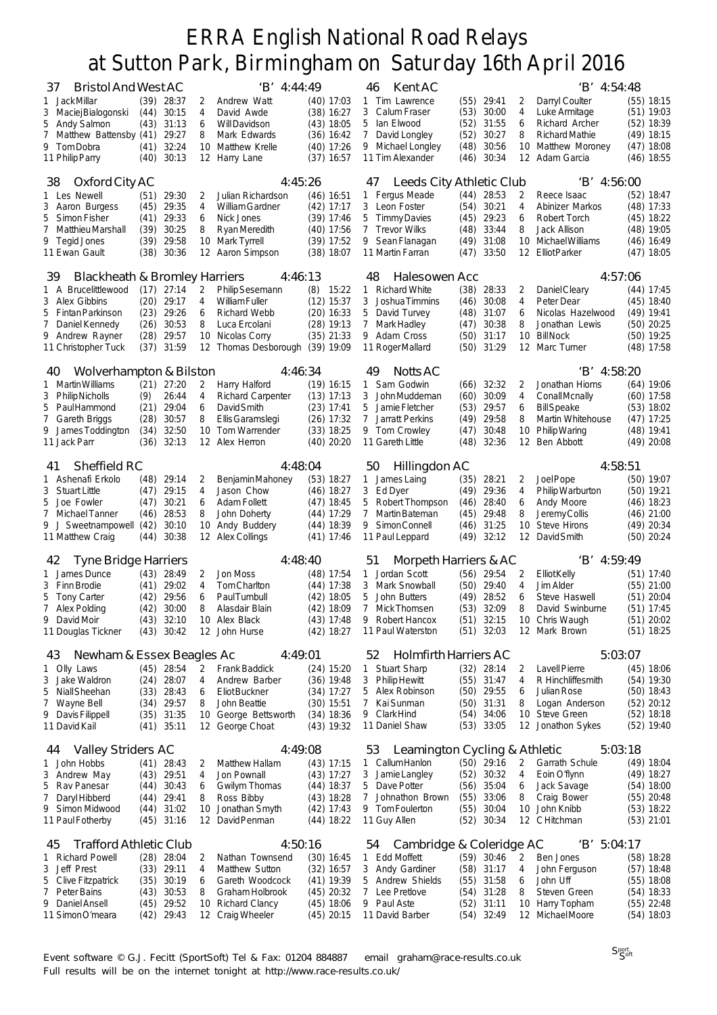| <b>Bristol And West AC</b><br>37          |              |                       |          | 'B' 4:44:49                       |                              | Kent AC<br>46                          |              |                |                 | 'B' 4:54:48                     |                              |
|-------------------------------------------|--------------|-----------------------|----------|-----------------------------------|------------------------------|----------------------------------------|--------------|----------------|-----------------|---------------------------------|------------------------------|
| 1 JackMillar                              | (39)         | 28:37                 | 2        | Andrew Watt                       | $(40)$ 17:03                 | 1 Tim Lawrence                         |              | $(55)$ 29:41   | 2               | Darryl Coulter                  | (55) 18:15                   |
| 3 Maciej Bialogonski                      | (44)         | 30:15                 | 4        | David Awde                        | $(38)$ 16:27                 | 3<br>Calum Fraser                      | (53)         | 30:00          | 4               | Luke Armitage                   | $(51)$ 19:03                 |
| 5<br>Andy Salmon                          | (43)         | 31:13                 | 6        | Will Davidson                     | $(43)$ 18:05                 | 5<br>lan Elwood                        | (52)         | 31:55          | 6               | Richard Archer                  | $(52)$ 18:39                 |
| 7 Matthew Battensby (41)                  |              | 29:27                 | 8        | Mark Edwards                      | $(36)$ 16:42                 | 7<br>David Longley                     | (52)         | 30:27          | 8               | <b>Richard Mathie</b>           | $(49)$ 18:15                 |
| 9 Tom Dobra<br>11 Philip Parry            | (41)<br>(40) | 32:24<br>30:13        | 10<br>12 | Matthew Krelle<br>Harry Lane      | $(40)$ 17:26<br>$(37)$ 16:57 | 9 Michael Longley<br>11 Tim Alexander  | (48)<br>(46) | 30:56<br>30:34 | 10<br>12        | Matthew Moroney<br>Adam Garcia  | $(47)$ 18:08<br>$(46)$ 18:55 |
|                                           |              |                       |          |                                   |                              |                                        |              |                |                 |                                 |                              |
| Oxford City AC<br>38                      |              |                       |          | 4:45:26                           |                              | 47<br>Leeds City Athletic Club         |              |                |                 | $'B'$ 4:56:00                   |                              |
| 1 Les Newell                              | (51)         | 29:30                 | 2        | Julian Richardson                 | $(46)$ 16:51                 | Fergus Meade<br>1                      | (44)         | 28:53          | 2               | Reece Isaac                     | $(52)$ 18:47                 |
| 3 Aaron Burgess                           | (45)         | 29:35                 | 4        | <b>William Gardner</b>            | $(42)$ 17:17                 | 3 Leon Foster                          | (54)         | 30:21          | 4               | Abinizer Markos                 | $(48)$ 17:33                 |
| Simon Fisher<br>5                         | (41)         | 29:33                 | 6        | Nick Jones                        | $(39)$ 17:46                 | 5<br>Timmy Davies                      | (45)         | 29:23          | 6               | Robert Torch                    | $(45)$ 18:22                 |
| 7<br>Matthieu Marshall                    | (39)         | 30:25                 | 8        | Ryan Meredith                     | $(40)$ 17:56                 | 7<br><b>Trevor Wilks</b>               | (48)         | 33:44          | 8               | Jack Allison                    | $(48)$ 19:05                 |
| 9 Tegid Jones                             | (39)         | 29:58                 | 10       | Mark Tyrrell                      | $(39)$ 17:52                 | 9 Sean Flanagan                        | (49)         | 31:08          | 10              | Michael Williams                | $(46)$ 16:49                 |
| 11 Ewan Gault                             | (38)         | 30:36                 | 12       | Aaron Simpson                     | $(38)$ 18:07                 | 11 Martin Farran                       | (47)         | 33:50          | 12              | <b>Elliot Parker</b>            | $(47)$ 18:05                 |
|                                           |              |                       |          |                                   |                              |                                        |              |                |                 |                                 |                              |
| Blackheath & Bromley Harriers<br>39       |              |                       |          | 4:46:13                           |                              | 48<br>Halesowen Acc                    |              |                |                 | 4:57:06                         |                              |
| 1 A Brucelittlewood                       | (17)         | 27:14                 | 2        | Philip Sesemann                   | (8)<br>15:22                 | <b>Richard White</b><br>1.             | (38)         | 28:33          | 2               | Daniel Cleary                   | $(44)$ 17:45                 |
| 3 Alex Gibbins                            | (20)         | 29:17                 | 4        | <b>William Fuller</b>             | $(12)$ 15:37                 | 3<br>Joshua Timmins                    | (46)         | 30:08          | 4               | Peter Dear                      | $(45)$ 18:40                 |
| 5<br>Fintan Parkinson                     | (23)         | 29:26                 | 6        | <b>Richard Webb</b>               | $(20)$ 16:33                 | 5<br>David Turvey                      | (48)         | 31:07          | 6               | Nicolas Hazelwood               | $(49)$ 19:41                 |
| 7<br>Daniel Kennedy                       | (26)         | 30:53                 | 8        | Luca Ercolani                     | $(28)$ 19:13                 | 7<br>Mark Hadley                       | (47)         | 30:38          | 8               | Jonathan Lewis                  | $(50)$ 20:25                 |
| 9 Andrew Rayner                           | (28)         | 29:57                 | 10       | Nicolas Corry                     | $(35)$ 21:33                 | 9 Adam Cross                           | (50)         | 31:17          | 10              | <b>Bill Nock</b><br>Marc Turner | $(50)$ 19:25                 |
| 11 Christopher Tuck                       | (37)         | 31:59                 | 12       | Thomas Desborough (39) 19:09      |                              | 11 Roger Mallard                       | (50)         | 31:29          | 12              |                                 | $(48)$ 17:58                 |
| Wolverhampton & Bilston<br>40             |              |                       |          | 4:46:34                           |                              | 49<br><b>Notts AC</b>                  |              |                |                 | 'B' 4:58:20                     |                              |
| 1 Martin Williams                         |              | $(21)$ 27:20          | 2        | Harry Halford                     | $(19)$ 16:15                 | Sam Godwin<br>1                        |              | $(66)$ 32:32   | 2               | Jonathan Hiorns                 | $(64)$ 19:06                 |
| 3<br>Philip Nicholls                      | (9)          | 26:44                 | 4        | <b>Richard Carpenter</b>          | $(13)$ 17:13                 | 3<br>John Muddeman                     | (60)         | 30:09          | 4               | <b>ConallMcnally</b>            | $(60)$ 17:58                 |
| 5<br>PaulHammond                          | (21)         | 29:04                 | 6        | David Smith                       | $(23)$ 17:41                 | 5<br>Jamie Fletcher                    | (53)         | 29:57          | 6               | <b>Bill</b> Speake              | $(53)$ 18:02                 |
| 7<br>Gareth Briggs                        | (28)         | 30:57                 | 8        | Ellis Garamslegi                  | $(26)$ 17:32                 | 7<br>Jarratt Perkins                   | (49)         | 29:58          | 8               | Martin Whitehouse               | (47) 17:25                   |
| 9 James Toddington                        | (34)         | 32:50                 | 10       | Tom Warrender                     | $(33)$ 18:25                 | 9 Tom Crowley                          | (47)         | 30:48          | 10              | Philip Waring                   | $(48)$ 19:41                 |
| 11 Jack Parr                              | (36)         | 32:13                 |          | 12 Alex Herron                    | $(40)$ 20:20                 | 11 Gareth Little                       | (48)         | 32:36          | 12 <sup>2</sup> | Ben Abbott                      | $(49)$ 20:08                 |
|                                           |              |                       |          |                                   |                              |                                        |              |                |                 |                                 |                              |
| Sheffield RC<br>41                        |              |                       |          | 4:48:04                           |                              | Hillingdon AC<br>50                    |              |                |                 | 4:58:51                         |                              |
| 1 Ashenafi Erkolo<br><b>Stuart Little</b> | (48)         | 29:14                 | 2<br>4   | Benjamin Mahoney                  | $(53)$ 18:27                 | James Laing<br>1                       | (35)         | 28:21          | 2               | Joel Pope                       | $(50)$ 19:07                 |
| 3<br>5<br>Joe Fowler                      | (47)         | 29:15                 | 6        | Jason Chow<br><b>Adam Follett</b> | $(46)$ 18:27                 | 3<br>Ed Dyer<br>5                      | (49)         | 29:36          | 4               | Philip Warburton                | $(50)$ 19:21<br>$(46)$ 18:23 |
| 7<br>Michael Tanner                       | (47)<br>(46) | 30:21<br>28:53        | 8        | John Doherty                      | $(47)$ 18:45<br>$(44)$ 17:29 | Robert Thompson<br>7<br>Martin Bateman | (46)<br>(45) | 28:40<br>29:48 | 6<br>8          | Andy Moore<br>Jeremy Collis     | $(46)$ 21:00                 |
| 9 J Sweetnampowell (42)                   |              | 30:10                 | 10       | Andy Buddery                      | $(44)$ 18:39                 | Simon Connell<br>9                     | (46)         | 31:25          | 10              | <b>Steve Hirons</b>             | $(49)$ 20:34                 |
| 11 Matthew Craig                          | (44)         | 30:38                 | 12       | <b>Alex Collings</b>              | $(41)$ 17:46                 | 11 Paul Leppard                        | (49)         | 32:12          | 12              | David Smith                     | $(50)$ 20:24                 |
|                                           |              |                       |          |                                   |                              |                                        |              |                |                 |                                 |                              |
| <b>Tyne Bridge Harriers</b><br>42         |              |                       |          | 4:48:40                           |                              | 51<br>Morpeth Harriers & AC            |              |                |                 | $'B'$ 4:59:49                   |                              |
| 1 James Dunce                             |              | $(43)$ 28:49          | 2        | Jon Moss                          | $(48)$ 17:54                 | Jordan Scott<br>1                      |              | $(56)$ 29:54   | 2               | <b>Elliot Kelly</b>             | $(51)$ 17:40                 |
| 3 Finn Brodie                             | (41)         | 29:02                 | 4        | Tom Charlton                      | $(44)$ 17:38                 | 3<br>Mark Snowball                     | (50)         | 29:40          | 4               | Jim Alder                       | $(55)$ 21:00                 |
| 5<br>Tony Carter                          | (42)         | 29:56                 | 6        | <b>PaulTurnbull</b>               | $(42)$ 18:05                 | 5<br>John Butters                      | (49)         | 28:52          | 6               | Steve Haswell                   | $(51)$ 20:04                 |
| 7 Alex Polding                            | (42)         | 30:00                 | 8        | Alasdair Blain                    | $(42)$ 18:09                 | 7<br>Mick Thomsen                      | (53)         | 32:09          | 8               | David Swinburne                 | $(51)$ 17:45                 |
| 9 David Moir                              | (43)         | 32:10                 |          | 10 Alex Black                     | $(43)$ 17:48                 | 9 Robert Hancox                        | (51)         | 32:15          |                 | 10 Chris Waugh                  | $(51)$ 20:02                 |
| 11 Douglas Tickner                        |              | $(43)$ 30:42          |          | 12 John Hurse                     | $(42)$ 18:27                 | 11 Paul Waterston                      |              | $(51)$ 32:03   |                 | 12 Mark Brown                   | $(51)$ 18:25                 |
| Newham & Essex Beagles Ac<br>43           |              |                       |          | 4:49:01                           |                              | Holmfirth Harriers AC<br>52            |              |                |                 | 5:03:07                         |                              |
| 1 Olly Laws                               |              | $(45)$ 28:54          | 2        | <b>Frank Baddick</b>              | $(24)$ 15:20                 | <b>Stuart Sharp</b><br>$\mathbf{1}$    |              | $(32)$ 28:14   | 2               | <b>Lavell Pierre</b>            | $(45)$ 18:06                 |
| Jake Waldron<br>3                         | (24)         | 28:07                 | 4        | Andrew Barber                     | $(36)$ 19:48                 | 3 Philip Hewitt                        |              | $(55)$ 31:47   | 4               | R Hinchliffesmith               | $(54)$ 19:30                 |
| 5<br>Niall Sheehan                        |              | $(33)$ 28:43          | 6        | <b>Eliot Buckner</b>              | $(34)$ 17:27                 | 5<br>Alex Robinson                     |              | $(50)$ 29:55   | 6               | Julian Rose                     | $(50)$ 18:43                 |
| Wayne Bell<br>7                           | (34)         | 29:57                 | 8        | John Beattie                      | $(30)$ 15:51                 | 7<br>Kai Sunman                        |              | $(50)$ 31:31   | 8               | Logan Anderson                  | $(52)$ 20:12                 |
| 9 Davis Filippell                         | (35)         | 31:35                 | 10       | George Bettsworth                 | $(34)$ 18:36                 | 9 Clark Hind                           | (54)         | 34:06          |                 | 10 Steve Green                  | $(52)$ 18:18                 |
| 11 David Kail                             | (41)         | 35:11                 |          | 12 George Choat                   | $(43)$ 19:32                 | 11 Daniel Shaw                         |              | $(53)$ 33:05   |                 | 12 Jonathon Sykes               | $(52)$ 19:40                 |
|                                           |              |                       |          |                                   |                              |                                        |              |                |                 |                                 |                              |
| <b>Valley Striders AC</b><br>44           |              |                       |          | 4:49:08                           |                              | Leamington Cycling & Athletic<br>53    |              |                |                 | 5:03:18                         |                              |
| 1 John Hobbs                              |              | $(41)$ 28:43          | 2        | <b>Matthew Hallam</b>             | $(43)$ 17:15                 | 1 Callum Hanlon                        |              | $(50)$ 29:16   | 2               | Garrath Schule                  | $(49)$ 18:04                 |
| Andrew May<br>3                           |              | $(43)$ 29:51          | 4        | Jon Pownall                       | $(43)$ 17:27                 | 3<br>Jamie Langley                     |              | $(52)$ 30:32   | 4               | Eoin O'flynn                    | $(49)$ 18:27                 |
| 5 Rav Panesar                             | (44)         | 30:43                 | 6        | Gwilym Thomas                     | $(44)$ 18:37                 | 5 Dave Potter                          |              | $(56)$ 35:04   | 6               | Jack Savage                     | $(54)$ 18:00                 |
| Daryl Hibberd<br>7                        | (44)         | 29:41                 | 8        | Ross Bibby                        | $(43)$ 18:28                 | Johnathon Brown<br>7                   |              | $(55)$ 33:06   | 8               | Craig Bower                     | $(55)$ 20:48                 |
| 9 Simon Midwood<br>11 Paul Fotherby       | (44)         | 31:02<br>$(45)$ 31:16 | 10<br>12 | Jonathan Smyth<br>David Penman    | $(42)$ 17:43<br>$(44)$ 18:22 | 9 Tom Foulerton<br>11 Guy Allen        | (55)<br>(52) | 30:04<br>30:34 | 10              | John Knibb<br>12 CHitchman      | $(53)$ 18:22<br>$(53)$ 21:01 |
|                                           |              |                       |          |                                   |                              |                                        |              |                |                 |                                 |                              |
| <b>Trafford Athletic Club</b><br>45       |              |                       |          | 4:50:16                           |                              | Cambridge & Coleridge AC<br>54         |              |                |                 | 'B' 5:04:17                     |                              |
| 1 Richard Powell                          |              | $(28)$ 28:04          | 2        | Nathan Townsend                   | $(30)$ 16:45                 | 1 Edd Moffett                          |              | $(59)$ 30:46   | 2               | Ben Jones                       | $(58)$ 18:28                 |
| Jeff Prest<br>3                           |              | $(33)$ 29:11          | 4        | Matthew Sutton                    | $(32)$ 16:57                 | 3 Andy Gardiner                        |              | $(58)$ 31:17   | 4               | John Ferguson                   | $(57)$ 18:48                 |
| Clive Fitzpatrick<br>5                    | (35)         | 30:19                 | 6        | Gareth Woodcock                   | $(41)$ 19:39                 | 5<br>Andrew Shields                    |              | $(55)$ 31:58   | 6               | John Uff                        | $(55)$ 18:08                 |
| 7 Peter Bains                             | (43)         | 30:53                 | 8        | Graham Holbrook                   | $(45)$ 20:32                 | 7 Lee Pretlove                         |              | $(54)$ 31:28   | 8               | Steven Green                    | $(54)$ 18:33                 |
| Daniel Ansell<br>9                        | (45)         | 29:52                 | 10       | <b>Richard Clancy</b>             | $(45)$ 18:06                 | 9 Paul Aste                            | (52)         | 31:11          | 10              | Harry Topham                    | $(55)$ 22:48                 |
| 11 SimonO'meara                           |              | $(42)$ 29:43          |          | 12 Craig Wheeler                  | $(45)$ 20:15                 | 11 David Barber                        |              | $(54)$ 32:49   |                 | 12 Michael Moore                | $(54)$ 18:03                 |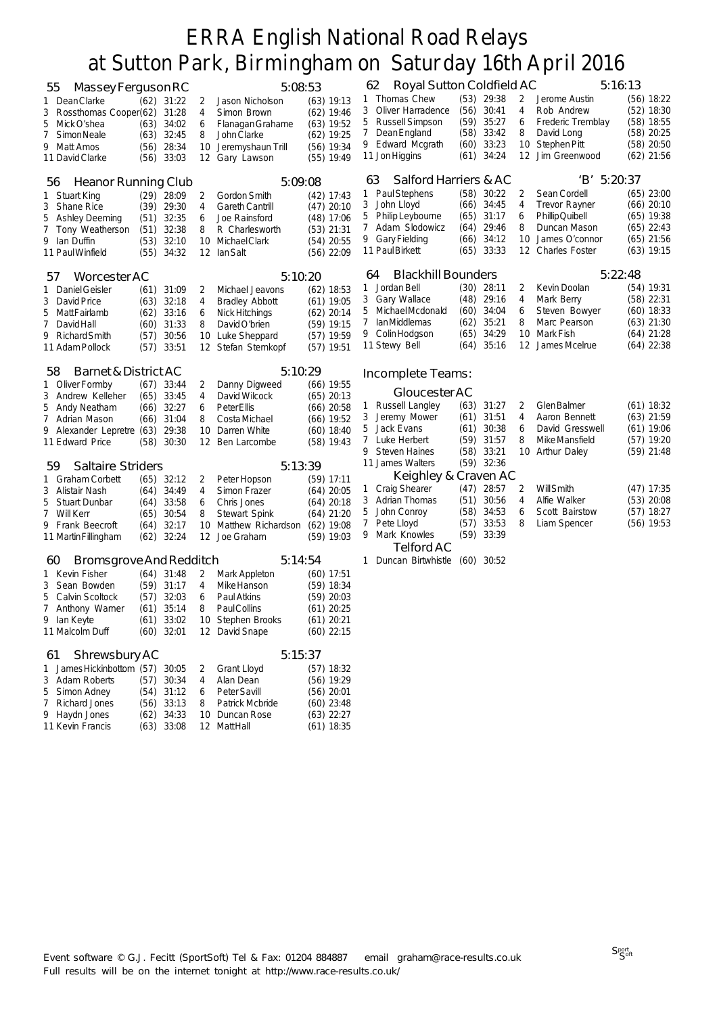| 55<br>Massey Ferguson RC              |      |              |    | 5:08:53               |              |              | Royal Sutton Coldfield AC<br>62 |              |                |        | 5:16:13                                 |                              |
|---------------------------------------|------|--------------|----|-----------------------|--------------|--------------|---------------------------------|--------------|----------------|--------|-----------------------------------------|------------------------------|
| 1 Dean Clarke                         |      | $(62)$ 31:22 | 2  | Jason Nicholson       | $(63)$ 19:13 | 1            | Thomas Chew                     |              | $(53)$ 29:38   | 2      | Jerome Austin                           | $(56)$ 18:22                 |
| Rossthomas Cooper(62)<br>3            |      | 31:28        | 4  | Simon Brown           | $(62)$ 19:46 | 3            | Oliver Harradence               | (56)         | 30:41          | 4      | Rob Andrew                              | $(52)$ 18:30                 |
| 5 Mick O'shea                         |      | $(63)$ 34:02 | 6  | Flanagan Grahame      | $(63)$ 19:52 | 5            | <b>Russell Simpson</b>          | (59)         | 35:27          | 6      | Frederic Tremblay                       | $(58)$ 18:55                 |
| 7<br>Simon Neale                      | (63) | 32:45        | 8  | John Clarke           | $(62)$ 19:25 | 7            | Dean England                    | (58)         | 33:42          | 8      | David Long                              | $(58)$ 20:25                 |
| 9 Matt Amos                           | (56) | 28:34        | 10 | Jeremyshaun Trill     | $(56)$ 19:34 |              | 9 Edward Mcgrath                | (60)         | 33:23          | 10     | Stephen Pitt                            | $(58)$ 20:50                 |
| 11 David Clarke                       | (56) | 33:03        | 12 | Gary Lawson           | $(55)$ 19:49 |              | 11 Jon Higgins                  | (61)         | 34:24          | 12     | Jim Greenwood                           | $(62)$ 21:56                 |
|                                       |      |              |    |                       |              |              |                                 |              |                |        |                                         |                              |
| <b>Heanor Running Club</b><br>56      |      |              |    | 5:09:08               |              |              | Salford Harriers & AC<br>63     |              |                |        | 'B' 5:20:37                             |                              |
| 1 Stuart King                         |      | $(29)$ 28:09 | 2  | Gordon Smith          | $(42)$ 17:43 | 1            | Paul Stephens                   |              | $(58)$ 30:22   | 2      | Sean Cordell                            | $(65)$ 23:00                 |
| 3<br>Shane Rice                       |      | $(39)$ 29:30 | 4  | Gareth Cantrill       | $(47)$ 20:10 | 3            | John Lloyd                      | (66)         | 34:45          | 4      | <b>Trevor Rayner</b>                    | $(66)$ 20:10                 |
| 5 Ashley Deeming                      | (51) | 32:35        | 6  | Joe Rainsford         | $(48)$ 17:06 | 5            | Philip Leybourne                | (65)         | 31:17          | 6      | Phillip Quibell                         | $(65)$ 19:38                 |
| 7<br>Tony Weatherson                  | (51) | 32:38        | 8  | R Charlesworth        | $(53)$ 21:31 | 7            | Adam Slodowicz                  | (64)         | 29:46          | 8      | Duncan Mason                            | $(65)$ 22:43                 |
| 9 Ian Duffin                          | (53) | 32:10        | 10 | Michael Clark         | $(54)$ 20:55 |              | 9 Gary Fielding                 | (66)         | 34:12<br>33:33 | 10     | James O'connor<br><b>Charles Foster</b> | $(65)$ 21:56                 |
| 11 Paul Winfield                      | (55) | 34:32        |    | 12 IanSalt            | $(56)$ 22:09 |              | 11 Paul Birkett                 | (65)         |                | 12     |                                         | $(63)$ 19:15                 |
| Worcester AC<br>5/                    |      |              |    | 5:10:20               |              |              | <b>Blackhill Bounders</b><br>64 |              |                |        | 5:22:48                                 |                              |
| 1 Daniel Geisler                      |      | $(61)$ 31:09 | 2  | Michael Jeavons       | $(62)$ 18:53 | 1            | Jordan Bell                     | (30)         | 28:11          | 2      | Kevin Doolan                            | $(54)$ 19:31                 |
| David Price<br>3                      | (63) | 32:18        | 4  | <b>Bradley Abbott</b> | $(61)$ 19:05 | 3            | <b>Gary Wallace</b>             | (48)         | 29:16          | 4      | Mark Berry                              | $(58)$ 22:31                 |
| 5<br>Matt Fairlamb                    | (62) | 33:16        | 6  | Nick Hitchings        | $(62)$ 20:14 | 5            | Michael Mcdonald                | (60)         | 34:04          | 6      | Steven Bowyer                           | $(60)$ 18:33                 |
| 7<br>David Hall                       | (60) | 31:33        | 8  | David O'brien         | $(59)$ 19:15 | 7            | <b>lanMiddlemas</b>             | (62)         | 35:21          | 8      | Marc Pearson                            | $(63)$ 21:30                 |
| 9 Richard Smith                       | (57) | 30:56        | 10 | Luke Sheppard         | $(57)$ 19:59 | 9            | Colin Hodgson                   | (65)         | 34:29          | 10     | Mark Fish                               | $(64)$ 21:28                 |
| 11 Adam Pollock                       |      | $(57)$ 33:51 | 12 | Stefan Sternkopf      | $(57)$ 19:51 |              | 11 Stewy Bell                   | (64)         | 35:16          |        | 12 James Mcelrue                        | $(64)$ 22:38                 |
|                                       |      |              |    |                       |              |              |                                 |              |                |        |                                         |                              |
| 58<br><b>Barnet &amp; District AC</b> |      |              |    | 5:10:29               |              |              | Incomplete Teams:               |              |                |        |                                         |                              |
| 1 Oliver Formby                       |      | $(67)$ 33:44 | 2  | Danny Digweed         | $(66)$ 19:55 |              |                                 |              |                |        |                                         |                              |
| 3 Andrew Kelleher                     | (65) | 33:45        | 4  | David Wilcock         | $(65)$ 20:13 |              | Gloucester AC                   |              |                |        |                                         |                              |
| 5 Andy Neatham                        | (66) | 32:27        | 6  | Peter Ellis           | $(66)$ 20:58 | $\mathbf{1}$ | Russell Langley                 | (63)         | 31:27          | 2      | Glen Balmer                             | $(61)$ 18:32                 |
| 7 Adrian Mason                        | (66) | 31:04        | 8  | Costa Michael         | $(66)$ 19:52 | 3            | Jeremy Mower                    | (61)         | 31:51          | 4      | Aaron Bennett                           | $(63)$ 21:59                 |
| 9 Alexander Lepretre (63)             |      | 29:38        | 10 | Darren White          | $(60)$ 18:40 | 5<br>7       | Jack Evans<br>Luke Herbert      | (61)<br>(59) | 30:38<br>31:57 | 6<br>8 | David Gresswell<br>Mike Mansfield       | $(61)$ 19:06<br>$(57)$ 19:20 |
| 11 Edward Price                       | (58) | 30:30        | 12 | Ben Larcombe          | $(58)$ 19:43 | 9            | <b>Steven Haines</b>            | (58)         | 33:21          | 10     | <b>Arthur Daley</b>                     | $(59)$ 21:48                 |
| <b>Saltaire Striders</b><br>59        |      |              |    | 5:13:39               |              |              | 11 James Walters                |              | $(59)$ 32:36   |        |                                         |                              |
| 1 Graham Corbett                      | (65) | 32:12        | 2  | Peter Hopson          | $(59)$ 17:11 |              | Keighley & Craven AC            |              |                |        |                                         |                              |
| 3 Alistair Nash                       | (64) | 34:49        | 4  | Simon Frazer          | $(64)$ 20:05 | 1            | <b>Craig Shearer</b>            | (47)         | 28:57          | 2      | <b>Will Smith</b>                       | $(47)$ 17:35                 |
| <b>Stuart Dunbar</b><br>5             | (64) | 33:58        | 6  | Chris Jones           | $(64)$ 20:18 |              | 3 Adrian Thomas                 | (51)         | 30:56          | 4      | Alfie Walker                            | $(53)$ 20:08                 |
| 7 Will Kerr                           | (65) | 30:54        | 8  | Stewart Spink         | $(64)$ 21:20 | 5            | John Conroy                     | (58)         | 34:53          | 6      | Scott Bairstow                          | $(57)$ 18:27                 |
| 9 Frank Beecroft                      | (64) | 32:17        | 10 | Matthew Richardson    | $(62)$ 19:08 | 7            | Pete Lloyd                      | (57)         | 33:53          | 8      | Liam Spencer                            | $(56)$ 19:53                 |
| 11 Martin Fillingham                  | (62) | 32:24        | 12 | Joe Graham            | $(59)$ 19:03 | 9            | Mark Knowles                    |              | $(59)$ 33:39   |        |                                         |                              |
|                                       |      |              |    |                       |              |              | Telford AC                      |              |                |        |                                         |                              |
| Bromsgrove And Redditch<br>60         |      |              |    | 5:14:54               |              | $\mathbf{1}$ | Duncan Birtwhistle (60) 30:52   |              |                |        |                                         |                              |
| 1 Kevin Fisher                        |      | $(64)$ 31:48 | 2  | Mark Appleton         | $(60)$ 17:51 |              |                                 |              |                |        |                                         |                              |
| Sean Bowden<br>3                      | (59) | 31:17        | 4  | Mike Hanson           | $(59)$ 18:34 |              |                                 |              |                |        |                                         |                              |
| <b>Calvin Scoltock</b><br>5           | (57) | 32:03        | 6  | Paul Atkins           | $(59)$ 20:03 |              |                                 |              |                |        |                                         |                              |
| 7 Anthony Warner                      | (61) | 35:14        | 8  | <b>PaulCollins</b>    | $(61)$ 20:25 |              |                                 |              |                |        |                                         |                              |
| 9 Ian Keyte                           |      | $(61)$ 33:02 |    | 10 Stephen Brooks     | $(61)$ 20:21 |              |                                 |              |                |        |                                         |                              |
| 11 Malcolm Duff                       |      | $(60)$ 32:01 |    | 12 David Snape        | $(60)$ 22:15 |              |                                 |              |                |        |                                         |                              |
| Shrewsbury AC<br>61                   |      |              |    | 5:15:37               |              |              |                                 |              |                |        |                                         |                              |
| James Hickinbottom (57)<br>1          |      | 30:05        | 2  | Grant Lloyd           | $(57)$ 18:32 |              |                                 |              |                |        |                                         |                              |
| 3 Adam Roberts                        | (57) | 30:34        | 4  | Alan Dean             | $(56)$ 19:29 |              |                                 |              |                |        |                                         |                              |
| Simon Adney<br>5                      |      | $(54)$ 31:12 | 6  | Peter Savill          | $(56)$ 20:01 |              |                                 |              |                |        |                                         |                              |
| 7 Richard Jones                       |      | $(56)$ 33:13 | 8  | Patrick Mcbride       | $(60)$ 23:48 |              |                                 |              |                |        |                                         |                              |
| 9 Haydn Jones                         | (62) | 34:33        | 10 | Duncan Rose           | $(63)$ 22:27 |              |                                 |              |                |        |                                         |                              |
| 11 Kevin Francis                      | (63) | 33:08        |    | 12 MattHall           | $(61)$ 18:35 |              |                                 |              |                |        |                                         |                              |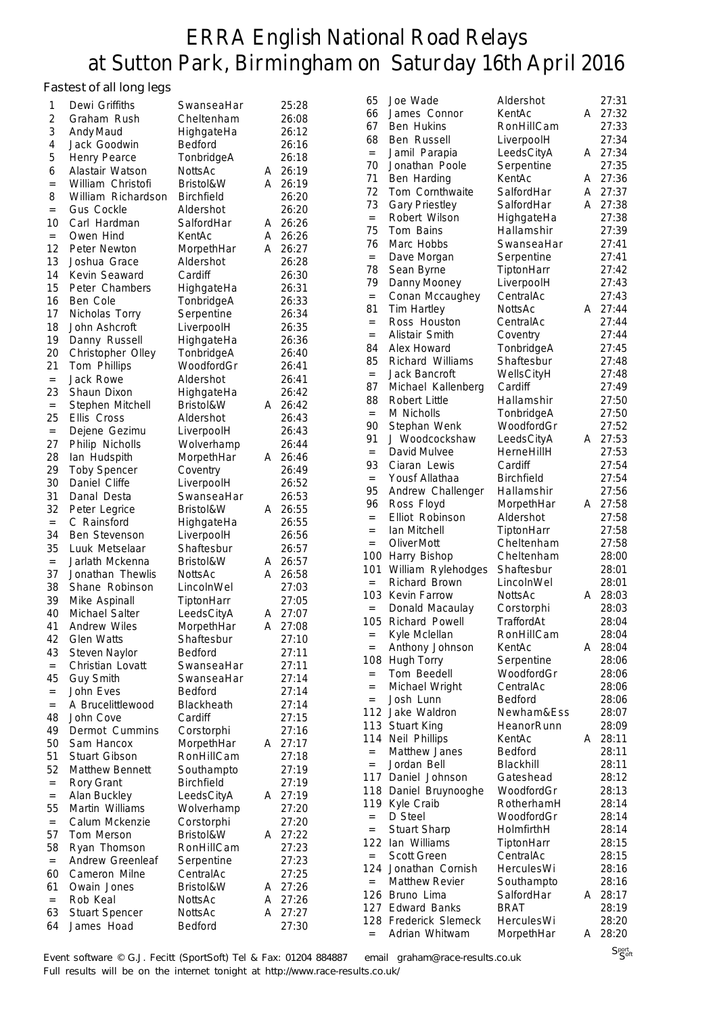#### Fastest of all long legs

| 1         | ັ. ແ . ບ. . <u>ໆ</u> . ບ <u>ໆ</u> ບ<br>Dewi Griffiths | SwanseaHar               |        | 25:28          | 65         |
|-----------|-------------------------------------------------------|--------------------------|--------|----------------|------------|
| 2         | Graham Rush                                           | Cheltenham               |        | 26:08          | 66         |
| 3         | Andy Maud                                             | HighgateHa               |        | 26:12          | 67         |
| 4         | Jack Goodwin                                          | Bedford                  |        | 26:16          | 68         |
| 5         | Henry Pearce                                          | TonbridgeA               |        | 26:18          | $=$        |
| 6         | Alastair Watson                                       | NottsAc                  | A      | 26:19          | 70         |
| $=$       | William Christofi                                     | Bristol&W                | A      | 26:19          | 71         |
| 8         | William Richardson                                    | <b>Birchfield</b>        |        | 26:20          | 72         |
| $=$       | <b>Gus Cockle</b>                                     | Aldershot                |        | 26:20          | 73         |
| 10        | Carl Hardman                                          | SalfordHar               | A      | 26:26          | $=$        |
| $=$       | Owen Hind                                             | KentAc                   | A      | 26:26          | 75<br>76   |
| 12        | Peter Newton                                          | MorpethHar               | A      | 26:27          | $=$        |
| 13        | Joshua Grace                                          | Aldershot                |        | 26:28          | 78         |
| 14        | Kevin Seaward                                         | Cardiff                  |        | 26:30          | 79         |
| 15        | Peter Chambers                                        | HighgateHa               |        | 26:31          | $=$        |
| 16        | Ben Cole                                              | TonbridgeA               |        | 26:33          | 81         |
| 17        | Nicholas Torry                                        | Serpentine               |        | 26:34          | $=$        |
| 18        | John Ashcroft                                         | LiverpoolH               |        | 26:35          | $=$        |
| 19<br>20  | Danny Russell                                         | HighgateHa<br>TonbridgeA |        | 26:36<br>26:40 | 84         |
| 21        | Christopher Olley<br>Tom Phillips                     | WoodfordGr               |        | 26:41          | 85         |
| $=$       | Jack Rowe                                             | Aldershot                |        | 26:41          | $=$        |
| 23        | Shaun Dixon                                           | HighgateHa               |        | 26:42          | 87         |
| $\quad =$ | Stephen Mitchell                                      | Bristol&W                | A      | 26:42          | 88         |
| 25        | Ellis Cross                                           | Aldershot                |        | 26:43          | $=$        |
| $=$       | Dejene Gezimu                                         | LiverpoolH               |        | 26:43          | 90         |
| 27        | Philip Nicholls                                       | Wolverhamp               |        | 26:44          | 91         |
| 28        | lan Hudspith                                          | MorpethHar               | A      | 26:46          | $=$        |
| 29        | <b>Toby Spencer</b>                                   | Coventry                 |        | 26:49          | 93         |
| 30        | Daniel Cliffe                                         | LiverpoolH               |        | 26:52          | $=$        |
| 31        | Danal Desta                                           | SwanseaHar               |        | 26:53          | 95         |
| 32        | Peter Legrice                                         | Bristol&W                | A      | 26:55          | 96         |
| $\quad =$ | C Rainsford                                           | HighgateHa               |        | 26:55          | $=$        |
| 34        | Ben Stevenson                                         | LiverpoolH               |        | 26:56          | $=$        |
| 35        | Luuk Metselaar                                        | Shaftesbur               |        | 26:57          | $=$<br>100 |
| $=$       | Jarlath Mckenna                                       | Bristol&W                | A      | 26:57          | 101        |
| 37        | Jonathan Thewlis                                      | NottsAc                  | A      | 26:58          | $=$        |
| 38        | Shane Robinson                                        | LincolnWel               |        | 27:03          | 103        |
| 39        | Mike Aspinall                                         | TiptonHarr               |        | 27:05          | $=$        |
| 40        | Michael Salter                                        | LeedsCityA               | A      | 27:07          | 105        |
| 41        | <b>Andrew Wiles</b>                                   | MorpethHar               | A      | 27:08          | $=$        |
| 42<br>43  | <b>Glen Watts</b>                                     | Shaftesbur<br>Bedford    |        | 27:10<br>27:11 | $=$        |
| $=$       | Steven Naylor<br>Christian Lovatt                     | SwanseaHar               |        | 27:11          | 108        |
| 45        | Guy Smith                                             | SwanseaHar               |        | 27:14          | $=$        |
| $=$       | John Eves                                             | Bedford                  |        | 27:14          | $=$        |
| $\quad =$ | A Brucelittlewood                                     | Blackheath               |        | 27:14          | $=$        |
| 48        | John Cove                                             | Cardiff                  |        | 27:15          | 112        |
| 49        | Dermot Cummins                                        | Corstorphi               |        | 27:16          | 113        |
| 50        | Sam Hancox                                            | MorpethHar               | A      | 27:17          | 114        |
| 51        | <b>Stuart Gibson</b>                                  | RonHillCam               |        | 27:18          | $=$        |
| 52        | Matthew Bennett                                       | Southampto               |        | 27:19          | $=$        |
| $\quad =$ | Rory Grant                                            | <b>Birchfield</b>        |        | 27:19          | 117        |
| $\quad =$ | Alan Buckley                                          | LeedsCityA               | A      | 27:19          | 118        |
| 55        | Martin Williams                                       | Wolverhamp               |        | 27:20          | 119        |
| $=$       | Calum Mckenzie                                        | Corstorphi               |        | 27:20          | $=$        |
| 57        | Tom Merson                                            | Bristol&W                | A      | 27:22          | $=$<br>122 |
| 58        | Ryan Thomson                                          | RonHillCam               |        | 27:23          | $=$        |
| $\quad =$ | Andrew Greenleaf                                      | Serpentine               |        | 27:23          | 124        |
| 60        | Cameron Milne                                         | CentralAc                |        | 27:25          | $=$        |
| 61        | Owain Jones                                           | Bristol&W                | A      | 27:26          | 126        |
| $=$       | Rob Keal<br><b>Stuart Spencer</b>                     | NottsAc                  | A<br>A | 27:26<br>27:27 | 127        |
| 63<br>64  | James Hoad                                            | NottsAc<br>Bedford       |        | 27:30          | 128        |
|           |                                                       |                          |        |                |            |

| 65                                | Joe Wade              | Aldershot               |   | 27:31          |
|-----------------------------------|-----------------------|-------------------------|---|----------------|
| 66                                | James Connor          | KentAc                  | А | 27:32          |
| 67                                | <b>Ben Hukins</b>     | RonHillCam              |   | 27:33          |
| 68                                | Ben Russell           | LiverpoolH              |   | 27:34          |
| $=$                               | Jamil Parapia         | LeedsCityA              | A | 27:34          |
| 70                                | Jonathan Poole        | Serpentine              |   | 27:35          |
| 71                                | Ben Harding           | KentAc                  | А | 27:36          |
| 72                                | Tom Cornthwaite       | SalfordHar              | A | 27:37          |
| 73                                | <b>Gary Priestley</b> | SalfordHar              | А | 27:38          |
| $=$                               | Robert Wilson         | HighgateHa              |   | 27:38          |
| 75                                | Tom Bains             | Hallamshir              |   | 27:39          |
| 76                                | Marc Hobbs            | SwanseaHar              |   | 27:41          |
| $=$                               | Dave Morgan           |                         |   | 27:41          |
|                                   |                       | Serpentine              |   |                |
| 78<br>79                          | Sean Byrne            | TiptonHarr              |   | 27:42          |
|                                   | Danny Mooney          | LiverpoolH<br>CentralAc |   | 27:43<br>27:43 |
| $=$                               | Conan Mccaughey       |                         |   |                |
| 81                                | Tim Hartley           | NottsAc                 | A | 27:44          |
| $=$                               | Ross Houston          | CentralAc               |   | 27:44          |
| $=$                               | Alistair Smith        | Coventry                |   | 27:44          |
| 84                                | Alex Howard           | TonbridgeA              |   | 27:45          |
| 85                                | Richard Williams      | Shaftesbur              |   | 27:48          |
| $=$                               | <b>Jack Bancroft</b>  | WellsCityH              |   | 27:48          |
| 87                                | Michael Kallenberg    | Cardiff                 |   | 27:49          |
| 88                                | Robert Little         | Hallamshir              |   | 27:50          |
| $=$                               | M Nicholls            | TonbridgeA              |   | 27:50          |
| 90                                | Stephan Wenk          | WoodfordGr              |   | 27:52          |
| 91                                | J Woodcockshaw        | LeedsCityA              | A | 27:53          |
| $=$                               | David Mulvee          | HerneHillH              |   | 27:53          |
| 93                                | Ciaran Lewis          | Cardiff                 |   | 27:54          |
| $=$                               | Yousf Allathaa        | Birchfield              |   | 27:54          |
| 95                                | Andrew Challenger     | Hallamshir              |   | 27:56          |
| 96                                | Ross Floyd            | MorpethHar              | A | 27:58          |
| $=$                               | Elliot Robinson       | Aldershot               |   | 27:58          |
| $=$                               | Ian Mitchell          | TiptonHarr              |   | 27:58          |
| $=$                               | Oliver Mott           | Cheltenham              |   | 27:58          |
| 100                               | Harry Bishop          | Cheltenham              |   | 28:00          |
| 101                               | William Rylehodges    | Shaftesbur              |   | 28:01          |
| $=$                               | Richard Brown         | LincolnWel              |   | 28:01          |
| 103                               | Kevin Farrow          | <b>NottsAc</b>          | A | 28:03          |
| $=$                               | Donald Macaulay       | Corstorphi              |   | 28:03          |
| 105                               | Richard Powell        | TraffordAt              |   | 28:04          |
| $=$                               | Kyle Mclellan         | RonHillCam              |   | 28:04          |
| $=$                               | Anthony Johnson       | KentAc                  | Α | 28:04          |
| 108                               | Hugh Torry            | Serpentine              |   | 28:06          |
| $=$                               | Tom Beedell           | WoodfordGr              |   | 28:06          |
| $=$                               | Michael Wright        | CentralAc               |   | 28:06          |
| $=$                               | Josh Lunn             | Bedford                 |   | 28:06          |
| 112                               | Jake Waldron          | Newham&Ess              |   | 28:07          |
| 113                               | <b>Stuart King</b>    | HeanorRunn              |   | 28:09          |
| 114                               | Neil Phillips         | KentAc                  | A | 28:11          |
| $=$                               | Matthew Janes         | <b>Bedford</b>          |   | 28:11          |
| $=$                               | Jordan Bell           | Blackhill               |   | 28:11          |
| 117                               | Daniel Johnson        | Gateshead               |   | 28:12          |
| 118                               | Daniel Bruynooghe     | WoodfordGr              |   | 28:13          |
| 119                               | Kyle Craib            | RotherhamH              |   | 28:14          |
| $=$                               | D Steel               | WoodfordGr              |   | 28:14          |
| $=$                               | Stuart Sharp          | HolmfirthH              |   | 28:14          |
| 122                               | lan Williams          | TiptonHarr              |   | 28:15          |
| $\equiv$                          | Scott Green           | CentralAc               |   | 28:15          |
| 124                               | Jonathan Cornish      | HerculesWi              |   | 28:16          |
| $\quad =$                         | <b>Matthew Revier</b> | Southampto              |   | 28:16          |
| 126                               | Bruno Lima            | SalfordHar              | A | 28:17          |
|                                   | 127 Edward Banks      | BRAT                    |   | 28:19          |
| 128                               | Frederick Slemeck     | HerculesWi              |   | 28:20          |
| $\hspace{1.6cm} = \hspace{1.6cm}$ | Adrian Whitwam        | MorpethHar              | Α | 28:20          |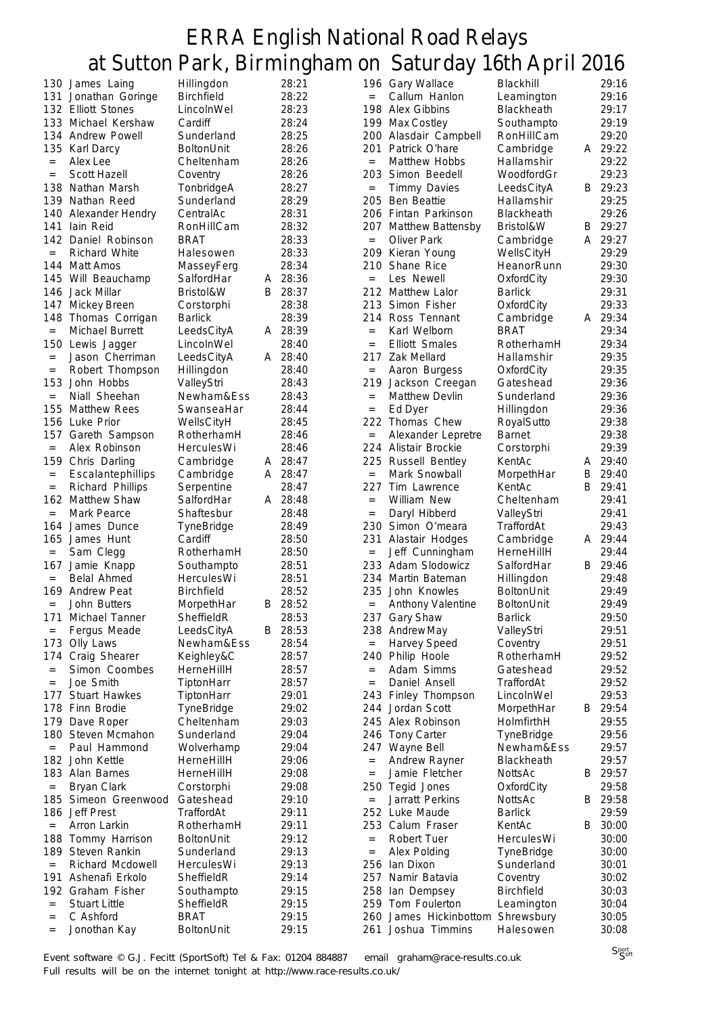|                   |                      |                   |   | O       |                   | ◡                        | х                 |   |         |
|-------------------|----------------------|-------------------|---|---------|-------------------|--------------------------|-------------------|---|---------|
|                   | 130 James Laing      | Hillingdon        |   | 28:21   |                   | 196 Gary Wallace         | Blackhill         |   | 29:16   |
| 131               | Jonathan Goringe     | <b>Birchfield</b> |   | 28:22   | $=$               | Callum Hanlon            | Leamington        |   | 29:16   |
|                   |                      |                   |   |         |                   |                          |                   |   |         |
|                   | 132 Elliott Stones   | LincolnWel        |   | 28:23   |                   | 198 Alex Gibbins         | Blackheath        |   | 29:17   |
|                   | 133 Michael Kershaw  | Cardiff           |   | 28:24   |                   | 199 Max Costley          | Southampto        |   | 29:19   |
|                   | 134 Andrew Powell    | Sunderland        |   | 28:25   | 200               | Alasdair Campbell        | RonHillCam        |   | 29:20   |
| 135               | Karl Darcy           | <b>BoltonUnit</b> |   | 28:26   | 201               | Patrick O'hare           | Cambridge         |   | A 29:22 |
|                   |                      |                   |   |         |                   |                          |                   |   |         |
| $\qquad \qquad =$ | Alex Lee             | Cheltenham        |   | 28:26   | $=$               | Matthew Hobbs            | Hallamshir        |   | 29:22   |
| $\qquad \qquad =$ | Scott Hazell         | Coventry          |   | 28:26   |                   | 203 Simon Beedell        | WoodfordGr        |   | 29:23   |
|                   | 138 Nathan Marsh     | TonbridgeA        |   | 28:27   | $=$               | <b>Timmy Davies</b>      | LeedsCityA        | В | 29:23   |
|                   |                      |                   |   |         |                   |                          |                   |   |         |
|                   | 139 Nathan Reed      | Sunderland        |   | 28:29   | 205               | <b>Ben Beattie</b>       | Hallamshir        |   | 29:25   |
| 140               | Alexander Hendry     | CentralAc         |   | 28:31   |                   | 206 Fintan Parkinson     | <b>Blackheath</b> |   | 29:26   |
| 141               | lain Reid            | RonHillCam        |   | 28:32   |                   | 207 Matthew Battensby    | Bristol&W         | В | 29:27   |
|                   |                      |                   |   |         |                   |                          |                   |   |         |
| 142               | Daniel Robinson      | <b>BRAT</b>       |   | 28:33   | $\qquad \qquad =$ | Oliver Park              | Cambridge         | A | 29:27   |
| $\qquad \qquad =$ | <b>Richard White</b> | Halesowen         |   | 28:33   | 209               | Kieran Young             | WellsCityH        |   | 29:29   |
| 144               | <b>Matt Amos</b>     | MasseyFerg        |   | 28:34   | 210               | Shane Rice               | HeanorRunn        |   | 29:30   |
|                   |                      |                   |   |         |                   |                          |                   |   |         |
| 145               | Will Beauchamp       | SalfordHar        | A | 28:36   | $=$               | Les Newell               | OxfordCity        |   | 29:30   |
| 146               | Jack Millar          | Bristol&W         | B | 28:37   |                   | 212 Matthew Lalor        | <b>Barlick</b>    |   | 29:31   |
| 147               | Mickey Breen         | Corstorphi        |   | 28:38   |                   | 213 Simon Fisher         | OxfordCity        |   | 29:33   |
| 148               |                      | <b>Barlick</b>    |   | 28:39   |                   | 214 Ross Tennant         |                   |   | 29:34   |
|                   | Thomas Corrigan      |                   |   |         |                   |                          | Cambridge         | A |         |
| $\equiv$          | Michael Burrett      | LeedsCityA        |   | A 28:39 | $=$               | Karl Welborn             | <b>BRAT</b>       |   | 29:34   |
| 150               | Lewis Jagger         | LincolnWel        |   | 28:40   | $=$               | <b>Elliott Smales</b>    | RotherhamH        |   | 29:34   |
| $\qquad \qquad =$ | Jason Cherriman      | LeedsCityA        |   | A 28:40 | 217               | Zak Mellard              | Hallamshir        |   | 29:35   |
|                   |                      |                   |   |         |                   |                          |                   |   |         |
| $\quad =$         | Robert Thompson      | Hillingdon        |   | 28:40   | $=$               | Aaron Burgess            | OxfordCity        |   | 29:35   |
| 153               | John Hobbs           | ValleyStri        |   | 28:43   | 219               | Jackson Creegan          | Gateshead         |   | 29:36   |
| $=$               | Niall Sheehan        | Newham&Ess        |   | 28:43   | $\qquad \qquad =$ | <b>Matthew Devlin</b>    | Sunderland        |   | 29:36   |
|                   |                      |                   |   |         |                   |                          |                   |   |         |
| 155               | <b>Matthew Rees</b>  | SwanseaHar        |   | 28:44   | $\qquad \qquad =$ | Ed Dyer                  | Hillingdon        |   | 29:36   |
| 156               | Luke Prior           | WellsCityH        |   | 28:45   |                   | 222 Thomas Chew          | RoyalSutto        |   | 29:38   |
| 157               | Gareth Sampson       | RotherhamH        |   | 28:46   | $=$               | Alexander Lepretre       | <b>Barnet</b>     |   | 29:38   |
|                   |                      |                   |   |         |                   |                          |                   |   |         |
| $\qquad \qquad =$ | Alex Robinson        | HerculesWi        |   | 28:46   |                   | 224 Alistair Brockie     | Corstorphi        |   | 29:39   |
| 159               | Chris Darling        | Cambridge         | A | 28:47   | 225               | <b>Russell Bentley</b>   | KentAc            | A | 29:40   |
| $\quad =$         | Escalantephillips    | Cambridge         | A | 28:47   | $=$               | Mark Snowball            | MorpethHar        | B | 29:40   |
|                   |                      |                   |   | 28:47   | 227.              | Tim Lawrence             |                   | B | 29:41   |
| $\qquad \qquad =$ | Richard Phillips     | Serpentine        |   |         |                   |                          | KentAc            |   |         |
|                   | 162 Matthew Shaw     | SalfordHar        |   | A 28:48 | $=$               | William New              | Cheltenham        |   | 29:41   |
| $=$               | Mark Pearce          | Shaftesbur        |   | 28:48   | $\quad =$         | Daryl Hibberd            | ValleyStri        |   | 29:41   |
| 164               | James Dunce          | TyneBridge        |   | 28:49   |                   | 230 Simon O'meara        | TraffordAt        |   | 29:43   |
|                   |                      |                   |   |         |                   |                          |                   |   |         |
| 165               | James Hunt           | Cardiff           |   | 28:50   | 231               | Alastair Hodges          | Cambridge         |   | A 29:44 |
| $\qquad \qquad =$ | Sam Clegg            | RotherhamH        |   | 28:50   | $=$               | Jeff Cunningham          | HerneHillH        |   | 29:44   |
| 167               | Jamie Knapp          | Southampto        |   | 28:51   |                   | 233 Adam Slodowicz       | SalfordHar        | В | 29:46   |
|                   |                      |                   |   |         |                   |                          |                   |   |         |
| $=$               | Belal Ahmed          | HerculesWi        |   | 28:51   | 234               | Martin Bateman           | Hillingdon        |   | 29:48   |
| 169               | <b>Andrew Peat</b>   | <b>Birchfield</b> |   | 28:52   |                   | 235 John Knowles         | BoltonUnit        |   | 29:49   |
| $\equiv$          | John Butters         | MorpethHar        | B | 28:52   | $\equiv$          | <b>Anthony Valentine</b> | BoltonUnit        |   | 29:49   |
|                   |                      |                   |   | 28:53   |                   |                          | <b>Barlick</b>    |   | 29:50   |
| 171               | Michael Tanner       | SheffieldR        |   |         | 237               | Gary Shaw                |                   |   |         |
| $\quad =$         | Fergus Meade         | LeedsCityA        | B | 28:53   |                   | 238 Andrew May           | ValleyStri        |   | 29:51   |
| 173               | Olly Laws            | Newham&Ess        |   | 28:54   | $=$               | Harvey Speed             | Coventry          |   | 29:51   |
| 174               | Craig Shearer        | Keighley&C        |   | 28:57   | 240               | Philip Hoole             | RotherhamH        |   | 29:52   |
|                   |                      |                   |   |         |                   |                          |                   |   |         |
| $\quad =$         | Simon Coombes        | HerneHillH        |   | 28:57   | $\equiv$          | Adam Simms               | Gateshead         |   | 29:52   |
| $=$               | Joe Smith            | TiptonHarr        |   | 28:57   | $\qquad \qquad =$ | Daniel Ansell            | TraffordAt        |   | 29:52   |
| 177               | <b>Stuart Hawkes</b> | TiptonHarr        |   | 29:01   | 243.              | Finley Thompson          | LincolnWel        |   | 29:53   |
|                   | 178 Finn Brodie      |                   |   |         |                   | Jordan Scott             |                   |   | 29:54   |
|                   |                      | TyneBridge        |   | 29:02   | 244               |                          | MorpethHar        | В |         |
| 179               | Dave Roper           | Cheltenham        |   | 29:03   |                   | 245 Alex Robinson        | HolmfirthH        |   | 29:55   |
| 180               | Steven Mcmahon       | Sunderland        |   | 29:04   | 246               | <b>Tony Carter</b>       | TyneBridge        |   | 29:56   |
|                   | Paul Hammond         |                   |   | 29:04   |                   | 247 Wayne Bell           | Newham&Ess        |   | 29:57   |
| $=$               |                      | Wolverhamp        |   |         |                   |                          |                   |   |         |
| 182               | John Kettle          | HerneHillH        |   | 29:06   | $=$               | Andrew Rayner            | Blackheath        |   | 29:57   |
| 183               | Alan Barnes          | HerneHillH        |   | 29:08   | $\quad =$         | Jamie Fletcher           | NottsAc           | B | 29:57   |
| $\qquad \qquad =$ | <b>Bryan Clark</b>   | Corstorphi        |   | 29:08   |                   | 250 Tegid Jones          | OxfordCity        |   | 29:58   |
|                   |                      |                   |   |         |                   |                          |                   |   |         |
| 185               | Simeon Greenwood     | Gateshead         |   | 29:10   | $=$               | Jarratt Perkins          | NottsAc           | B | 29:58   |
| 186               | <b>Jeff Prest</b>    | TraffordAt        |   | 29:11   |                   | 252 Luke Maude           | <b>Barlick</b>    |   | 29:59   |
| $\equiv$          | Arron Larkin         | RotherhamH        |   | 29:11   |                   | 253 Calum Fraser         | KentAc            | В | 30:00   |
| 188               | Tommy Harrison       | BoltonUnit        |   | 29:12   | $=$               | Robert Tuer              | HerculesWi        |   | 30:00   |
|                   |                      |                   |   |         |                   |                          |                   |   |         |
| 189               | Steven Rankin        | Sunderland        |   | 29:13   | $\qquad \qquad =$ | Alex Polding             | TyneBridge        |   | 30:00   |
| $\quad =$         | Richard Mcdowell     | HerculesWi        |   | 29:13   |                   | 256 Ian Dixon            | Sunderland        |   | 30:01   |
| 191               | Ashenafi Erkolo      | SheffieldR        |   | 29:14   |                   | 257 Namir Batavia        | Coventry          |   | 30:02   |
|                   |                      |                   |   |         |                   |                          |                   |   |         |
| 192.              | Graham Fisher        | Southampto        |   | 29:15   |                   | 258 Ian Dempsey          | <b>Birchfield</b> |   | 30:03   |
| $\qquad \qquad =$ | <b>Stuart Little</b> | SheffieldR        |   | 29:15   |                   | 259 Tom Foulerton        | Leamington        |   | 30:04   |
| $\equiv$          | C Ashford            | <b>BRAT</b>       |   | 29:15   | 260.              | James Hickinbottom       | Shrewsbury        |   | 30:05   |
|                   |                      |                   |   | 29:15   | 261               |                          |                   |   | 30:08   |
| $\quad =$         | Jonothan Kay         | <b>BoltonUnit</b> |   |         |                   | Joshua Timmins           | Halesowen         |   |         |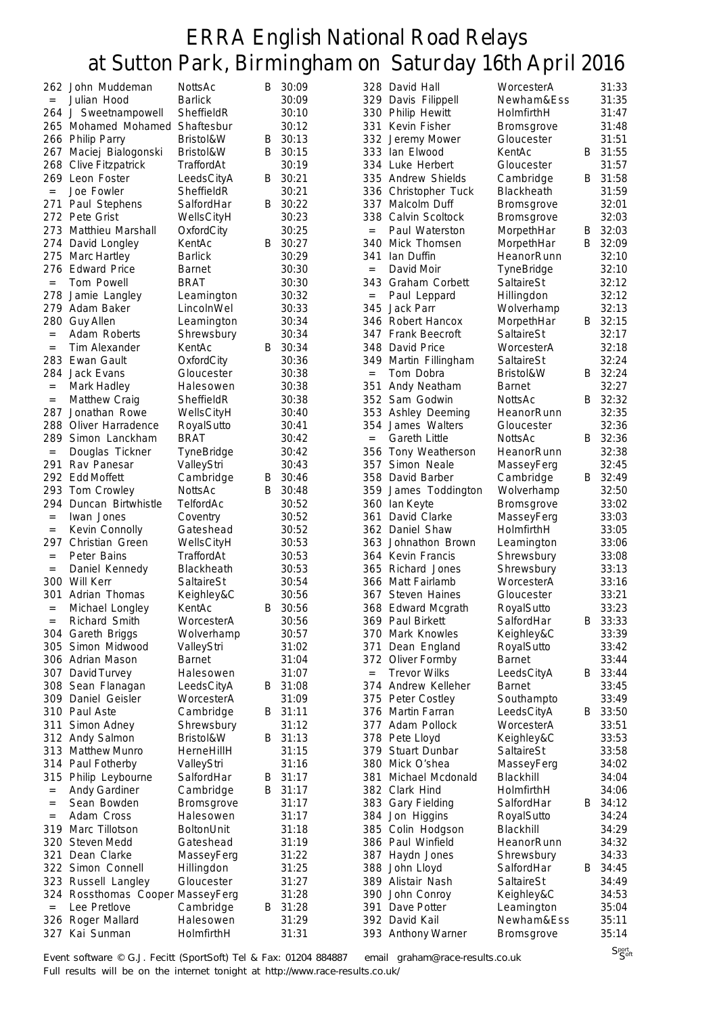|                   | 262 John Muddeman            | NottsAc        | B | 30:09   |                   | 328 David Hall        | WorcesterA        |   | 31:33   |
|-------------------|------------------------------|----------------|---|---------|-------------------|-----------------------|-------------------|---|---------|
| $\equiv$          | Julian Hood                  | <b>Barlick</b> |   | 30:09   |                   | 329 Davis Filippell   | Newham&Ess        |   | 31:35   |
|                   | 264 J Sweetnampowell         | SheffieldR     |   | 30:10   |                   | 330 Philip Hewitt     | HolmfirthH        |   | 31:47   |
| 265               | Mohamed Mohamed              | Shaftesbur     |   | 30:12   | 331               | Kevin Fisher          | <b>Bromsgrove</b> |   | 31:48   |
|                   | 266 Philip Parry             | Bristol&W      | B | 30:13   |                   | 332 Jeremy Mower      | Gloucester        |   | 31:51   |
| 267               | Maciej Bialogonski           | Bristol&W      | B | 30:15   |                   | 333 Ian Elwood        | KentAc            | B | 31:55   |
| 268               | <b>Clive Fitzpatrick</b>     | TraffordAt     |   | 30:19   |                   | 334 Luke Herbert      | Gloucester        |   | 31:57   |
| 269               | Leon Foster                  | LeedsCityA     | B | 30:21   |                   | 335 Andrew Shields    | Cambridge         | B | 31:58   |
|                   | Joe Fowler                   | SheffieldR     |   | 30:21   |                   |                       | Blackheath        |   | 31:59   |
| $\qquad \qquad =$ |                              |                |   |         |                   | 336 Christopher Tuck  |                   |   |         |
| 271               | Paul Stephens                | SalfordHar     | B | 30:22   | 337               | Malcolm Duff          | Bromsgrove        |   | 32:01   |
| 272               | Pete Grist                   | WellsCityH     |   | 30:23   |                   | 338 Calvin Scoltock   | <b>Bromsgrove</b> |   | 32:03   |
| 273               | Matthieu Marshall            | OxfordCity     |   | 30:25   | $\qquad \qquad =$ | Paul Waterston        | MorpethHar        | Β | 32:03   |
| 274               | David Longley                | KentAc         | B | 30:27   |                   | 340 Mick Thomsen      | MorpethHar        | B | 32:09   |
| 275               | Marc Hartley                 | <b>Barlick</b> |   | 30:29   | 341               | lan Duffin            | HeanorRunn        |   | 32:10   |
| 276               | <b>Edward Price</b>          | Barnet         |   | 30:30   | $=$               | David Moir            | TyneBridge        |   | 32:10   |
|                   | Tom Powell                   | <b>BRAT</b>    |   | 30:30   |                   | 343 Graham Corbett    | SaltaireSt        |   | 32:12   |
| 278               | Jamie Langley                | Leamington     |   | 30:32   | $\quad =$         | Paul Leppard          | Hillingdon        |   | 32:12   |
| 279               | Adam Baker                   | LincolnWel     |   | 30:33   | 345               | Jack Parr             | Wolverhamp        |   | 32:13   |
| 280               | <b>Guy Allen</b>             | Leamington     |   | 30:34   |                   | 346 Robert Hancox     | MorpethHar        |   | B 32:15 |
| $=$               | Adam Roberts                 | Shrewsbury     |   | 30:34   |                   | 347 Frank Beecroft    | SaltaireSt        |   | 32:17   |
| $=$               | Tim Alexander                | KentAc         | B | 30:34   |                   | 348 David Price       | WorcesterA        |   | 32:18   |
| 283               | Ewan Gault                   | OxfordCity     |   | 30:36   |                   | 349 Martin Fillingham | SaltaireSt        |   | 32:24   |
| 284               | Jack Evans                   | Gloucester     |   | 30:38   | $\qquad \qquad =$ | Tom Dobra             | Bristol&W         | В | 32:24   |
| $\qquad \qquad =$ | Mark Hadley                  | Halesowen      |   | 30:38   | 351               | Andy Neatham          | <b>Barnet</b>     |   | 32:27   |
| $\quad =$         | <b>Matthew Craig</b>         | SheffieldR     |   | 30:38   |                   | 352 Sam Godwin        | NottsAc           | B | 32:32   |
| 287               | Jonathan Rowe                | WellsCityH     |   | 30:40   |                   | 353 Ashley Deeming    | HeanorRunn        |   | 32:35   |
| 288               | Oliver Harradence            | RoyalSutto     |   | 30:41   |                   | 354 James Walters     | Gloucester        |   | 32:36   |
| 289               | Simon Lanckham               | <b>BRAT</b>    |   | 30:42   | $=$               | <b>Gareth Little</b>  | NottsAc           | B | 32:36   |
| $\qquad \qquad =$ | Douglas Tickner              | TyneBridge     |   | 30:42   |                   | 356 Tony Weatherson   | HeanorRunn        |   | 32:38   |
| 291               | Rav Panesar                  |                |   | 30:43   | 357               | Simon Neale           |                   |   |         |
|                   |                              | ValleyStri     |   |         |                   |                       | MasseyFerg        |   | 32:45   |
| 292               | Edd Moffett                  | Cambridge      | B | 30:46   |                   | 358 David Barber      | Cambridge         |   | B 32:49 |
| 293               | Tom Crowley                  | NottsAc        | B | 30:48   | 359               | James Toddington      | Wolverhamp        |   | 32:50   |
| 294               | Duncan Birtwhistle           | TelfordAc      |   | 30:52   | 360               | lan Keyte             | <b>Bromsgrove</b> |   | 33:02   |
| $=$               | Iwan Jones                   | Coventry       |   | 30:52   | 361               | David Clarke          | MasseyFerg        |   | 33:03   |
| $=$               | Kevin Connolly               | Gateshead      |   | 30:52   | 362               | Daniel Shaw           | HolmfirthH        |   | 33:05   |
| 297               | Christian Green              | WellsCityH     |   | 30:53   |                   | 363 Johnathon Brown   | Leamington        |   | 33:06   |
| $\qquad \qquad =$ | Peter Bains                  | TraffordAt     |   | 30:53   |                   | 364 Kevin Francis     | Shrewsbury        |   | 33:08   |
| $=$               | Daniel Kennedy               | Blackheath     |   | 30:53   |                   | 365 Richard Jones     | Shrewsbury        |   | 33:13   |
| 300               | Will Kerr                    | SaltaireSt     |   | 30:54   |                   | 366 Matt Fairlamb     | WorcesterA        |   | 33:16   |
| 301               | Adrian Thomas                | Keighley&C     |   | 30:56   |                   | 367 Steven Haines     | Gloucester        |   | 33:21   |
| $\quad =$         | Michael Longley              | KentAc         | B | 30:56   |                   | 368 Edward Mcgrath    | RoyalSutto        |   | 33:23   |
| $=$               | Richard Smith                | WorcesterA     |   | 30:56   |                   | 369 Paul Birkett      | SalfordHar        | В | 33:33   |
|                   | 304 Gareth Briggs            | Wolverhamp     |   | 30:57   |                   | 370 Mark Knowles      | Keighley&C        |   | 33:39   |
| 305               | Simon Midwood                | ValleyStri     |   | 31:02   | 371               | Dean England          | RoyalSutto        |   | 33:42   |
|                   | 306 Adrian Mason             | <b>Barnet</b>  |   | 31:04   |                   | 372 Oliver Formby     | <b>Barnet</b>     |   | 33:44   |
| 307               | David Turvey                 | Halesowen      |   | 31:07   | $=$               | <b>Trevor Wilks</b>   | LeedsCityA        | В | 33:44   |
| 308               | Sean Flanagan                | LeedsCityA     |   | B 31:08 |                   | 374 Andrew Kelleher   | <b>Barnet</b>     |   | 33:45   |
| 309               | Daniel Geisler               | WorcesterA     |   | 31:09   |                   | 375 Peter Costley     | Southampto        |   | 33:49   |
| 310               | Paul Aste                    | Cambridge      | В | 31:11   |                   | 376 Martin Farran     | LeedsCityA        | B | 33:50   |
| 311               | Simon Adney                  | Shrewsbury     |   | 31:12   |                   | 377 Adam Pollock      | WorcesterA        |   | 33:51   |
|                   | 312 Andy Salmon              | Bristol&W      | В | 31:13   |                   | 378 Pete Lloyd        | Keighley&C        |   | 33:53   |
|                   | 313 Matthew Munro            | HerneHillH     |   | 31:15   |                   | 379 Stuart Dunbar     | SaltaireSt        |   | 33:58   |
|                   | 314 Paul Fotherby            | ValleyStri     |   | 31:16   |                   | 380 Mick O'shea       | MasseyFerg        |   | 34:02   |
| 315               | Philip Leybourne             | SalfordHar     | B | 31:17   | 381               | Michael Mcdonald      | Blackhill         |   | 34:04   |
|                   | Andy Gardiner                |                | B | 31:17   |                   | 382 Clark Hind        | HolmfirthH        |   | 34:06   |
| $\quad =$         |                              | Cambridge      |   |         |                   |                       |                   |   |         |
| $=$               | Sean Bowden                  | Bromsgrove     |   | 31:17   |                   | 383 Gary Fielding     | SalfordHar        |   | B 34:12 |
| $=$               | Adam Cross                   | Halesowen      |   | 31:17   |                   | 384 Jon Higgins       | RoyalSutto        |   | 34:24   |
| 319               | Marc Tillotson               | BoltonUnit     |   | 31:18   | 385               | Colin Hodgson         | Blackhill         |   | 34:29   |
| 320               | <b>Steven Medd</b>           | Gateshead      |   | 31:19   |                   | 386 Paul Winfield     | HeanorRunn        |   | 34:32   |
| 321               | Dean Clarke                  | MasseyFerg     |   | 31:22   | 387               | Haydn Jones           | Shrewsbury        |   | 34:33   |
|                   | 322 Simon Connell            | Hillingdon     |   | 31:25   |                   | 388 John Lloyd        | SalfordHar        | В | 34:45   |
| 323               | Russell Langley              | Gloucester     |   | 31:27   |                   | 389 Alistair Nash     | SaltaireSt        |   | 34:49   |
| 324               | Rossthomas Cooper MasseyFerg |                |   | 31:28   |                   | 390 John Conroy       | Keighley&C        |   | 34:53   |
| $\qquad \qquad =$ | Lee Pretlove                 | Cambridge      | B | 31:28   | 391               | Dave Potter           | Leamington        |   | 35:04   |
| 326               | Roger Mallard                | Halesowen      |   | 31:29   |                   | 392 David Kail        | Newham&Ess        |   | 35:11   |
| 327               | Kai Sunman                   | HolmfirthH     |   | 31:31   |                   | 393 Anthony Warner    | Bromsgrove        |   | 35:14   |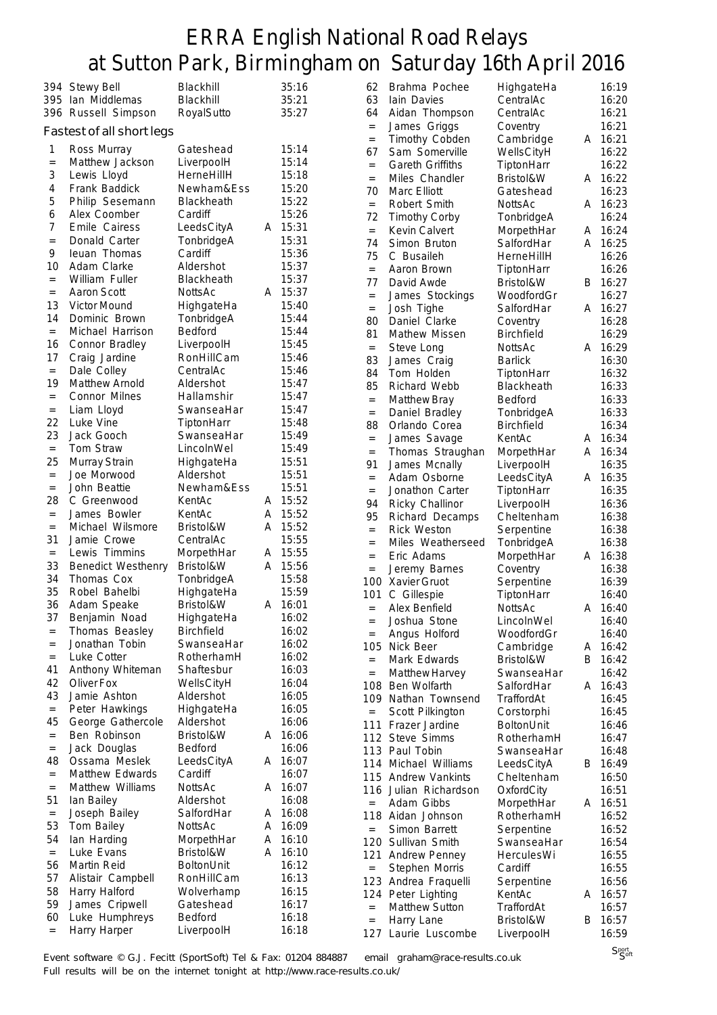|                | 394 Stewy Bell            | Blackhill         |   | 35:16 |
|----------------|---------------------------|-------------------|---|-------|
| 395            | Ian Middlemas             | Blackhill         |   | 35:21 |
| 396            | Russell Simpson           | RoyalSutto        |   | 35:27 |
|                |                           |                   |   |       |
|                | Fastest of all short legs |                   |   |       |
| 1              | Ross Murray               | Gateshead         |   | 15:14 |
| $=$            | Matthew Jackson           | LiverpoolH        |   | 15:14 |
| 3              | Lewis Lloyd               | HerneHillH        |   | 15:18 |
| $\overline{4}$ | Frank Baddick             | Newham&Ess        |   | 15:20 |
| 5              | Philip Sesemann           | Blackheath        |   | 15:22 |
| 6              | Alex Coomber              | Cardiff           |   | 15:26 |
| 7              | Emile Cairess             | LeedsCityA        | А | 15:31 |
| $=$            | Donald Carter             | TonbridgeA        |   | 15:31 |
| 9              | leuan Thomas              | Cardiff           |   | 15:36 |
| 10             | Adam Clarke               | Aldershot         |   | 15:37 |
|                | William Fuller            | Blackheath        |   |       |
| $=$            |                           |                   |   | 15:37 |
| $=$            | <b>Aaron Scott</b>        | NottsAc           | A | 15:37 |
| 13             | <b>Victor Mound</b>       | HighgateHa        |   | 15:40 |
| 14             | Dominic Brown             | TonbridgeA        |   | 15:44 |
| $=$            | Michael Harrison          | Bedford           |   | 15:44 |
| 16             | Connor Bradley            | LiverpoolH        |   | 15:45 |
| 17             | Craig Jardine             | RonHillCam        |   | 15:46 |
| $=$            | Dale Colley               | CentralAc         |   | 15:46 |
| 19             | Matthew Arnold            | Aldershot         |   | 15:47 |
| $=$            | Connor Milnes             | Hallamshir        |   | 15:47 |
| $=$            | Liam Lloyd                | SwanseaHar        |   | 15:47 |
| 22             | Luke Vine                 | TiptonHarr        |   | 15:48 |
| 23             | Jack Gooch                | SwanseaHar        |   | 15:49 |
| $=$            | Tom Straw                 | LincolnWel        |   | 15:49 |
| 25             | Murray Strain             | HighgateHa        |   | 15:51 |
| $=$            | Joe Morwood               | Aldershot         |   | 15:51 |
| $=$            | John Beattie              | Newham&Ess        |   | 15:51 |
| 28             |                           | KentAc            | A |       |
|                | C Greenwood               |                   |   | 15:52 |
| $=$            | James Bowler              | KentAc            | A | 15:52 |
| $=$            | Michael Wilsmore          | Bristol&W         | А | 15:52 |
| 31             | Jamie Crowe               | CentralAc         |   | 15:55 |
| $\quad =$      | Lewis Timmins             | MorpethHar        | A | 15:55 |
| 33             | <b>Benedict Westhenry</b> | Bristol&W         | А | 15:56 |
| 34             | Thomas Cox                | TonbridgeA        |   | 15:58 |
| 35             | Robel Bahelbi             | HighgateHa        |   | 15:59 |
| 36             | Adam Speake               | Bristol&W         | A | 16:01 |
| 37             | Benjamin Noad             | HighgateHa        |   | 16:02 |
| $=$            | Thomas Beasley            | <b>Birchfield</b> |   | 16:02 |
| $=$            | Jonathan Tobin            | SwanseaHar        |   | 16:02 |
| $=$            | Luke Cotter               | RotherhamH        |   | 16:02 |
| 41             | Anthony Whiteman          | Shaftesbur        |   | 16:03 |
| 42             | Oliver Fox                | WellsCityH        |   | 16:04 |
| 43             | Jamie Ashton              | Aldershot         |   | 16:05 |
| $=$            | Peter Hawkings            | HighgateHa        |   | 16:05 |
| 45             | George Gathercole         | Aldershot         |   | 16:06 |
| $=$            | Ben Robinson              | Bristol&W         | A | 16:06 |
| $=$            | Jack Douglas              | <b>Bedford</b>    |   | 16:06 |
| 48             | Ossama Meslek             | LeedsCityA        | Α | 16:07 |
| $=$            | Matthew Edwards           | Cardiff           |   | 16:07 |
|                |                           | <b>NottsAc</b>    |   |       |
| $=$            | Matthew Williams          | Aldershot         | Α | 16:07 |
| 51             | lan Bailey                |                   |   | 16:08 |
| $=$            | Joseph Bailey             | SalfordHar        | Α | 16:08 |
| 53             | Tom Bailey                | NottsAc           | Α | 16:09 |
| 54             | lan Harding               | MorpethHar        | Α | 16:10 |
| $=$            | Luke Evans                | Bristol&W         | A | 16:10 |
| 56             | Martin Reid               | BoltonUnit        |   | 16:12 |
| 57             | Alistair Campbell         | RonHillCam        |   | 16:13 |
| 58             | Harry Halford             | Wolverhamp        |   | 16:15 |
| 59             | James Cripwell            | Gateshead         |   | 16:17 |
| 60             | Luke Humphreys            | Bedford           |   | 16:18 |
| $=$            | Harry Harper              | LiverpoolH        |   | 16:18 |
|                |                           |                   |   |       |

|           |                         | т                 |   |       |
|-----------|-------------------------|-------------------|---|-------|
| 62        | Brahma Pochee           | HighgateHa        |   | 16:19 |
| 63        | lain Davies             | CentralAc         |   | 16:20 |
| 64        | Aidan Thompson          | CentralAc         |   | 16:21 |
| $=$       |                         |                   |   | 16:21 |
|           | James Griggs            | Coventry          |   |       |
| $=$       | Timothy Cobden          | Cambridge         | A | 16:21 |
| 67        | Sam Somerville          | WellsCityH        |   | 16:22 |
| $=$       | <b>Gareth Griffiths</b> | TiptonHarr        |   | 16:22 |
| $=$       | Miles Chandler          | Bristol&W         | А | 16:22 |
| 70        | Marc Elliott            | Gateshead         |   | 16:23 |
| $=$       | Robert Smith            | <b>NottsAc</b>    | A | 16:23 |
| 72        | <b>Timothy Corby</b>    | TonbridgeA        |   | 16:24 |
| $=$       | Kevin Calvert           | MorpethHar        | Α | 16:24 |
| 74        | Simon Bruton            | SalfordHar        | Α | 16:25 |
| 75        | C Busaileh              | HerneHillH        |   | 16:26 |
| $=$       | Aaron Brown             | TiptonHarr        |   | 16:26 |
| 77        | David Awde              | Bristol&W         | В | 16:27 |
| $=$       | James Stockings         | WoodfordGr        |   | 16:27 |
| $=$       | Josh Tighe              | SalfordHar        | Α | 16:27 |
| 80        | Daniel Clarke           | Coventry          |   | 16:28 |
| 81        | Mathew Missen           | <b>Birchfield</b> |   | 16:29 |
| $\equiv$  | Steve Long              | <b>NottsAc</b>    | A | 16:29 |
| 83        | James Craig             | <b>Barlick</b>    |   | 16:30 |
| 84        | Tom Holden              | TiptonHarr        |   | 16:32 |
|           | Richard Webb            |                   |   | 16:33 |
| 85        |                         | Blackheath        |   |       |
| $=$       | Matthew Bray            | <b>Bedford</b>    |   | 16:33 |
| $=$       | Daniel Bradley          | TonbridgeA        |   | 16:33 |
| 88        | Orlando Corea           | <b>Birchfield</b> |   | 16:34 |
| $=$       | James Savage            | KentAc            | A | 16:34 |
| $=$       | Thomas Straughan        | MorpethHar        | A | 16:34 |
| 91        | James Mcnally           | LiverpoolH        |   | 16:35 |
| $=$       | Adam Osborne            | LeedsCityA        | A | 16:35 |
| $=$       | Jonathon Carter         | TiptonHarr        |   | 16:35 |
| 94        | Ricky Challinor         | LiverpoolH        |   | 16:36 |
| 95        | Richard Decamps         | Cheltenham        |   | 16:38 |
| $=$       | <b>Rick Weston</b>      | Serpentine        |   | 16:38 |
| $=$       | Miles Weatherseed       | TonbridgeA        |   | 16:38 |
| $=$       | Eric Adams              | MorpethHar        | A | 16:38 |
| $=$       | Jeremy Barnes           | Coventry          |   | 16:38 |
| 100       | Xavier Gruot            | Serpentine        |   | 16:39 |
| 101       | C Gillespie             | TiptonHarr        |   | 16:40 |
| $=$       | Alex Benfield           | NottsAc           | Α | 16:40 |
| $=$       | Joshua Stone            | LincolnWel        |   | 16:40 |
| $=$       | Angus Holford           | WoodfordGr        |   | 16:40 |
| 105       | Nick Beer               | Cambridge         | Α | 16:42 |
| $=$       | Mark Edwards            | Bristol&W         | В | 16:42 |
| $=$       | Matthew Harvey          | SwanseaHar        |   | 16:42 |
| 108       | Ben Wolfarth            | SalfordHar        | A | 16:43 |
| 109       | Nathan Townsend         | TraffordAt        |   | 16:45 |
| $\quad =$ | Scott Pilkington        | Corstorphi        |   | 16:45 |
| 111       |                         | BoltonUnit        |   |       |
|           | Frazer Jardine          |                   |   | 16:46 |
| 112       | Steve Simms             | RotherhamH        |   | 16:47 |
| 113       | Paul Tobin              | SwanseaHar        |   | 16:48 |
| 114       | Michael Williams        | LeedsCityA        | В | 16:49 |
| 115       | <b>Andrew Vankints</b>  | Cheltenham        |   | 16:50 |
| 116       | Julian Richardson       | OxfordCity        |   | 16:51 |
| $=$       | Adam Gibbs              | MorpethHar        | A | 16:51 |
| 118       | Aidan Johnson           | RotherhamH        |   | 16:52 |
| $=$       | Simon Barrett           | Serpentine        |   | 16:52 |
| 120       | Sullivan Smith          | SwanseaHar        |   | 16:54 |
| 121       | Andrew Penney           | HerculesWi        |   | 16:55 |
| $=$       | Stephen Morris          | Cardiff           |   | 16:55 |
| 123       | Andrea Fraquelli        | Serpentine        |   | 16:56 |
| 124       | Peter Lighting          | KentAc            | Α | 16:57 |
| $=$       | Matthew Sutton          | TraffordAt        |   | 16:57 |
| $=$       | Harry Lane              | Bristol&W         | В | 16:57 |
| 127       | Laurie Luscombe         | LiverpoolH        |   | 16:59 |
|           |                         |                   |   |       |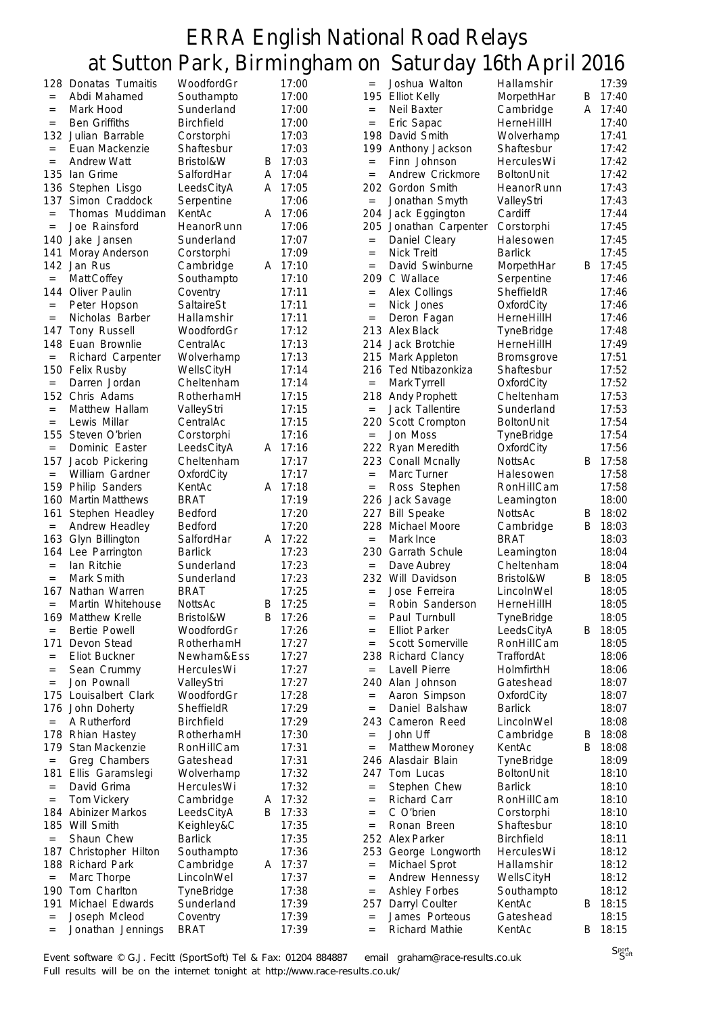|                   |                        |                   |   | O       |                   | J                     | х                 |   |       |
|-------------------|------------------------|-------------------|---|---------|-------------------|-----------------------|-------------------|---|-------|
| 128               | Donatas Tumaitis       | WoodfordGr        |   | 17:00   | $=$               | Joshua Walton         | Hallamshir        |   | 17:39 |
| $=$               | Abdi Mahamed           | Southampto        |   | 17:00   |                   | 195 Elliot Kelly      | MorpethHar        | B | 17:40 |
| $=$               | Mark Hood              | Sunderland        |   | 17:00   | $=$               | Neil Baxter           | Cambridge         | A | 17:40 |
| $=$               | <b>Ben Griffiths</b>   | <b>Birchfield</b> |   | 17:00   | $=$               | Eric Sapac            | HerneHillH        |   | 17:40 |
|                   | 132 Julian Barrable    | Corstorphi        |   | 17:03   | 198               | David Smith           | Wolverhamp        |   | 17:41 |
|                   |                        |                   |   |         |                   |                       |                   |   |       |
| $\qquad \qquad =$ | Euan Mackenzie         | Shaftesbur        |   | 17:03   |                   | 199 Anthony Jackson   | Shaftesbur        |   | 17:42 |
| $\quad =$         | <b>Andrew Watt</b>     | Bristol&W         | В | 17:03   | $=$               | Finn Johnson          | HerculesWi        |   | 17:42 |
| 135               | lan Grime              | SalfordHar        | A | 17:04   | $=$               | Andrew Crickmore      | <b>BoltonUnit</b> |   | 17:42 |
| 136               | Stephen Lisgo          | LeedsCityA        | A | 17:05   |                   | 202 Gordon Smith      | HeanorRunn        |   | 17:43 |
| 137               | Simon Craddock         | Serpentine        |   | 17:06   | $=$               | Jonathan Smyth        | ValleyStri        |   | 17:43 |
| $\quad =$         | Thomas Muddiman        | KentAc            |   | A 17:06 | 204               | Jack Eggington        | Cardiff           |   | 17:44 |
| $=$               | Joe Rainsford          | HeanorRunn        |   | 17:06   | 205               | Jonathan Carpenter    | Corstorphi        |   | 17:45 |
| 140               | Jake Jansen            | Sunderland        |   | 17:07   | $=$               | Daniel Cleary         | Halesowen         |   | 17:45 |
| 141               | Moray Anderson         | Corstorphi        |   | 17:09   | $\quad =$         | <b>Nick Treitl</b>    | <b>Barlick</b>    |   | 17:45 |
| 142               | Jan Rus                | Cambridge         |   | A 17:10 | $=$               | David Swinburne       | MorpethHar        | B | 17:45 |
| $\quad =$         | Matt Coffey            | Southampto        |   | 17:10   | 209               | C Wallace             | Serpentine        |   | 17:46 |
| 144               | Oliver Paulin          | Coventry          |   | 17:11   | $=$               | Alex Collings         | SheffieldR        |   | 17:46 |
| $=$               | Peter Hopson           | SaltaireSt        |   | 17:11   | $\qquad \qquad =$ | Nick Jones            | OxfordCity        |   | 17:46 |
| $=$               | Nicholas Barber        | Hallamshir        |   | 17:11   | $=$               | Deron Fagan           | HerneHillH        |   | 17:46 |
|                   |                        |                   |   |         |                   |                       |                   |   |       |
| 147               | Tony Russell           | WoodfordGr        |   | 17:12   |                   | 213 Alex Black        | TyneBridge        |   | 17:48 |
| 148               | Euan Brownlie          | CentralAc         |   | 17:13   | 214               | Jack Brotchie         | HerneHillH        |   | 17:49 |
| $\quad =$         | Richard Carpenter      | Wolverhamp        |   | 17:13   |                   | 215 Mark Appleton     | Bromsgrove        |   | 17:51 |
| 150               | <b>Felix Rusby</b>     | WellsCityH        |   | 17:14   |                   | 216 Ted Ntibazonkiza  | Shaftesbur        |   | 17:52 |
| $=$               | Darren Jordan          | Cheltenham        |   | 17:14   | $=$               | Mark Tyrrell          | OxfordCity        |   | 17:52 |
| 152               | Chris Adams            | RotherhamH        |   | 17:15   |                   | 218 Andy Prophett     | Cheltenham        |   | 17:53 |
| $=$               | Matthew Hallam         | ValleyStri        |   | 17:15   | $\qquad \qquad =$ | Jack Tallentire       | Sunderland        |   | 17:53 |
| $\equiv$          | Lewis Millar           | CentralAc         |   | 17:15   |                   | 220 Scott Crompton    | <b>BoltonUnit</b> |   | 17:54 |
| 155               | Steven O'brien         | Corstorphi        |   | 17:16   | $=$               | Jon Moss              | TyneBridge        |   | 17:54 |
| $\equiv$          | Dominic Easter         | LeedsCityA        |   | A 17:16 |                   | 222 Ryan Meredith     | OxfordCity        |   | 17:56 |
| 157               | Jacob Pickering        | Cheltenham        |   | 17:17   |                   | 223 Conall Mcnally    | <b>NottsAc</b>    | B | 17:58 |
| $\qquad \qquad =$ | William Gardner        | OxfordCity        |   | 17:17   | $=$               | Marc Turner           | Halesowen         |   | 17:58 |
| 159               |                        |                   |   | A 17:18 |                   |                       |                   |   | 17:58 |
|                   | <b>Philip Sanders</b>  | KentAc            |   |         | $=$               | Ross Stephen          | RonHillCam        |   |       |
| 160               | <b>Martin Matthews</b> | <b>BRAT</b>       |   | 17:19   |                   | 226 Jack Savage       | Leamington        |   | 18:00 |
| 161               | Stephen Headley        | Bedford           |   | 17:20   | 227               | <b>Bill Speake</b>    | NottsAc           | B | 18:02 |
| $\qquad \qquad =$ | Andrew Headley         | Bedford           |   | 17:20   |                   | 228 Michael Moore     | Cambridge         | B | 18:03 |
| 163               | Glyn Billington        | SalfordHar        | A | 17:22   | $\qquad \qquad =$ | Mark Ince             | <b>BRAT</b>       |   | 18:03 |
| 164               | Lee Parrington         | <b>Barlick</b>    |   | 17:23   | 230               | <b>Garrath Schule</b> | Leamington        |   | 18:04 |
| $\qquad \qquad =$ | Ian Ritchie            | Sunderland        |   | 17:23   | $=$               | Dave Aubrey           | Cheltenham        |   | 18:04 |
| $=$               | Mark Smith             | Sunderland        |   | 17:23   |                   | 232 Will Davidson     | Bristol&W         | B | 18:05 |
| 167               | Nathan Warren          | <b>BRAT</b>       |   | 17:25   | $=$               | Jose Ferreira         | LincolnWel        |   | 18:05 |
| $=$               | Martin Whitehouse      | NottsAc           |   | B 17:25 | $=$               | Robin Sanderson       | HerneHillH        |   | 18:05 |
| 169               | Matthew Krelle         | Bristol&W         | B | 17:26   | $=$               | Paul Turnbull         | TyneBridge        |   | 18:05 |
| $=$               | <b>Bertie Powell</b>   | WoodfordGr        |   | 17:26   | $=$               | <b>Elliot Parker</b>  | LeedsCityA        | B | 18:05 |
| 171               | Devon Stead            | RotherhamH        |   | 17:27   | $=$               | Scott Somerville      | RonHillCam        |   | 18:05 |
| $=$               | Eliot Buckner          | Newham&Ess        |   | 17:27   |                   | 238 Richard Clancy    | TraffordAt        |   | 18:06 |
|                   | Sean Crummy            | HerculesWi        |   | 17:27   | $=$               | Lavell Pierre         | HolmfirthH        |   | 18:06 |
| $=$               |                        |                   |   |         |                   | Alan Johnson          |                   |   |       |
| $=$               | Jon Pownall            | ValleyStri        |   | 17:27   | 240               |                       | Gateshead         |   | 18:07 |
| 175               | Louisalbert Clark      | WoodfordGr        |   | 17:28   | $=$               | Aaron Simpson         | OxfordCity        |   | 18:07 |
| 176               | John Doherty           | SheffieldR        |   | 17:29   | $=$               | Daniel Balshaw        | <b>Barlick</b>    |   | 18:07 |
| $\quad =$         | A Rutherford           | <b>Birchfield</b> |   | 17:29   | 243               | Cameron Reed          | LincolnWel        |   | 18:08 |
| 178               | Rhian Hastey           | RotherhamH        |   | 17:30   | $=$               | John Uff              | Cambridge         | Β | 18:08 |
| 179               | Stan Mackenzie         | RonHillCam        |   | 17:31   | $=$               | Matthew Moroney       | KentAc            | В | 18:08 |
| $=$               | Greg Chambers          | Gateshead         |   | 17:31   |                   | 246 Alasdair Blain    | TyneBridge        |   | 18:09 |
| 181               | Ellis Garamslegi       | Wolverhamp        |   | 17:32   |                   | 247 Tom Lucas         | <b>BoltonUnit</b> |   | 18:10 |
| $=$               | David Grima            | HerculesWi        |   | 17:32   | $=$               | Stephen Chew          | <b>Barlick</b>    |   | 18:10 |
| $=$               | Tom Vickery            | Cambridge         | A | 17:32   | $\qquad \qquad =$ | Richard Carr          | RonHillCam        |   | 18:10 |
| 184               | <b>Abinizer Markos</b> | LeedsCityA        | B | 17:33   | $=$               | C O'brien             | Corstorphi        |   | 18:10 |
| 185               | Will Smith             | Keighley&C        |   | 17:35   | $=$               | Ronan Breen           | Shaftesbur        |   | 18:10 |
|                   |                        |                   |   |         |                   | 252 Alex Parker       | <b>Birchfield</b> |   |       |
| $\quad =$         | Shaun Chew             | <b>Barlick</b>    |   | 17:35   |                   |                       |                   |   | 18:11 |
| 187               | Christopher Hilton     | Southampto        |   | 17:36   |                   | 253 George Longworth  | HerculesWi        |   | 18:12 |
| 188               | Richard Park           | Cambridge         | A | 17:37   | $=$               | Michael Sprot         | Hallamshir        |   | 18:12 |
| $\quad =$         | Marc Thorpe            | LincolnWel        |   | 17:37   | $=$               | Andrew Hennessy       | WellsCityH        |   | 18:12 |
| 190               | Tom Charlton           | TyneBridge        |   | 17:38   | $=$               | <b>Ashley Forbes</b>  | Southampto        |   | 18:12 |
| 191               | Michael Edwards        | Sunderland        |   | 17:39   | 257               | Darryl Coulter        | KentAc            | В | 18:15 |
| $\quad =$         | Joseph Mcleod          | Coventry          |   | 17:39   | $=$               | James Porteous        | Gateshead         |   | 18:15 |
| $=$               | Jonathan Jennings      | <b>BRAT</b>       |   | 17:39   | $=$               | Richard Mathie        | KentAc            | Β | 18:15 |